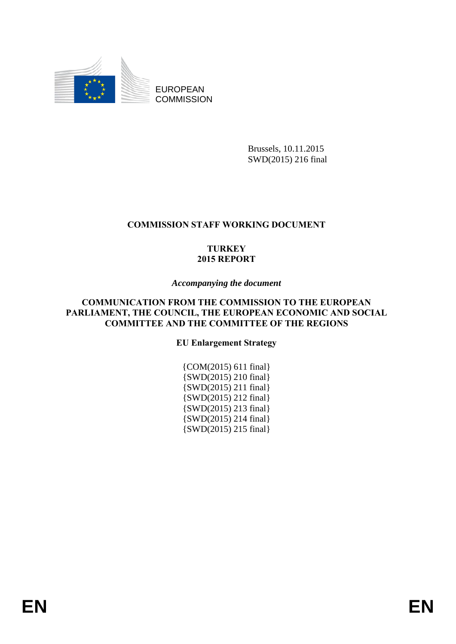

EUROPEAN **COMMISSION** 

> Brussels, 10.11.2015 SWD(2015) 216 final

# **COMMISSION STAFF WORKING DOCUMENT**

# **TURKEY 2015 REPORT**

## *Accompanying the document*

## **COMMUNICATION FROM THE COMMISSION TO THE EUROPEAN PARLIAMENT, THE COUNCIL, THE EUROPEAN ECONOMIC AND SOCIAL COMMITTEE AND THE COMMITTEE OF THE REGIONS**

**EU Enlargement Strategy** 

{COM(2015) 611 final} {SWD(2015) 210 final} {SWD(2015) 211 final} {SWD(2015) 212 final} {SWD(2015) 213 final} {SWD(2015) 214 final} {SWD(2015) 215 final}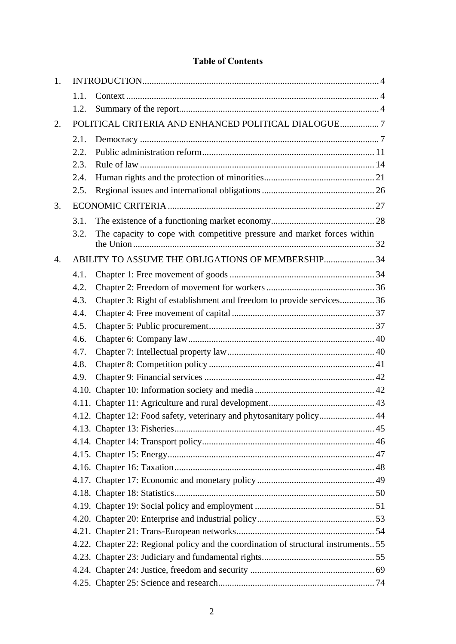# **Table of Contents**

| 1. |      |                                                                                     |  |
|----|------|-------------------------------------------------------------------------------------|--|
|    | 1.1. |                                                                                     |  |
|    | 1.2. |                                                                                     |  |
| 2. |      | POLITICAL CRITERIA AND ENHANCED POLITICAL DIALOGUE7                                 |  |
|    | 2.1. |                                                                                     |  |
|    | 2.2. |                                                                                     |  |
|    | 2.3. |                                                                                     |  |
|    | 2.4. |                                                                                     |  |
|    | 2.5. |                                                                                     |  |
| 3. |      |                                                                                     |  |
|    | 3.1. |                                                                                     |  |
|    | 3.2. | The capacity to cope with competitive pressure and market forces within             |  |
| 4. |      | ABILITY TO ASSUME THE OBLIGATIONS OF MEMBERSHIP 34                                  |  |
|    | 4.1. |                                                                                     |  |
|    | 4.2. |                                                                                     |  |
|    | 4.3. | Chapter 3: Right of establishment and freedom to provide services36                 |  |
|    | 4.4. |                                                                                     |  |
|    | 4.5. |                                                                                     |  |
|    | 4.6. |                                                                                     |  |
|    | 4.7. |                                                                                     |  |
|    | 4.8. |                                                                                     |  |
|    | 4.9. |                                                                                     |  |
|    |      |                                                                                     |  |
|    |      |                                                                                     |  |
|    |      | 4.12. Chapter 12: Food safety, veterinary and phytosanitary policy 44               |  |
|    |      |                                                                                     |  |
|    |      |                                                                                     |  |
|    |      |                                                                                     |  |
|    |      |                                                                                     |  |
|    |      |                                                                                     |  |
|    |      |                                                                                     |  |
|    |      |                                                                                     |  |
|    |      |                                                                                     |  |
|    |      |                                                                                     |  |
|    |      | 4.22. Chapter 22: Regional policy and the coordination of structural instruments 55 |  |
|    |      |                                                                                     |  |
|    |      |                                                                                     |  |
|    |      |                                                                                     |  |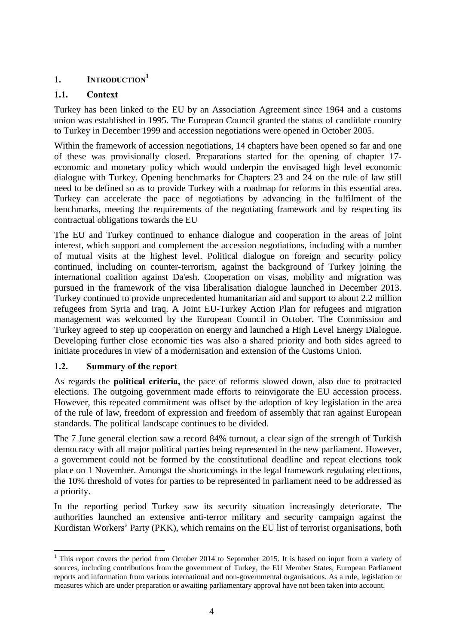# <span id="page-3-0"></span>**1. INTRODUCTION<sup>1</sup>**

# <span id="page-3-1"></span>**1.1. Context**

Turkey has been linked to the EU by an Association Agreement since 1964 and a customs union was established in 1995. The European Council granted the status of candidate country to Turkey in December 1999 and accession negotiations were opened in October 2005.

Within the framework of accession negotiations, 14 chapters have been opened so far and one of these was provisionally closed. Preparations started for the opening of chapter 17 economic and monetary policy which would underpin the envisaged high level economic dialogue with Turkey. Opening benchmarks for Chapters 23 and 24 on the rule of law still need to be defined so as to provide Turkey with a roadmap for reforms in this essential area. Turkey can accelerate the pace of negotiations by advancing in the fulfilment of the benchmarks, meeting the requirements of the negotiating framework and by respecting its contractual obligations towards the EU

The EU and Turkey continued to enhance dialogue and cooperation in the areas of joint interest, which support and complement the accession negotiations, including with a number of mutual visits at the highest level. Political dialogue on foreign and security policy continued, including on counter-terrorism, against the background of Turkey joining the international coalition against Da'esh. Cooperation on visas, mobility and migration was pursued in the framework of the visa liberalisation dialogue launched in December 2013. Turkey continued to provide unprecedented humanitarian aid and support to about 2.2 million refugees from Syria and Iraq. A Joint EU-Turkey Action Plan for refugees and migration management was welcomed by the European Council in October. The Commission and Turkey agreed to step up cooperation on energy and launched a High Level Energy Dialogue. Developing further close economic ties was also a shared priority and both sides agreed to initiate procedures in view of a modernisation and extension of the Customs Union.

## <span id="page-3-2"></span>**1.2. Summary of the report**

As regards the **political criteria,** the pace of reforms slowed down, also due to protracted elections. The outgoing government made efforts to reinvigorate the EU accession process. However, this repeated commitment was offset by the adoption of key legislation in the area of the rule of law, freedom of expression and freedom of assembly that ran against European standards. The political landscape continues to be divided.

The 7 June general election saw a record 84% turnout, a clear sign of the strength of Turkish democracy with all major political parties being represented in the new parliament. However, a government could not be formed by the constitutional deadline and repeat elections took place on 1 November. Amongst the shortcomings in the legal framework regulating elections, the 10% threshold of votes for parties to be represented in parliament need to be addressed as a priority.

In the reporting period Turkey saw its security situation increasingly deteriorate. The authorities launched an extensive anti-terror military and security campaign against the Kurdistan Workers' Party (PKK), which remains on the EU list of terrorist organisations, both

<sup>&</sup>lt;sup>1</sup> This report covers the period from October 2014 to September 2015. It is based on input from a variety of sources, including contributions from the government of Turkey, the EU Member States, European Parliament reports and information from various international and non-governmental organisations. As a rule, legislation or measures which are under preparation or awaiting parliamentary approval have not been taken into account.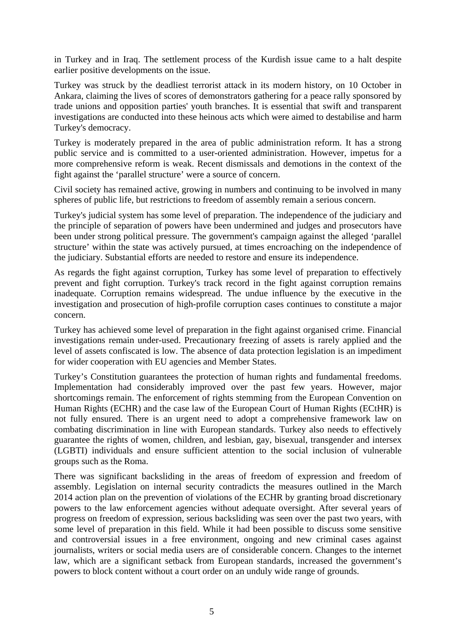in Turkey and in Iraq. The settlement process of the Kurdish issue came to a halt despite earlier positive developments on the issue.

Turkey was struck by the deadliest terrorist attack in its modern history, on 10 October in Ankara, claiming the lives of scores of demonstrators gathering for a peace rally sponsored by trade unions and opposition parties' youth branches. It is essential that swift and transparent investigations are conducted into these heinous acts which were aimed to destabilise and harm Turkey's democracy.

Turkey is moderately prepared in the area of public administration reform. It has a strong public service and is committed to a user-oriented administration. However, impetus for a more comprehensive reform is weak. Recent dismissals and demotions in the context of the fight against the 'parallel structure' were a source of concern.

Civil society has remained active, growing in numbers and continuing to be involved in many spheres of public life, but restrictions to freedom of assembly remain a serious concern.

Turkey's judicial system has some level of preparation. The independence of the judiciary and the principle of separation of powers have been undermined and judges and prosecutors have been under strong political pressure. The government's campaign against the alleged 'parallel structure' within the state was actively pursued, at times encroaching on the independence of the judiciary. Substantial efforts are needed to restore and ensure its independence.

As regards the fight against corruption, Turkey has some level of preparation to effectively prevent and fight corruption. Turkey's track record in the fight against corruption remains inadequate. Corruption remains widespread. The undue influence by the executive in the investigation and prosecution of high-profile corruption cases continues to constitute a major concern.

Turkey has achieved some level of preparation in the fight against organised crime. Financial investigations remain under-used. Precautionary freezing of assets is rarely applied and the level of assets confiscated is low. The absence of data protection legislation is an impediment for wider cooperation with EU agencies and Member States.

Turkey's Constitution guarantees the protection of human rights and fundamental freedoms. Implementation had considerably improved over the past few years. However, major shortcomings remain. The enforcement of rights stemming from the European Convention on Human Rights (ECHR) and the case law of the European Court of Human Rights (ECtHR) is not fully ensured. There is an urgent need to adopt a comprehensive framework law on combating discrimination in line with European standards. Turkey also needs to effectively guarantee the rights of women, children, and lesbian, gay, bisexual, transgender and intersex (LGBTI) individuals and ensure sufficient attention to the social inclusion of vulnerable groups such as the Roma.

There was significant backsliding in the areas of freedom of expression and freedom of assembly. Legislation on internal security contradicts the measures outlined in the March 2014 action plan on the prevention of violations of the ECHR by granting broad discretionary powers to the law enforcement agencies without adequate oversight. After several years of progress on freedom of expression, serious backsliding was seen over the past two years, with some level of preparation in this field. While it had been possible to discuss some sensitive and controversial issues in a free environment, ongoing and new criminal cases against journalists, writers or social media users are of considerable concern. Changes to the internet law, which are a significant setback from European standards, increased the government's powers to block content without a court order on an unduly wide range of grounds.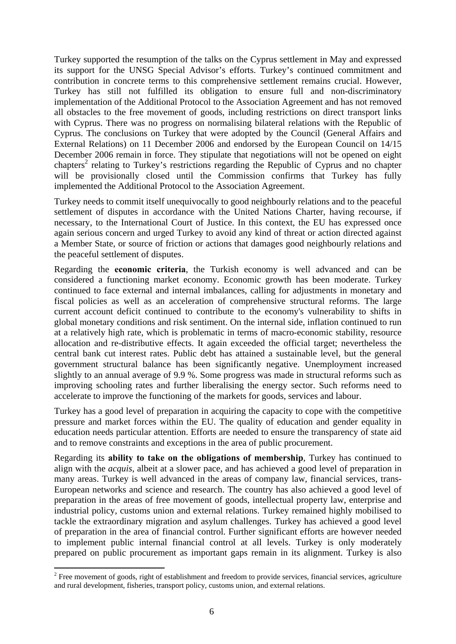Turkey supported the resumption of the talks on the Cyprus settlement in May and expressed its support for the UNSG Special Advisor's efforts. Turkey's continued commitment and contribution in concrete terms to this comprehensive settlement remains crucial. However, Turkey has still not fulfilled its obligation to ensure full and non-discriminatory implementation of the Additional Protocol to the Association Agreement and has not removed all obstacles to the free movement of goods, including restrictions on direct transport links with Cyprus. There was no progress on normalising bilateral relations with the Republic of Cyprus. The conclusions on Turkey that were adopted by the Council (General Affairs and External Relations) on 11 December 2006 and endorsed by the European Council on 14/15 December 2006 remain in force. They stipulate that negotiations will not be opened on eight chapters<sup>2</sup> relating to Turkey's restrictions regarding the Republic of Cyprus and no chapter will be provisionally closed until the Commission confirms that Turkey has fully implemented the Additional Protocol to the Association Agreement.

Turkey needs to commit itself unequivocally to good neighbourly relations and to the peaceful settlement of disputes in accordance with the United Nations Charter, having recourse, if necessary, to the International Court of Justice. In this context, the EU has expressed once again serious concern and urged Turkey to avoid any kind of threat or action directed against a Member State, or source of friction or actions that damages good neighbourly relations and the peaceful settlement of disputes.

Regarding the **economic criteria**, the Turkish economy is well advanced and can be considered a functioning market economy. Economic growth has been moderate. Turkey continued to face external and internal imbalances, calling for adjustments in monetary and fiscal policies as well as an acceleration of comprehensive structural reforms. The large current account deficit continued to contribute to the economy's vulnerability to shifts in global monetary conditions and risk sentiment. On the internal side, inflation continued to run at a relatively high rate, which is problematic in terms of macro-economic stability, resource allocation and re-distributive effects. It again exceeded the official target; nevertheless the central bank cut interest rates. Public debt has attained a sustainable level, but the general government structural balance has been significantly negative. Unemployment increased slightly to an annual average of 9.9 %. Some progress was made in structural reforms such as improving schooling rates and further liberalising the energy sector. Such reforms need to accelerate to improve the functioning of the markets for goods, services and labour.

Turkey has a good level of preparation in acquiring the capacity to cope with the competitive pressure and market forces within the EU. The quality of education and gender equality in education needs particular attention. Efforts are needed to ensure the transparency of state aid and to remove constraints and exceptions in the area of public procurement.

Regarding its **ability to take on the obligations of membership**, Turkey has continued to align with the *acquis*, albeit at a slower pace, and has achieved a good level of preparation in many areas. Turkey is well advanced in the areas of company law, financial services, trans-European networks and science and research. The country has also achieved a good level of preparation in the areas of free movement of goods, intellectual property law, enterprise and industrial policy, customs union and external relations. Turkey remained highly mobilised to tackle the extraordinary migration and asylum challenges. Turkey has achieved a good level of preparation in the area of financial control. Further significant efforts are however needed to implement public internal financial control at all levels. Turkey is only moderately prepared on public procurement as important gaps remain in its alignment. Turkey is also

**.** 

 $2^2$  Free movement of goods, right of establishment and freedom to provide services, financial services, agriculture and rural development, fisheries, transport policy, customs union, and external relations.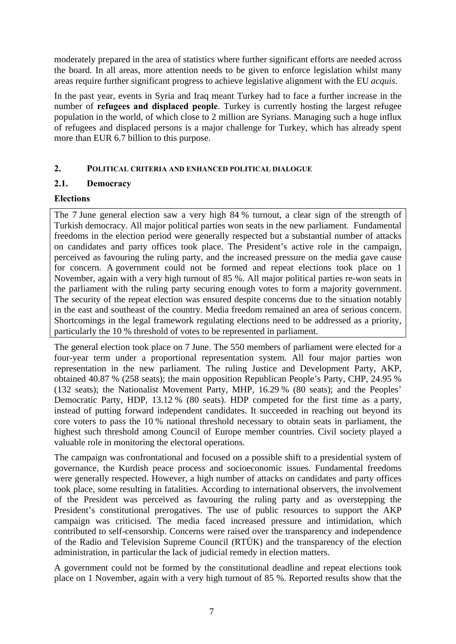moderately prepared in the area of statistics where further significant efforts are needed across the board. In all areas, more attention needs to be given to enforce legislation whilst many areas require further significant progress to achieve legislative alignment with the EU *acquis*.

In the past year, events in Syria and Iraq meant Turkey had to face a further increase in the number of **refugees and displaced people**. Turkey is currently hosting the largest refugee population in the world, of which close to 2 million are Syrians. Managing such a huge influx of refugees and displaced persons is a major challenge for Turkey, which has already spent more than EUR 6.7 billion to this purpose.

## <span id="page-6-0"></span>**2. POLITICAL CRITERIA AND ENHANCED POLITICAL DIALOGUE**

## <span id="page-6-1"></span>**2.1. Democracy**

## **Elections**

The 7 June general election saw a very high 84 % turnout, a clear sign of the strength of Turkish democracy. All major political parties won seats in the new parliament. Fundamental freedoms in the election period were generally respected but a substantial number of attacks on candidates and party offices took place. The President's active role in the campaign, perceived as favouring the ruling party, and the increased pressure on the media gave cause for concern. A government could not be formed and repeat elections took place on 1 November, again with a very high turnout of 85 %. All major political parties re-won seats in the parliament with the ruling party securing enough votes to form a majority government. The security of the repeat election was ensured despite concerns due to the situation notably in the east and southeast of the country. Media freedom remained an area of serious concern. Shortcomings in the legal framework regulating elections need to be addressed as a priority, particularly the 10 % threshold of votes to be represented in parliament.

The general election took place on 7 June. The 550 members of parliament were elected for a four-year term under a proportional representation system. All four major parties won representation in the new parliament. The ruling Justice and Development Party, AKP, obtained 40.87 % (258 seats); the main opposition Republican People's Party, CHP, 24.95 % (132 seats); the Nationalist Movement Party, MHP, 16.29 % (80 seats); and the Peoples' Democratic Party, HDP, 13.12 % (80 seats). HDP competed for the first time as a party, instead of putting forward independent candidates. It succeeded in reaching out beyond its core voters to pass the 10 % national threshold necessary to obtain seats in parliament, the highest such threshold among Council of Europe member countries. Civil society played a valuable role in monitoring the electoral operations.

The campaign was confrontational and focused on a possible shift to a presidential system of governance, the Kurdish peace process and socioeconomic issues. Fundamental freedoms were generally respected. However, a high number of attacks on candidates and party offices took place, some resulting in fatalities. According to international observers, the involvement of the President was perceived as favouring the ruling party and as overstepping the President's constitutional prerogatives. The use of public resources to support the AKP campaign was criticised. The media faced increased pressure and intimidation, which contributed to self-censorship. Concerns were raised over the transparency and independence of the Radio and Television Supreme Council (RTÜK) and the transparency of the election administration, in particular the lack of judicial remedy in election matters.

A government could not be formed by the constitutional deadline and repeat elections took place on 1 November, again with a very high turnout of 85 %. Reported results show that the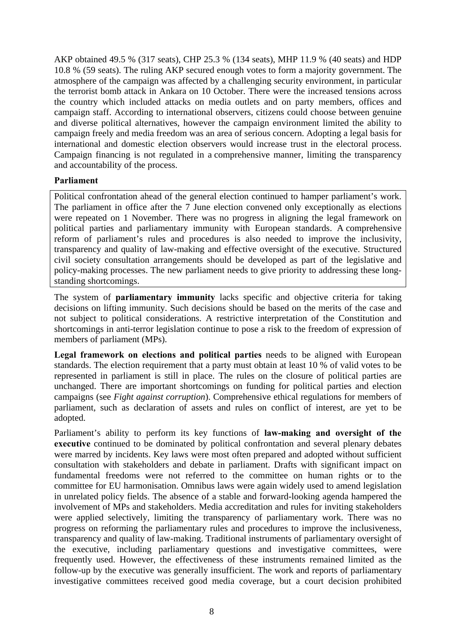AKP obtained 49.5 % (317 seats), CHP 25.3 % (134 seats), MHP 11.9 % (40 seats) and HDP 10.8 % (59 seats). The ruling AKP secured enough votes to form a majority government. The atmosphere of the campaign was affected by a challenging security environment, in particular the terrorist bomb attack in Ankara on 10 October. There were the increased tensions across the country which included attacks on media outlets and on party members, offices and campaign staff. According to international observers, citizens could choose between genuine and diverse political alternatives, however the campaign environment limited the ability to campaign freely and media freedom was an area of serious concern. Adopting a legal basis for international and domestic election observers would increase trust in the electoral process. Campaign financing is not regulated in a comprehensive manner, limiting the transparency and accountability of the process.

#### **Parliament**

Political confrontation ahead of the general election continued to hamper parliament's work. The parliament in office after the 7 June election convened only exceptionally as elections were repeated on 1 November. There was no progress in aligning the legal framework on political parties and parliamentary immunity with European standards. A comprehensive reform of parliament's rules and procedures is also needed to improve the inclusivity, transparency and quality of law-making and effective oversight of the executive. Structured civil society consultation arrangements should be developed as part of the legislative and policy-making processes. The new parliament needs to give priority to addressing these longstanding shortcomings.

The system of **parliamentary immunity** lacks specific and objective criteria for taking decisions on lifting immunity. Such decisions should be based on the merits of the case and not subject to political considerations. A restrictive interpretation of the Constitution and shortcomings in anti-terror legislation continue to pose a risk to the freedom of expression of members of parliament (MPs).

Legal framework on elections and political parties needs to be aligned with European standards. The election requirement that a party must obtain at least 10 % of valid votes to be represented in parliament is still in place. The rules on the closure of political parties are unchanged. There are important shortcomings on funding for political parties and election campaigns (see *Fight against corruption*). Comprehensive ethical regulations for members of parliament, such as declaration of assets and rules on conflict of interest, are yet to be adopted.

Parliament's ability to perform its key functions of **law-making and oversight of the executive** continued to be dominated by political confrontation and several plenary debates were marred by incidents. Key laws were most often prepared and adopted without sufficient consultation with stakeholders and debate in parliament. Drafts with significant impact on fundamental freedoms were not referred to the committee on human rights or to the committee for EU harmonisation. Omnibus laws were again widely used to amend legislation in unrelated policy fields. The absence of a stable and forward-looking agenda hampered the involvement of MPs and stakeholders. Media accreditation and rules for inviting stakeholders were applied selectively, limiting the transparency of parliamentary work. There was no progress on reforming the parliamentary rules and procedures to improve the inclusiveness, transparency and quality of law-making. Traditional instruments of parliamentary oversight of the executive*,* including parliamentary questions and investigative committees, were frequently used. However, the effectiveness of these instruments remained limited as the follow-up by the executive was generally insufficient. The work and reports of parliamentary investigative committees received good media coverage, but a court decision prohibited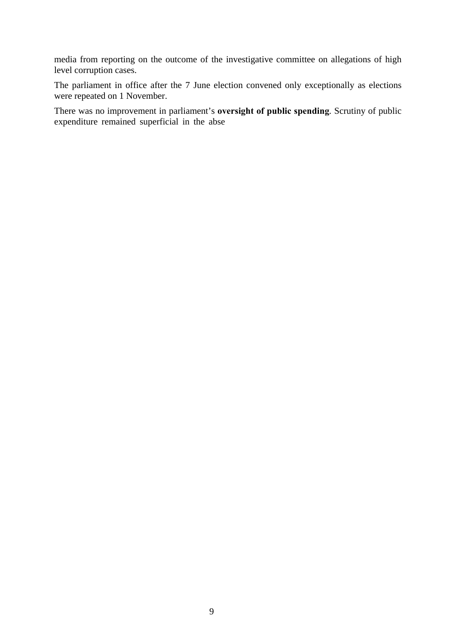media from reporting on the outcome of the investigative committee on allegations of high level corruption cases.

The parliament in office after the 7 June election convened only exceptionally as elections were repeated on 1 November.

There was no improvement in parliament's **oversight of public spending***.* Scrutiny of public expenditure remained superficial in the abse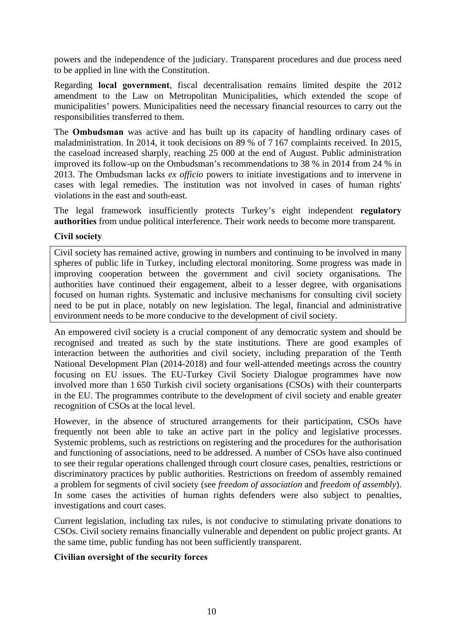powers and the independence of the judiciary. Transparent procedures and due process need to be applied in line with the Constitution.

Regarding **local government**, fiscal decentralisation remains limited despite the 2012 amendment to the Law on Metropolitan Municipalities, which extended the scope of municipalities' powers. Municipalities need the necessary financial resources to carry out the responsibilities transferred to them.

The **Ombudsman** was active and has built up its capacity of handling ordinary cases of maladministration. In 2014, it took decisions on 89 % of 7 167 complaints received. In 2015, the caseload increased sharply, reaching 25 000 at the end of August. Public administration improved its follow-up on the Ombudsman's recommendations to 38 % in 2014 from 24 % in 2013. The Ombudsman lacks *ex officio* powers to initiate investigations and to intervene in cases with legal remedies. The institution was not involved in cases of human rights' violations in the east and south-east.

The legal framework insufficiently protects Turkey's eight independent **regulatory authorities** from undue political interference. Their work needs to become more transparent.

#### **Civil society**

Civil society has remained active, growing in numbers and continuing to be involved in many spheres of public life in Turkey, including electoral monitoring. Some progress was made in improving cooperation between the government and civil society organisations. The authorities have continued their engagement, albeit to a lesser degree, with organisations focused on human rights. Systematic and inclusive mechanisms for consulting civil society need to be put in place, notably on new legislation. The legal, financial and administrative environment needs to be more conducive to the development of civil society.

An empowered civil society is a crucial component of any democratic system and should be recognised and treated as such by the state institutions. There are good examples of interaction between the authorities and civil society, including preparation of the Tenth National Development Plan (2014-2018) and four well-attended meetings across the country focusing on EU issues. The EU-Turkey Civil Society Dialogue programmes have now involved more than 1 650 Turkish civil society organisations (CSOs) with their counterparts in the EU. The programmes contribute to the development of civil society and enable greater recognition of CSOs at the local level.

However, in the absence of structured arrangements for their participation, CSOs have frequently not been able to take an active part in the policy and legislative processes. Systemic problems, such as restrictions on registering and the procedures for the authorisation and functioning of associations, need to be addressed. A number of CSOs have also continued to see their regular operations challenged through court closure cases, penalties, restrictions or discriminatory practices by public authorities. Restrictions on freedom of assembly remained a problem for segments of civil society (see *freedom of association* and *freedom of assembly*). In some cases the activities of human rights defenders were also subject to penalties, investigations and court cases.

Current legislation, including tax rules, is not conducive to stimulating private donations to CSOs. Civil society remains financially vulnerable and dependent on public project grants. At the same time, public funding has not been sufficiently transparent.

## **Civilian oversight of the security forces**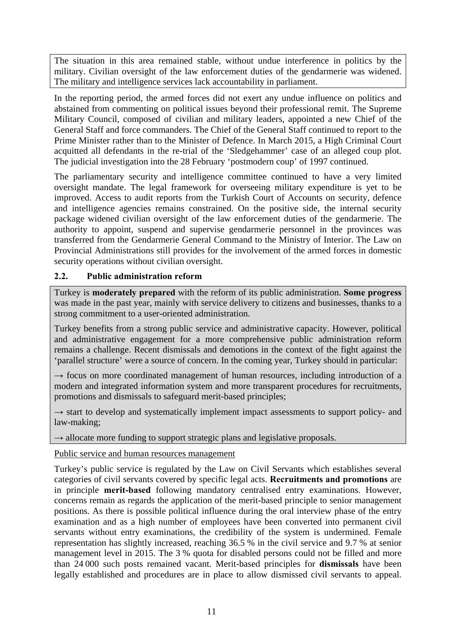The situation in this area remained stable, without undue interference in politics by the military. Civilian oversight of the law enforcement duties of the gendarmerie was widened. The military and intelligence services lack accountability in parliament.

In the reporting period, the armed forces did not exert any undue influence on politics and abstained from commenting on political issues beyond their professional remit. The Supreme Military Council, composed of civilian and military leaders, appointed a new Chief of the General Staff and force commanders. The Chief of the General Staff continued to report to the Prime Minister rather than to the Minister of Defence. In March 2015, a High Criminal Court acquitted all defendants in the re-trial of the 'Sledgehammer' case of an alleged coup plot. The judicial investigation into the 28 February 'postmodern coup' of 1997 continued.

The parliamentary security and intelligence committee continued to have a very limited oversight mandate. The legal framework for overseeing military expenditure is yet to be improved. Access to audit reports from the Turkish Court of Accounts on security, defence and intelligence agencies remains constrained. On the positive side, the internal security package widened civilian oversight of the law enforcement duties of the gendarmerie. The authority to appoint, suspend and supervise gendarmerie personnel in the provinces was transferred from the Gendarmerie General Command to the Ministry of Interior. The Law on Provincial Administrations still provides for the involvement of the armed forces in domestic security operations without civilian oversight.

# <span id="page-10-0"></span>**2.2. Public administration reform**

Turkey is **moderately prepared** with the reform of its public administration. **Some progress** was made in the past year, mainly with service delivery to citizens and businesses, thanks to a strong commitment to a user-oriented administration.

Turkey benefits from a strong public service and administrative capacity. However, political and administrative engagement for a more comprehensive public administration reform remains a challenge. Recent dismissals and demotions in the context of the fight against the 'parallel structure' were a source of concern. In the coming year, Turkey should in particular:

 $\rightarrow$  focus on more coordinated management of human resources, including introduction of a modern and integrated information system and more transparent procedures for recruitments, promotions and dismissals to safeguard merit-based principles;

 $\rightarrow$  start to develop and systematically implement impact assessments to support policy- and law-making;

 $\rightarrow$  allocate more funding to support strategic plans and legislative proposals.

# Public service and human resources management

Turkey's public service is regulated by the Law on Civil Servants which establishes several categories of civil servants covered by specific legal acts. **Recruitments and promotions** are in principle **merit-based** following mandatory centralised entry examinations. However, concerns remain as regards the application of the merit-based principle to senior management positions. As there is possible political influence during the oral interview phase of the entry examination and as a high number of employees have been converted into permanent civil servants without entry examinations, the credibility of the system is undermined. Female representation has slightly increased, reaching 36.5 % in the civil service and 9.7 % at senior management level in 2015. The 3 % quota for disabled persons could not be filled and more than 24 000 such posts remained vacant. Merit-based principles for **dismissals** have been legally established and procedures are in place to allow dismissed civil servants to appeal.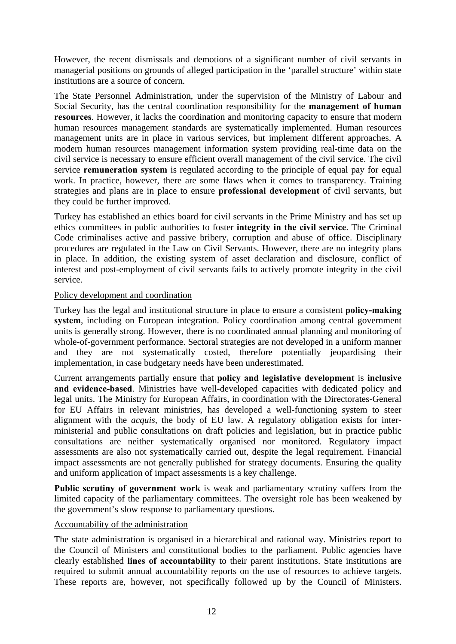However, the recent dismissals and demotions of a significant number of civil servants in managerial positions on grounds of alleged participation in the 'parallel structure' within state institutions are a source of concern.

The State Personnel Administration, under the supervision of the Ministry of Labour and Social Security, has the central coordination responsibility for the **management of human resources**. However, it lacks the coordination and monitoring capacity to ensure that modern human resources management standards are systematically implemented. Human resources management units are in place in various services, but implement different approaches. A modern human resources management information system providing real-time data on the civil service is necessary to ensure efficient overall management of the civil service. The civil service **remuneration system** is regulated according to the principle of equal pay for equal work. In practice, however, there are some flaws when it comes to transparency. Training strategies and plans are in place to ensure **professional development** of civil servants, but they could be further improved.

Turkey has established an ethics board for civil servants in the Prime Ministry and has set up ethics committees in public authorities to foster **integrity in the civil service**. The Criminal Code criminalises active and passive bribery, corruption and abuse of office. Disciplinary procedures are regulated in the Law on Civil Servants. However, there are no integrity plans in place. In addition, the existing system of asset declaration and disclosure, conflict of interest and post-employment of civil servants fails to actively promote integrity in the civil service.

#### Policy development and coordination

Turkey has the legal and institutional structure in place to ensure a consistent **policy-making system**, including on European integration. Policy coordination among central government units is generally strong. However, there is no coordinated annual planning and monitoring of whole-of-government performance. Sectoral strategies are not developed in a uniform manner and they are not systematically costed, therefore potentially jeopardising their implementation, in case budgetary needs have been underestimated.

Current arrangements partially ensure that **policy and legislative development** is **inclusive and evidence-based**. Ministries have well-developed capacities with dedicated policy and legal units. The Ministry for European Affairs, in coordination with the Directorates-General for EU Affairs in relevant ministries, has developed a well-functioning system to steer alignment with the *acquis*, the body of EU law. A regulatory obligation exists for interministerial and public consultations on draft policies and legislation, but in practice public consultations are neither systematically organised nor monitored. Regulatory impact assessments are also not systematically carried out, despite the legal requirement. Financial impact assessments are not generally published for strategy documents. Ensuring the quality and uniform application of impact assessments is a key challenge.

**Public scrutiny of government work** is weak and parliamentary scrutiny suffers from the limited capacity of the parliamentary committees. The oversight role has been weakened by the government's slow response to parliamentary questions.

#### Accountability of the administration

The state administration is organised in a hierarchical and rational way. Ministries report to the Council of Ministers and constitutional bodies to the parliament. Public agencies have clearly established **lines of accountability** to their parent institutions. State institutions are required to submit annual accountability reports on the use of resources to achieve targets. These reports are, however, not specifically followed up by the Council of Ministers.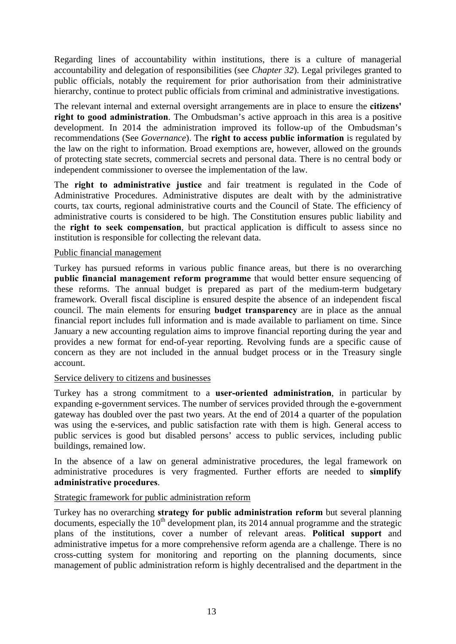Regarding lines of accountability within institutions, there is a culture of managerial accountability and delegation of responsibilities (see *Chapter 32*). Legal privileges granted to public officials, notably the requirement for prior authorisation from their administrative hierarchy, continue to protect public officials from criminal and administrative investigations.

The relevant internal and external oversight arrangements are in place to ensure the **citizens' right to good administration**. The Ombudsman's active approach in this area is a positive development. In 2014 the administration improved its follow-up of the Ombudsman's recommendations (See *Governance*). The **right to access public information** is regulated by the law on the right to information. Broad exemptions are, however, allowed on the grounds of protecting state secrets, commercial secrets and personal data. There is no central body or independent commissioner to oversee the implementation of the law.

The **right to administrative justice** and fair treatment is regulated in the Code of Administrative Procedures. Administrative disputes are dealt with by the administrative courts, tax courts, regional administrative courts and the Council of State. The efficiency of administrative courts is considered to be high. The Constitution ensures public liability and the **right to seek compensation**, but practical application is difficult to assess since no institution is responsible for collecting the relevant data.

#### Public financial management

Turkey has pursued reforms in various public finance areas, but there is no overarching **public financial management reform programme** that would better ensure sequencing of these reforms. The annual budget is prepared as part of the medium-term budgetary framework. Overall fiscal discipline is ensured despite the absence of an independent fiscal council. The main elements for ensuring **budget transparency** are in place as the annual financial report includes full information and is made available to parliament on time. Since January a new accounting regulation aims to improve financial reporting during the year and provides a new format for end-of-year reporting. Revolving funds are a specific cause of concern as they are not included in the annual budget process or in the Treasury single account.

## Service delivery to citizens and businesses

Turkey has a strong commitment to a **user-oriented administration**, in particular by expanding e-government services. The number of services provided through the e-government gateway has doubled over the past two years. At the end of 2014 a quarter of the population was using the e-services, and public satisfaction rate with them is high. General access to public services is good but disabled persons' access to public services, including public buildings, remained low.

In the absence of a law on general administrative procedures, the legal framework on administrative procedures is very fragmented. Further efforts are needed to **simplify administrative procedures**.

## Strategic framework for public administration reform

Turkey has no overarching **strategy for public administration reform** but several planning documents, especially the  $10<sup>th</sup>$  development plan, its 2014 annual programme and the strategic plans of the institutions, cover a number of relevant areas. **Political support** and administrative impetus for a more comprehensive reform agenda are a challenge. There is no cross-cutting system for monitoring and reporting on the planning documents, since management of public administration reform is highly decentralised and the department in the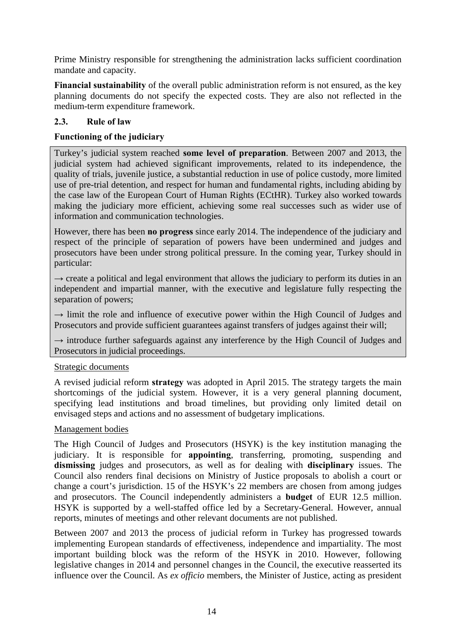Prime Ministry responsible for strengthening the administration lacks sufficient coordination mandate and capacity.

**Financial sustainability** of the overall public administration reform is not ensured, as the key planning documents do not specify the expected costs. They are also not reflected in the medium-term expenditure framework.

# <span id="page-13-0"></span>**2.3. Rule of law**

# **Functioning of the judiciary**

Turkey's judicial system reached **some level of preparation**. Between 2007 and 2013, the judicial system had achieved significant improvements, related to its independence, the quality of trials, juvenile justice, a substantial reduction in use of police custody, more limited use of pre-trial detention, and respect for human and fundamental rights, including abiding by the case law of the European Court of Human Rights (ECtHR). Turkey also worked towards making the judiciary more efficient, achieving some real successes such as wider use of information and communication technologies.

However, there has been **no progress** since early 2014. The independence of the judiciary and respect of the principle of separation of powers have been undermined and judges and prosecutors have been under strong political pressure. In the coming year, Turkey should in particular:

 $\rightarrow$  create a political and legal environment that allows the judiciary to perform its duties in an independent and impartial manner, with the executive and legislature fully respecting the separation of powers;

 $\rightarrow$  limit the role and influence of executive power within the High Council of Judges and Prosecutors and provide sufficient guarantees against transfers of judges against their will;

 $\rightarrow$  introduce further safeguards against any interference by the High Council of Judges and Prosecutors in judicial proceedings.

## Strategic documents

A revised judicial reform **strategy** was adopted in April 2015. The strategy targets the main shortcomings of the judicial system. However, it is a very general planning document, specifying lead institutions and broad timelines, but providing only limited detail on envisaged steps and actions and no assessment of budgetary implications.

## Management bodies

The High Council of Judges and Prosecutors (HSYK) is the key institution managing the judiciary. It is responsible for **appointing**, transferring, promoting, suspending and **dismissing** judges and prosecutors, as well as for dealing with **disciplinary** issues. The Council also renders final decisions on Ministry of Justice proposals to abolish a court or change a court's jurisdiction. 15 of the HSYK's 22 members are chosen from among judges and prosecutors. The Council independently administers a **budget** of EUR 12.5 million. HSYK is supported by a well-staffed office led by a Secretary-General. However, annual reports, minutes of meetings and other relevant documents are not published.

Between 2007 and 2013 the process of judicial reform in Turkey has progressed towards implementing European standards of effectiveness, independence and impartiality. The most important building block was the reform of the HSYK in 2010. However, following legislative changes in 2014 and personnel changes in the Council, the executive reasserted its influence over the Council. As *ex officio* members, the Minister of Justice, acting as president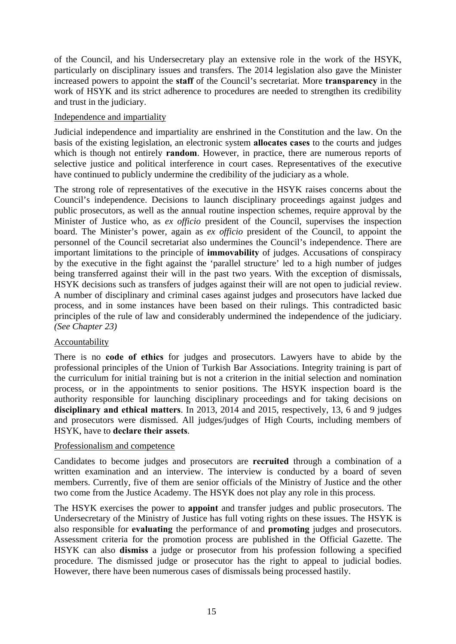of the Council, and his Undersecretary play an extensive role in the work of the HSYK, particularly on disciplinary issues and transfers. The 2014 legislation also gave the Minister increased powers to appoint the **staff** of the Council's secretariat. More **transparency** in the work of HSYK and its strict adherence to procedures are needed to strengthen its credibility and trust in the judiciary.

#### Independence and impartiality

Judicial independence and impartiality are enshrined in the Constitution and the law. On the basis of the existing legislation, an electronic system **allocates cases** to the courts and judges which is though not entirely **random**. However, in practice, there are numerous reports of selective justice and political interference in court cases. Representatives of the executive have continued to publicly undermine the credibility of the judiciary as a whole.

The strong role of representatives of the executive in the HSYK raises concerns about the Council's independence. Decisions to launch disciplinary proceedings against judges and public prosecutors, as well as the annual routine inspection schemes, require approval by the Minister of Justice who, as *ex officio* president of the Council, supervises the inspection board. The Minister's power, again as *ex officio* president of the Council, to appoint the personnel of the Council secretariat also undermines the Council's independence. There are important limitations to the principle of **immovability** of judges. Accusations of conspiracy by the executive in the fight against the 'parallel structure' led to a high number of judges being transferred against their will in the past two years. With the exception of dismissals, HSYK decisions such as transfers of judges against their will are not open to judicial review. A number of disciplinary and criminal cases against judges and prosecutors have lacked due process, and in some instances have been based on their rulings. This contradicted basic principles of the rule of law and considerably undermined the independence of the judiciary. *(See Chapter 23)*

## Accountability

There is no **code of ethics** for judges and prosecutors. Lawyers have to abide by the professional principles of the Union of Turkish Bar Associations. Integrity training is part of the curriculum for initial training but is not a criterion in the initial selection and nomination process, or in the appointments to senior positions. The HSYK inspection board is the authority responsible for launching disciplinary proceedings and for taking decisions on **disciplinary and ethical matters**. In 2013, 2014 and 2015, respectively, 13, 6 and 9 judges and prosecutors were dismissed. All judges/judges of High Courts, including members of HSYK, have to **declare their assets**.

#### Professionalism and competence

Candidates to become judges and prosecutors are **recruited** through a combination of a written examination and an interview. The interview is conducted by a board of seven members. Currently, five of them are senior officials of the Ministry of Justice and the other two come from the Justice Academy. The HSYK does not play any role in this process.

The HSYK exercises the power to **appoint** and transfer judges and public prosecutors. The Undersecretary of the Ministry of Justice has full voting rights on these issues. The HSYK is also responsible for **evaluating** the performance of and **promoting** judges and prosecutors. Assessment criteria for the promotion process are published in the Official Gazette. The HSYK can also **dismiss** a judge or prosecutor from his profession following a specified procedure. The dismissed judge or prosecutor has the right to appeal to judicial bodies. However, there have been numerous cases of dismissals being processed hastily.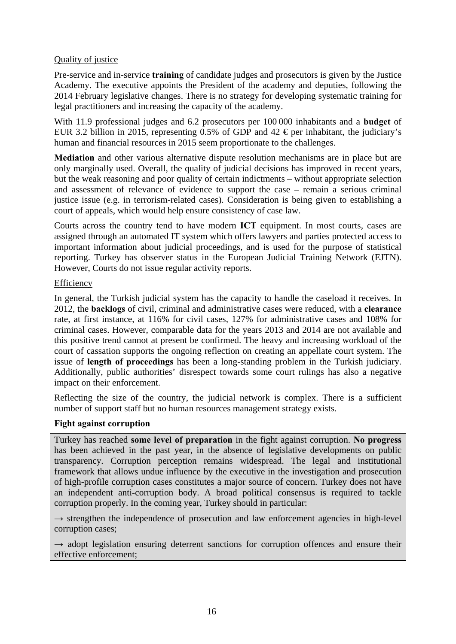## Quality of justice

Pre-service and in-service **training** of candidate judges and prosecutors is given by the Justice Academy. The executive appoints the President of the academy and deputies, following the 2014 February legislative changes. There is no strategy for developing systematic training for legal practitioners and increasing the capacity of the academy.

With 11.9 professional judges and 6.2 prosecutors per 100 000 inhabitants and a **budget** of EUR 3.2 billion in 2015, representing 0.5% of GDP and 42  $\epsilon$  per inhabitant, the judiciary's human and financial resources in 2015 seem proportionate to the challenges.

**Mediation** and other various alternative dispute resolution mechanisms are in place but are only marginally used. Overall, the quality of judicial decisions has improved in recent years, but the weak reasoning and poor quality of certain indictments – without appropriate selection and assessment of relevance of evidence to support the case – remain a serious criminal justice issue (e.g. in terrorism-related cases). Consideration is being given to establishing a court of appeals, which would help ensure consistency of case law.

Courts across the country tend to have modern **ICT** equipment. In most courts, cases are assigned through an automated IT system which offers lawyers and parties protected access to important information about judicial proceedings, and is used for the purpose of statistical reporting. Turkey has observer status in the European Judicial Training Network (EJTN). However, Courts do not issue regular activity reports.

#### Efficiency

In general, the Turkish judicial system has the capacity to handle the caseload it receives. In 2012, the **backlogs** of civil, criminal and administrative cases were reduced, with a **clearance**  rate, at first instance, at 116% for civil cases, 127% for administrative cases and 108% for criminal cases. However, comparable data for the years 2013 and 2014 are not available and this positive trend cannot at present be confirmed. The heavy and increasing workload of the court of cassation supports the ongoing reflection on creating an appellate court system. The issue of **length of proceedings** has been a long-standing problem in the Turkish judiciary. Additionally, public authorities' disrespect towards some court rulings has also a negative impact on their enforcement.

Reflecting the size of the country, the judicial network is complex. There is a sufficient number of support staff but no human resources management strategy exists.

## **Fight against corruption**

Turkey has reached **some level of preparation** in the fight against corruption. **No progress** has been achieved in the past year, in the absence of legislative developments on public transparency. Corruption perception remains widespread. The legal and institutional framework that allows undue influence by the executive in the investigation and prosecution of high-profile corruption cases constitutes a major source of concern. Turkey does not have an independent anti-corruption body. A broad political consensus is required to tackle corruption properly. In the coming year, Turkey should in particular:

 $\rightarrow$  strengthen the independence of prosecution and law enforcement agencies in high-level corruption cases;

 $\rightarrow$  adopt legislation ensuring deterrent sanctions for corruption offences and ensure their effective enforcement;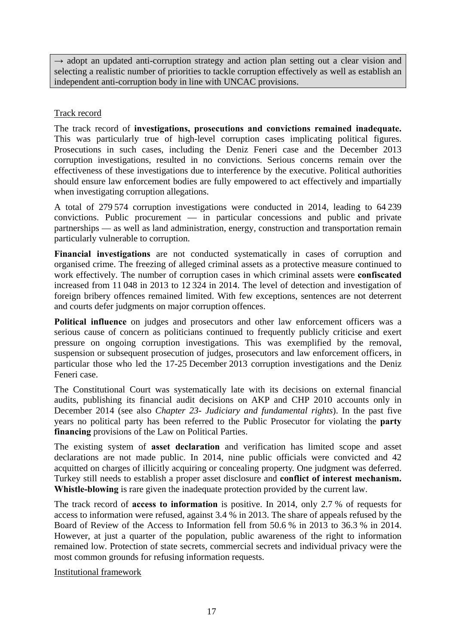$\rightarrow$  adopt an updated anti-corruption strategy and action plan setting out a clear vision and selecting a realistic number of priorities to tackle corruption effectively as well as establish an independent anti-corruption body in line with UNCAC provisions.

## Track record

The track record of **investigations, prosecutions and convictions remained inadequate.**  This was particularly true of high-level corruption cases implicating political figures. Prosecutions in such cases, including the Deniz Feneri case and the December 2013 corruption investigations, resulted in no convictions. Serious concerns remain over the effectiveness of these investigations due to interference by the executive. Political authorities should ensure law enforcement bodies are fully empowered to act effectively and impartially when investigating corruption allegations.

A total of 279 574 corruption investigations were conducted in 2014, leading to 64 239 convictions. Public procurement — in particular concessions and public and private partnerships — as well as land administration, energy, construction and transportation remain particularly vulnerable to corruption.

**Financial investigations** are not conducted systematically in cases of corruption and organised crime. The freezing of alleged criminal assets as a protective measure continued to work effectively. The number of corruption cases in which criminal assets were **confiscated** increased from 11 048 in 2013 to 12 324 in 2014. The level of detection and investigation of foreign bribery offences remained limited. With few exceptions, sentences are not deterrent and courts defer judgments on major corruption offences.

**Political influence** on judges and prosecutors and other law enforcement officers was a serious cause of concern as politicians continued to frequently publicly criticise and exert pressure on ongoing corruption investigations. This was exemplified by the removal, suspension or subsequent prosecution of judges, prosecutors and law enforcement officers, in particular those who led the 17-25 December 2013 corruption investigations and the Deniz Feneri case.

The Constitutional Court was systematically late with its decisions on external financial audits, publishing its financial audit decisions on AKP and CHP 2010 accounts only in December 2014 (see also *Chapter 23- Judiciary and fundamental rights*). In the past five years no political party has been referred to the Public Prosecutor for violating the **party financing** provisions of the Law on Political Parties.

The existing system of **asset declaration** and verification has limited scope and asset declarations are not made public. In 2014, nine public officials were convicted and 42 acquitted on charges of illicitly acquiring or concealing property. One judgment was deferred. Turkey still needs to establish a proper asset disclosure and **conflict of interest mechanism. Whistle-blowing** is rare given the inadequate protection provided by the current law.

The track record of **access to information** is positive. In 2014, only 2.7 % of requests for access to information were refused, against 3.4 % in 2013. The share of appeals refused by the Board of Review of the Access to Information fell from 50.6 % in 2013 to 36.3 % in 2014. However, at just a quarter of the population, public awareness of the right to information remained low. Protection of state secrets, commercial secrets and individual privacy were the most common grounds for refusing information requests.

Institutional framework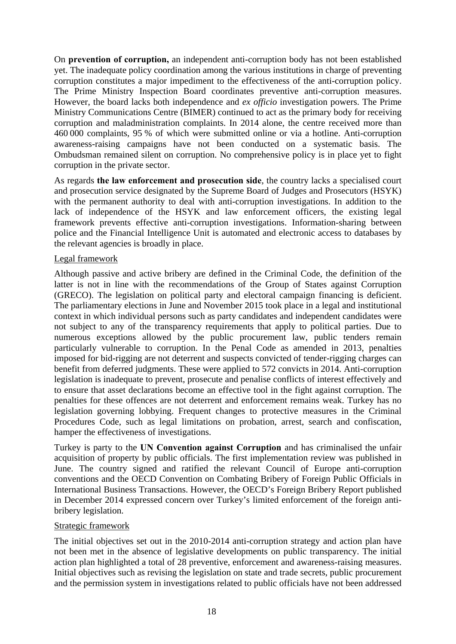On **prevention of corruption,** an independent anti-corruption body has not been established yet. The inadequate policy coordination among the various institutions in charge of preventing corruption constitutes a major impediment to the effectiveness of the anti-corruption policy. The Prime Ministry Inspection Board coordinates preventive anti-corruption measures. However, the board lacks both independence and *ex officio* investigation powers. The Prime Ministry Communications Centre (BIMER) continued to act as the primary body for receiving corruption and maladministration complaints. In 2014 alone, the centre received more than 460 000 complaints, 95 % of which were submitted online or via a hotline. Anti-corruption awareness-raising campaigns have not been conducted on a systematic basis. The Ombudsman remained silent on corruption. No comprehensive policy is in place yet to fight corruption in the private sector.

As regards **the law enforcement and prosecution side**, the country lacks a specialised court and prosecution service designated by the Supreme Board of Judges and Prosecutors (HSYK) with the permanent authority to deal with anti-corruption investigations. In addition to the lack of independence of the HSYK and law enforcement officers, the existing legal framework prevents effective anti-corruption investigations. Information-sharing between police and the Financial Intelligence Unit is automated and electronic access to databases by the relevant agencies is broadly in place.

#### Legal framework

Although passive and active bribery are defined in the Criminal Code, the definition of the latter is not in line with the recommendations of the Group of States against Corruption (GRECO). The legislation on political party and electoral campaign financing is deficient. The parliamentary elections in June and November 2015 took place in a legal and institutional context in which individual persons such as party candidates and independent candidates were not subject to any of the transparency requirements that apply to political parties. Due to numerous exceptions allowed by the public procurement law, public tenders remain particularly vulnerable to corruption. In the Penal Code as amended in 2013, penalties imposed for bid-rigging are not deterrent and suspects convicted of tender-rigging charges can benefit from deferred judgments. These were applied to 572 convicts in 2014. Anti-corruption legislation is inadequate to prevent, prosecute and penalise conflicts of interest effectively and to ensure that asset declarations become an effective tool in the fight against corruption. The penalties for these offences are not deterrent and enforcement remains weak. Turkey has no legislation governing lobbying. Frequent changes to protective measures in the Criminal Procedures Code, such as legal limitations on probation, arrest, search and confiscation, hamper the effectiveness of investigations.

Turkey is party to the **UN Convention against Corruption** and has criminalised the unfair acquisition of property by public officials. The first implementation review was published in June. The country signed and ratified the relevant Council of Europe anti-corruption conventions and the OECD Convention on Combating Bribery of Foreign Public Officials in International Business Transactions. However, the OECD's Foreign Bribery Report published in December 2014 expressed concern over Turkey's limited enforcement of the foreign antibribery legislation.

## Strategic framework

The initial objectives set out in the 2010-2014 anti-corruption strategy and action plan have not been met in the absence of legislative developments on public transparency. The initial action plan highlighted a total of 28 preventive, enforcement and awareness-raising measures. Initial objectives such as revising the legislation on state and trade secrets, public procurement and the permission system in investigations related to public officials have not been addressed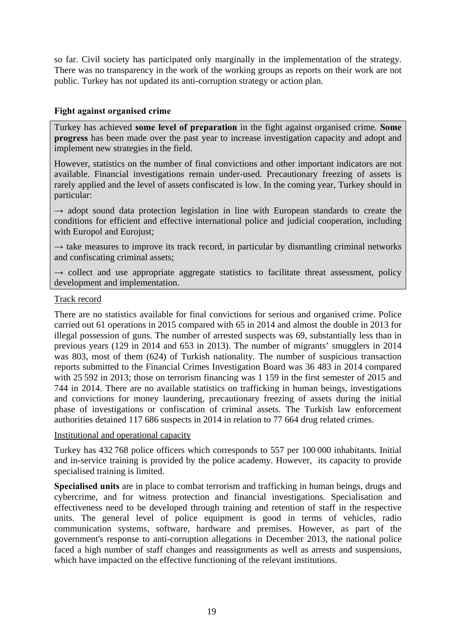so far. Civil society has participated only marginally in the implementation of the strategy. There was no transparency in the work of the working groups as reports on their work are not public. Turkey has not updated its anti-corruption strategy or action plan.

#### **Fight against organised crime**

Turkey has achieved **some level of preparation** in the fight against organised crime*.* **Some progress** has been made over the past year to increase investigation capacity and adopt and implement new strategies in the field.

However, statistics on the number of final convictions and other important indicators are not available. Financial investigations remain under-used. Precautionary freezing of assets is rarely applied and the level of assets confiscated is low. In the coming year, Turkey should in particular:

 $\rightarrow$  adopt sound data protection legislation in line with European standards to create the conditions for efficient and effective international police and judicial cooperation, including with Europol and Eurojust;

 $\rightarrow$  take measures to improve its track record, in particular by dismantling criminal networks and confiscating criminal assets;

 $\rightarrow$  collect and use appropriate aggregate statistics to facilitate threat assessment, policy development and implementation.

#### Track record

There are no statistics available for final convictions for serious and organised crime. Police carried out 61 operations in 2015 compared with 65 in 2014 and almost the double in 2013 for illegal possession of guns. The number of arrested suspects was 69, substantially less than in previous years (129 in 2014 and 653 in 2013). The number of migrants' smugglers in 2014 was 803, most of them (624) of Turkish nationality. The number of suspicious transaction reports submitted to the Financial Crimes Investigation Board was 36 483 in 2014 compared with 25 592 in 2013; those on terrorism financing was 1 159 in the first semester of 2015 and 744 in 2014. There are no available statistics on trafficking in human beings, investigations and convictions for money laundering, precautionary freezing of assets during the initial phase of investigations or confiscation of criminal assets. The Turkish law enforcement authorities detained 117 686 suspects in 2014 in relation to 77 664 drug related crimes.

#### Institutional and operational capacity

Turkey has 432 768 police officers which corresponds to 557 per 100 000 inhabitants. Initial and in-service training is provided by the police academy. However, its capacity to provide specialised training is limited.

**Specialised units** are in place to combat terrorism and trafficking in human beings, drugs and cybercrime, and for witness protection and financial investigations. Specialisation and effectiveness need to be developed through training and retention of staff in the respective units. The general level of police equipment is good in terms of vehicles, radio communication systems, software, hardware and premises. However, as part of the government's response to anti-corruption allegations in December 2013, the national police faced a high number of staff changes and reassignments as well as arrests and suspensions, which have impacted on the effective functioning of the relevant institutions.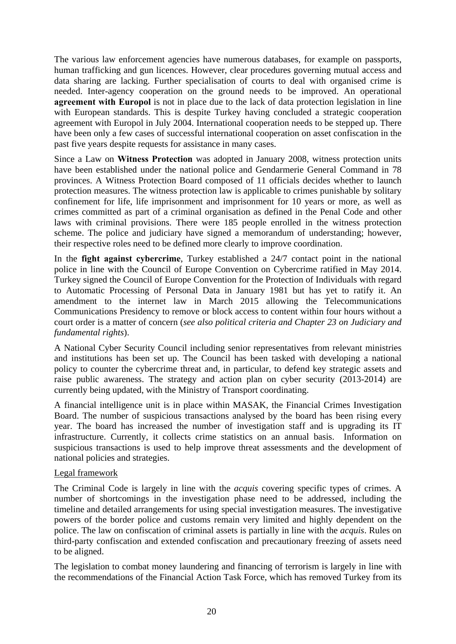The various law enforcement agencies have numerous databases, for example on passports, human trafficking and gun licences. However, clear procedures governing mutual access and data sharing are lacking. Further specialisation of courts to deal with organised crime is needed. Inter-agency cooperation on the ground needs to be improved. An operational **agreement with Europol** is not in place due to the lack of data protection legislation in line with European standards. This is despite Turkey having concluded a strategic cooperation agreement with Europol in July 2004. International cooperation needs to be stepped up. There have been only a few cases of successful international cooperation on asset confiscation in the past five years despite requests for assistance in many cases.

Since a Law on **Witness Protection** was adopted in January 2008, witness protection units have been established under the national police and Gendarmerie General Command in 78 provinces. A Witness Protection Board composed of 11 officials decides whether to launch protection measures. The witness protection law is applicable to crimes punishable by solitary confinement for life, life imprisonment and imprisonment for 10 years or more, as well as crimes committed as part of a criminal organisation as defined in the Penal Code and other laws with criminal provisions. There were 185 people enrolled in the witness protection scheme. The police and judiciary have signed a memorandum of understanding; however, their respective roles need to be defined more clearly to improve coordination.

In the **fight against cybercrime**, Turkey established a 24/7 contact point in the national police in line with the Council of Europe Convention on Cybercrime ratified in May 2014. Turkey signed the Council of Europe Convention for the Protection of Individuals with regard to Automatic Processing of Personal Data in January 1981 but has yet to ratify it. An amendment to the internet law in March 2015 allowing the Telecommunications Communications Presidency to remove or block access to content within four hours without a court order is a matter of concern (*see also political criteria and Chapter 23 on Judiciary and fundamental rights*).

A National Cyber Security Council including senior representatives from relevant ministries and institutions has been set up. The Council has been tasked with developing a national policy to counter the cybercrime threat and, in particular, to defend key strategic assets and raise public awareness. The strategy and action plan on cyber security (2013-2014) are currently being updated, with the Ministry of Transport coordinating.

A financial intelligence unit is in place within MASAK, the Financial Crimes Investigation Board. The number of suspicious transactions analysed by the board has been rising every year. The board has increased the number of investigation staff and is upgrading its IT infrastructure. Currently, it collects crime statistics on an annual basis. Information on suspicious transactions is used to help improve threat assessments and the development of national policies and strategies.

#### Legal framework

The Criminal Code is largely in line with the *acquis* covering specific types of crimes. A number of shortcomings in the investigation phase need to be addressed, including the timeline and detailed arrangements for using special investigation measures. The investigative powers of the border police and customs remain very limited and highly dependent on the police. The law on confiscation of criminal assets is partially in line with the *acquis*. Rules on third-party confiscation and extended confiscation and precautionary freezing of assets need to be aligned.

The legislation to combat money laundering and financing of terrorism is largely in line with the recommendations of the Financial Action Task Force, which has removed Turkey from its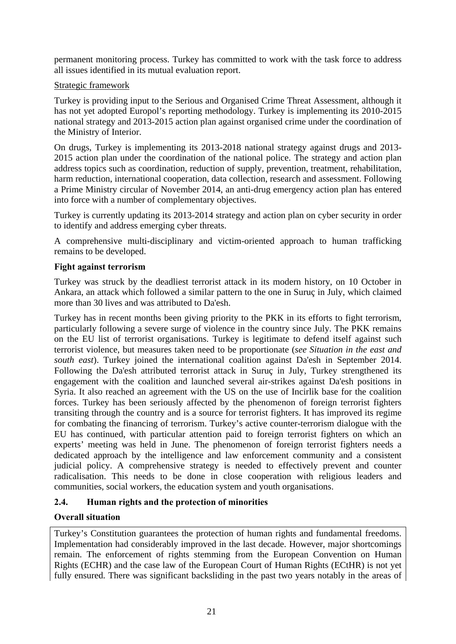permanent monitoring process. Turkey has committed to work with the task force to address all issues identified in its mutual evaluation report.

## Strategic framework

Turkey is providing input to the Serious and Organised Crime Threat Assessment, although it has not yet adopted Europol's reporting methodology. Turkey is implementing its 2010-2015 national strategy and 2013-2015 action plan against organised crime under the coordination of the Ministry of Interior.

On drugs, Turkey is implementing its 2013-2018 national strategy against drugs and 2013- 2015 action plan under the coordination of the national police. The strategy and action plan address topics such as coordination, reduction of supply, prevention, treatment, rehabilitation, harm reduction, international cooperation, data collection, research and assessment. Following a Prime Ministry circular of November 2014, an anti-drug emergency action plan has entered into force with a number of complementary objectives.

Turkey is currently updating its 2013-2014 strategy and action plan on cyber security in order to identify and address emerging cyber threats.

A comprehensive multi-disciplinary and victim-oriented approach to human trafficking remains to be developed.

#### **Fight against terrorism**

Turkey was struck by the deadliest terrorist attack in its modern history, on 10 October in Ankara, an attack which followed a similar pattern to the one in Suruç in July, which claimed more than 30 lives and was attributed to Da'esh.

Turkey has in recent months been giving priority to the PKK in its efforts to fight terrorism, particularly following a severe surge of violence in the country since July. The PKK remains on the EU list of terrorist organisations. Turkey is legitimate to defend itself against such terrorist violence, but measures taken need to be proportionate (*see Situation in the east and south east*). Turkey joined the international coalition against Da'esh in September 2014. Following the Da'esh attributed terrorist attack in Suruç in July, Turkey strengthened its engagement with the coalition and launched several air-strikes against Da'esh positions in Syria. It also reached an agreement with the US on the use of Incirlik base for the coalition forces. Turkey has been seriously affected by the phenomenon of foreign terrorist fighters transiting through the country and is a source for terrorist fighters. It has improved its regime for combating the financing of terrorism. Turkey's active counter-terrorism dialogue with the EU has continued, with particular attention paid to foreign terrorist fighters on which an experts' meeting was held in June. The phenomenon of foreign terrorist fighters needs a dedicated approach by the intelligence and law enforcement community and a consistent judicial policy. A comprehensive strategy is needed to effectively prevent and counter radicalisation. This needs to be done in close cooperation with religious leaders and communities, social workers, the education system and youth organisations.

## <span id="page-20-0"></span>**2.4. Human rights and the protection of minorities**

## **Overall situation**

Turkey's Constitution guarantees the protection of human rights and fundamental freedoms. Implementation had considerably improved in the last decade. However, major shortcomings remain. The enforcement of rights stemming from the European Convention on Human Rights (ECHR) and the case law of the European Court of Human Rights (ECtHR) is not yet fully ensured. There was significant backsliding in the past two years notably in the areas of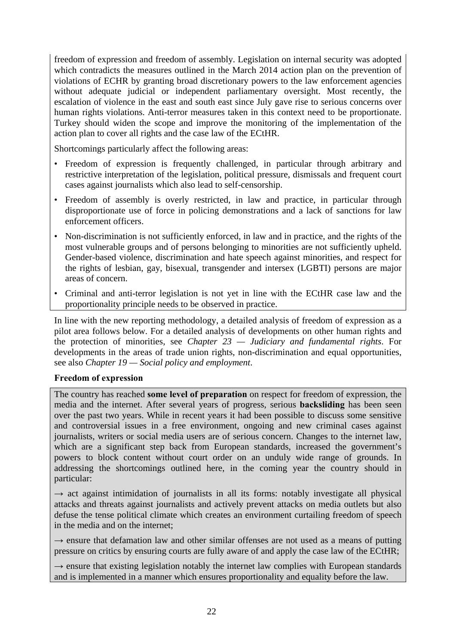freedom of expression and freedom of assembly. Legislation on internal security was adopted which contradicts the measures outlined in the March 2014 action plan on the prevention of violations of ECHR by granting broad discretionary powers to the law enforcement agencies without adequate judicial or independent parliamentary oversight. Most recently, the escalation of violence in the east and south east since July gave rise to serious concerns over human rights violations. Anti-terror measures taken in this context need to be proportionate. Turkey should widen the scope and improve the monitoring of the implementation of the action plan to cover all rights and the case law of the ECtHR.

Shortcomings particularly affect the following areas:

- Freedom of expression is frequently challenged, in particular through arbitrary and restrictive interpretation of the legislation, political pressure, dismissals and frequent court cases against journalists which also lead to self-censorship.
- Freedom of assembly is overly restricted, in law and practice, in particular through disproportionate use of force in policing demonstrations and a lack of sanctions for law enforcement officers.
- Non-discrimination is not sufficiently enforced, in law and in practice, and the rights of the most vulnerable groups and of persons belonging to minorities are not sufficiently upheld. Gender-based violence, discrimination and hate speech against minorities, and respect for the rights of lesbian, gay, bisexual, transgender and intersex (LGBTI) persons are major areas of concern.
- Criminal and anti-terror legislation is not yet in line with the ECtHR case law and the proportionality principle needs to be observed in practice.

In line with the new reporting methodology, a detailed analysis of freedom of expression as a pilot area follows below. For a detailed analysis of developments on other human rights and the protection of minorities, see *Chapter 23 — Judiciary and fundamental rights*. For developments in the areas of trade union rights, non-discrimination and equal opportunities, see also *Chapter 19 — Social policy and employment*.

## **Freedom of expression**

The country has reached **some level of preparation** on respect for freedom of expression, the media and the internet. After several years of progress, serious **backsliding** has been seen over the past two years. While in recent years it had been possible to discuss some sensitive and controversial issues in a free environment, ongoing and new criminal cases against journalists, writers or social media users are of serious concern. Changes to the internet law, which are a significant step back from European standards, increased the government's powers to block content without court order on an unduly wide range of grounds. In addressing the shortcomings outlined here, in the coming year the country should in particular:

 $\rightarrow$  act against intimidation of journalists in all its forms: notably investigate all physical attacks and threats against journalists and actively prevent attacks on media outlets but also defuse the tense political climate which creates an environment curtailing freedom of speech in the media and on the internet;

 $\rightarrow$  ensure that defamation law and other similar offenses are not used as a means of putting pressure on critics by ensuring courts are fully aware of and apply the case law of the ECtHR;

 $\rightarrow$  ensure that existing legislation notably the internet law complies with European standards and is implemented in a manner which ensures proportionality and equality before the law.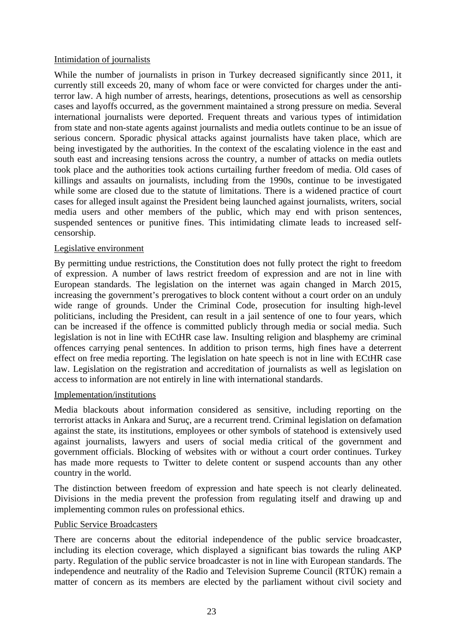#### Intimidation of journalists

While the number of journalists in prison in Turkey decreased significantly since 2011, it currently still exceeds 20, many of whom face or were convicted for charges under the antiterror law. A high number of arrests, hearings, detentions, prosecutions as well as censorship cases and layoffs occurred, as the government maintained a strong pressure on media. Several international journalists were deported. Frequent threats and various types of intimidation from state and non-state agents against journalists and media outlets continue to be an issue of serious concern. Sporadic physical attacks against journalists have taken place, which are being investigated by the authorities. In the context of the escalating violence in the east and south east and increasing tensions across the country, a number of attacks on media outlets took place and the authorities took actions curtailing further freedom of media. Old cases of killings and assaults on journalists, including from the 1990s, continue to be investigated while some are closed due to the statute of limitations. There is a widened practice of court cases for alleged insult against the President being launched against journalists, writers, social media users and other members of the public, which may end with prison sentences, suspended sentences or punitive fines. This intimidating climate leads to increased selfcensorship.

#### Legislative environment

By permitting undue restrictions, the Constitution does not fully protect the right to freedom of expression. A number of laws restrict freedom of expression and are not in line with European standards. The legislation on the internet was again changed in March 2015, increasing the government's prerogatives to block content without a court order on an unduly wide range of grounds. Under the Criminal Code, prosecution for insulting high-level politicians, including the President, can result in a jail sentence of one to four years, which can be increased if the offence is committed publicly through media or social media. Such legislation is not in line with ECtHR case law. Insulting religion and blasphemy are criminal offences carrying penal sentences. In addition to prison terms, high fines have a deterrent effect on free media reporting. The legislation on hate speech is not in line with ECtHR case law. Legislation on the registration and accreditation of journalists as well as legislation on access to information are not entirely in line with international standards.

#### Implementation/institutions

Media blackouts about information considered as sensitive, including reporting on the terrorist attacks in Ankara and Suruç, are a recurrent trend. Criminal legislation on defamation against the state, its institutions, employees or other symbols of statehood is extensively used against journalists, lawyers and users of social media critical of the government and government officials. Blocking of websites with or without a court order continues. Turkey has made more requests to Twitter to delete content or suspend accounts than any other country in the world.

The distinction between freedom of expression and hate speech is not clearly delineated. Divisions in the media prevent the profession from regulating itself and drawing up and implementing common rules on professional ethics.

## Public Service Broadcasters

There are concerns about the editorial independence of the public service broadcaster, including its election coverage, which displayed a significant bias towards the ruling AKP party. Regulation of the public service broadcaster is not in line with European standards. The independence and neutrality of the Radio and Television Supreme Council (RTÜK) remain a matter of concern as its members are elected by the parliament without civil society and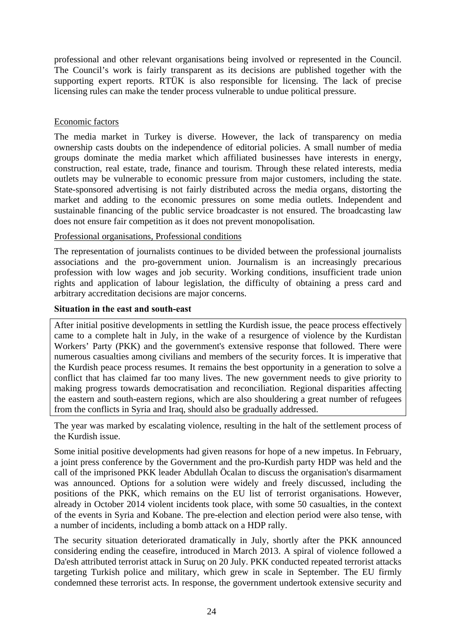professional and other relevant organisations being involved or represented in the Council. The Council's work is fairly transparent as its decisions are published together with the supporting expert reports. RTÜK is also responsible for licensing. The lack of precise licensing rules can make the tender process vulnerable to undue political pressure.

#### Economic factors

The media market in Turkey is diverse. However, the lack of transparency on media ownership casts doubts on the independence of editorial policies. A small number of media groups dominate the media market which affiliated businesses have interests in energy, construction, real estate, trade, finance and tourism. Through these related interests, media outlets may be vulnerable to economic pressure from major customers, including the state. State-sponsored advertising is not fairly distributed across the media organs, distorting the market and adding to the economic pressures on some media outlets. Independent and sustainable financing of the public service broadcaster is not ensured. The broadcasting law does not ensure fair competition as it does not prevent monopolisation.

#### Professional organisations, Professional conditions

The representation of journalists continues to be divided between the professional journalists associations and the pro-government union. Journalism is an increasingly precarious profession with low wages and job security. Working conditions, insufficient trade union rights and application of labour legislation, the difficulty of obtaining a press card and arbitrary accreditation decisions are major concerns.

#### **Situation in the east and south-east**

After initial positive developments in settling the Kurdish issue, the peace process effectively came to a complete halt in July, in the wake of a resurgence of violence by the Kurdistan Workers' Party (PKK) and the government's extensive response that followed. There were numerous casualties among civilians and members of the security forces. It is imperative that the Kurdish peace process resumes. It remains the best opportunity in a generation to solve a conflict that has claimed far too many lives. The new government needs to give priority to making progress towards democratisation and reconciliation. Regional disparities affecting the eastern and south-eastern regions, which are also shouldering a great number of refugees from the conflicts in Syria and Iraq, should also be gradually addressed.

The year was marked by escalating violence, resulting in the halt of the settlement process of the Kurdish issue.

Some initial positive developments had given reasons for hope of a new impetus. In February, a joint press conference by the Government and the pro-Kurdish party HDP was held and the call of the imprisoned PKK leader Abdullah Öcalan to discuss the organisation's disarmament was announced. Options for a solution were widely and freely discussed, including the positions of the PKK, which remains on the EU list of terrorist organisations. However, already in October 2014 violent incidents took place, with some 50 casualties, in the context of the events in Syria and Kobane. The pre-election and election period were also tense, with a number of incidents, including a bomb attack on a HDP rally.

The security situation deteriorated dramatically in July, shortly after the PKK announced considering ending the ceasefire, introduced in March 2013. A spiral of violence followed a Da'esh attributed terrorist attack in Suruç on 20 July. PKK conducted repeated terrorist attacks targeting Turkish police and military, which grew in scale in September. The EU firmly condemned these terrorist acts. In response, the government undertook extensive security and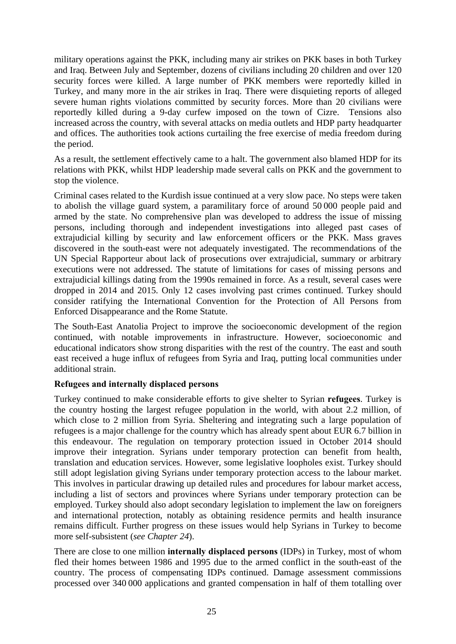military operations against the PKK, including many air strikes on PKK bases in both Turkey and Iraq. Between July and September, dozens of civilians including 20 children and over 120 security forces were killed. A large number of PKK members were reportedly killed in Turkey, and many more in the air strikes in Iraq. There were disquieting reports of alleged severe human rights violations committed by security forces. More than 20 civilians were reportedly killed during a 9-day curfew imposed on the town of Cizre. Tensions also increased across the country, with several attacks on media outlets and HDP party headquarter and offices. The authorities took actions curtailing the free exercise of media freedom during the period.

As a result, the settlement effectively came to a halt. The government also blamed HDP for its relations with PKK, whilst HDP leadership made several calls on PKK and the government to stop the violence.

Criminal cases related to the Kurdish issue continued at a very slow pace. No steps were taken to abolish the village guard system, a paramilitary force of around 50 000 people paid and armed by the state. No comprehensive plan was developed to address the issue of missing persons, including thorough and independent investigations into alleged past cases of extrajudicial killing by security and law enforcement officers or the PKK. Mass graves discovered in the south-east were not adequately investigated. The recommendations of the UN Special Rapporteur about lack of prosecutions over extrajudicial, summary or arbitrary executions were not addressed. The statute of limitations for cases of missing persons and extrajudicial killings dating from the 1990s remained in force. As a result, several cases were dropped in 2014 and 2015. Only 12 cases involving past crimes continued. Turkey should consider ratifying the International Convention for the Protection of All Persons from Enforced Disappearance and the Rome Statute.

The South-East Anatolia Project to improve the socioeconomic development of the region continued, with notable improvements in infrastructure. However, socioeconomic and educational indicators show strong disparities with the rest of the country. The east and south east received a huge influx of refugees from Syria and Iraq, putting local communities under additional strain.

## **Refugees and internally displaced persons**

Turkey continued to make considerable efforts to give shelter to Syrian **refugees**. Turkey is the country hosting the largest refugee population in the world, with about 2.2 million, of which close to 2 million from Syria. Sheltering and integrating such a large population of refugees is a major challenge for the country which has already spent about EUR 6.7 billion in this endeavour. The regulation on temporary protection issued in October 2014 should improve their integration. Syrians under temporary protection can benefit from health, translation and education services. However, some legislative loopholes exist. Turkey should still adopt legislation giving Syrians under temporary protection access to the labour market. This involves in particular drawing up detailed rules and procedures for labour market access, including a list of sectors and provinces where Syrians under temporary protection can be employed. Turkey should also adopt secondary legislation to implement the law on foreigners and international protection, notably as obtaining residence permits and health insurance remains difficult. Further progress on these issues would help Syrians in Turkey to become more self-subsistent (*see Chapter 24*).

There are close to one million **internally displaced persons** (IDPs) in Turkey, most of whom fled their homes between 1986 and 1995 due to the armed conflict in the south-east of the country. The process of compensating IDPs continued. Damage assessment commissions processed over 340 000 applications and granted compensation in half of them totalling over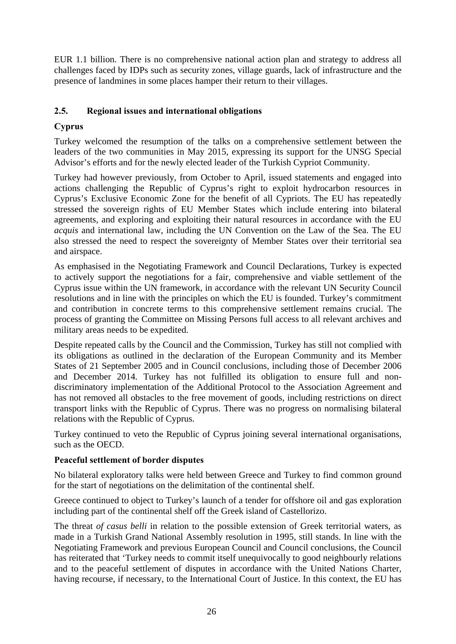EUR 1.1 billion. There is no comprehensive national action plan and strategy to address all challenges faced by IDPs such as security zones, village guards, lack of infrastructure and the presence of landmines in some places hamper their return to their villages.

# <span id="page-25-0"></span>**2.5. Regional issues and international obligations**

# **Cyprus**

Turkey welcomed the resumption of the talks on a comprehensive settlement between the leaders of the two communities in May 2015, expressing its support for the UNSG Special Advisor's efforts and for the newly elected leader of the Turkish Cypriot Community.

Turkey had however previously, from October to April, issued statements and engaged into actions challenging the Republic of Cyprus's right to exploit hydrocarbon resources in Cyprus's Exclusive Economic Zone for the benefit of all Cypriots. The EU has repeatedly stressed the sovereign rights of EU Member States which include entering into bilateral agreements, and exploring and exploiting their natural resources in accordance with the EU *acquis* and international law, including the UN Convention on the Law of the Sea. The EU also stressed the need to respect the sovereignty of Member States over their territorial sea and airspace.

As emphasised in the Negotiating Framework and Council Declarations, Turkey is expected to actively support the negotiations for a fair, comprehensive and viable settlement of the Cyprus issue within the UN framework, in accordance with the relevant UN Security Council resolutions and in line with the principles on which the EU is founded. Turkey's commitment and contribution in concrete terms to this comprehensive settlement remains crucial. The process of granting the Committee on Missing Persons full access to all relevant archives and military areas needs to be expedited.

Despite repeated calls by the Council and the Commission, Turkey has still not complied with its obligations as outlined in the declaration of the European Community and its Member States of 21 September 2005 and in Council conclusions, including those of December 2006 and December 2014. Turkey has not fulfilled its obligation to ensure full and nondiscriminatory implementation of the Additional Protocol to the Association Agreement and has not removed all obstacles to the free movement of goods, including restrictions on direct transport links with the Republic of Cyprus. There was no progress on normalising bilateral relations with the Republic of Cyprus.

Turkey continued to veto the Republic of Cyprus joining several international organisations, such as the OECD.

# **Peaceful settlement of border disputes**

No bilateral exploratory talks were held between Greece and Turkey to find common ground for the start of negotiations on the delimitation of the continental shelf.

Greece continued to object to Turkey's launch of a tender for offshore oil and gas exploration including part of the continental shelf off the Greek island of Castellorizo.

The threat *of casus belli* in relation to the possible extension of Greek territorial waters, as made in a Turkish Grand National Assembly resolution in 1995, still stands. In line with the Negotiating Framework and previous European Council and Council conclusions, the Council has reiterated that 'Turkey needs to commit itself unequivocally to good neighbourly relations and to the peaceful settlement of disputes in accordance with the United Nations Charter, having recourse, if necessary, to the International Court of Justice. In this context, the EU has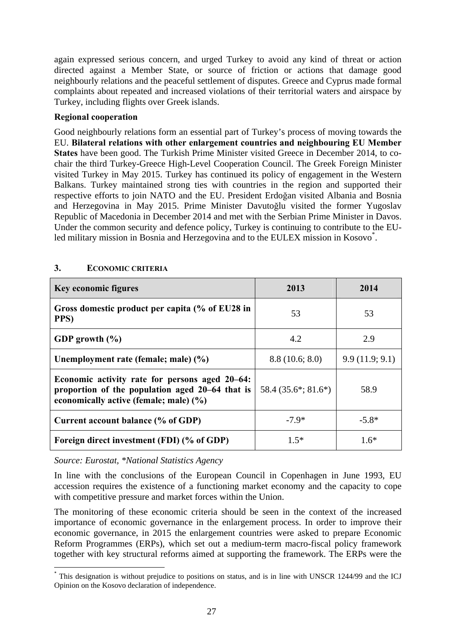again expressed serious concern, and urged Turkey to avoid any kind of threat or action directed against a Member State, or source of friction or actions that damage good neighbourly relations and the peaceful settlement of disputes. Greece and Cyprus made formal complaints about repeated and increased violations of their territorial waters and airspace by Turkey, including flights over Greek islands.

## **Regional cooperation**

Good neighbourly relations form an essential part of Turkey's process of moving towards the EU. **Bilateral relations with other enlargement countries and neighbouring EU Member States** have been good. The Turkish Prime Minister visited Greece in December 2014, to cochair the third Turkey-Greece High-Level Cooperation Council. The Greek Foreign Minister visited Turkey in May 2015. Turkey has continued its policy of engagement in the Western Balkans. Turkey maintained strong ties with countries in the region and supported their respective efforts to join NATO and the EU. President Erdoğan visited Albania and Bosnia and Herzegovina in May 2015. Prime Minister Davutoğlu visited the former Yugoslav Republic of Macedonia in December 2014 and met with the Serbian Prime Minister in Davos. Under the common security and defence policy, Turkey is continuing to contribute to the EUled military mission in Bosnia and Herzegovina and to the EULEX mission in Kosovo<sup>\*</sup>.

| <b>Key economic figures</b>                                                                                                                 | 2013                              | 2014           |
|---------------------------------------------------------------------------------------------------------------------------------------------|-----------------------------------|----------------|
| Gross domestic product per capita (% of EU28 in<br>PPS)                                                                                     | 53                                | 53             |
| GDP growth $(\% )$                                                                                                                          | 4.2                               | 2.9            |
| Unemployment rate (female; male) (%)                                                                                                        | 8.8(10.6; 8.0)                    | 9.9(11.9; 9.1) |
| Economic activity rate for persons aged 20–64:<br>proportion of the population aged 20–64 that is<br>economically active (female; male) (%) | 58.4 $(35.6^{\ast}; 81.6^{\ast})$ | 58.9           |
| Current account balance (% of GDP)                                                                                                          | $-7.9*$                           | $-5.8*$        |
| Foreign direct investment (FDI) (% of GDP)                                                                                                  | $1.5*$                            | $1.6*$         |

## <span id="page-26-0"></span>**3. ECONOMIC CRITERIA**

*Source: Eurostat, \*National Statistics Agency* 

In line with the conclusions of the European Council in Copenhagen in June 1993, EU accession requires the existence of a functioning market economy and the capacity to cope with competitive pressure and market forces within the Union.

The monitoring of these economic criteria should be seen in the context of the increased importance of economic governance in the enlargement process. In order to improve their economic governance, in 2015 the enlargement countries were asked to prepare Economic Reform Programmes (ERPs), which set out a medium-term macro-fiscal policy framework together with key structural reforms aimed at supporting the framework. The ERPs were the

**<sup>.</sup>** \* This designation is without prejudice to positions on status, and is in line with UNSCR 1244/99 and the ICJ Opinion on the Kosovo declaration of independence.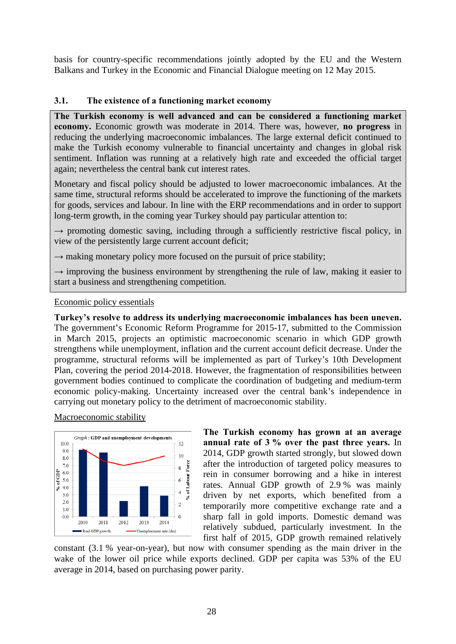basis for country-specific recommendations jointly adopted by the EU and the Western Balkans and Turkey in the Economic and Financial Dialogue meeting on 12 May 2015.

#### <span id="page-27-0"></span>**3.1. The existence of a functioning market economy**

**The Turkish economy is well advanced and can be considered a functioning market economy.** Economic growth was moderate in 2014. There was, however, **no progress** in reducing the underlying macroeconomic imbalances. The large external deficit continued to make the Turkish economy vulnerable to financial uncertainty and changes in global risk sentiment. Inflation was running at a relatively high rate and exceeded the official target again; nevertheless the central bank cut interest rates.

Monetary and fiscal policy should be adjusted to lower macroeconomic imbalances. At the same time, structural reforms should be accelerated to improve the functioning of the markets for goods, services and labour. In line with the ERP recommendations and in order to support long-term growth, in the coming year Turkey should pay particular attention to:

 $\rightarrow$  promoting domestic saving, including through a sufficiently restrictive fiscal policy, in view of the persistently large current account deficit;

 $\rightarrow$  making monetary policy more focused on the pursuit of price stability;

 $\rightarrow$  improving the business environment by strengthening the rule of law, making it easier to start a business and strengthening competition.

#### Economic policy essentials

**Turkey's resolve to address its underlying macroeconomic imbalances has been uneven.**  The government's Economic Reform Programme for 2015-17, submitted to the Commission in March 2015, projects an optimistic macroeconomic scenario in which GDP growth strengthens while unemployment, inflation and the current account deficit decrease. Under the programme, structural reforms will be implemented as part of Turkey's 10th Development Plan, covering the period 2014-2018. However, the fragmentation of responsibilities between government bodies continued to complicate the coordination of budgeting and medium-term economic policy-making. Uncertainty increased over the central bank's independence in carrying out monetary policy to the detriment of macroeconomic stability.

Macroeconomic stability



**The Turkish economy has grown at an average annual rate of 3 % over the past three years.** In 2014, GDP growth started strongly, but slowed down after the introduction of targeted policy measures to rein in consumer borrowing and a hike in interest rates. Annual GDP growth of 2.9 % was mainly driven by net exports, which benefited from a temporarily more competitive exchange rate and a sharp fall in gold imports. Domestic demand was relatively subdued, particularly investment. In the first half of 2015, GDP growth remained relatively

constant (3.1 % year-on-year), but now with consumer spending as the main driver in the wake of the lower oil price while exports declined. GDP per capita was 53% of the EU average in 2014, based on purchasing power parity.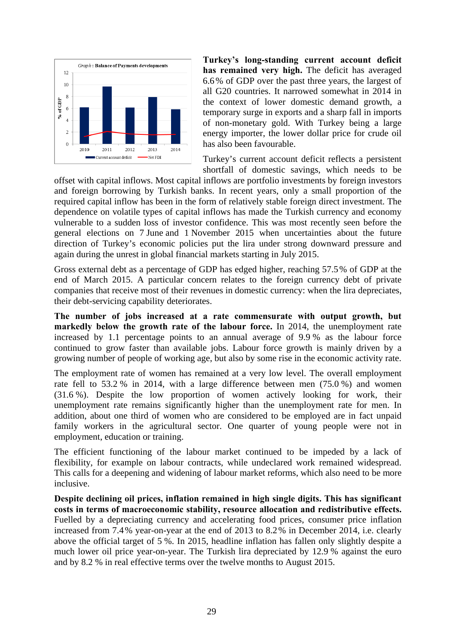

**Turkey's long-standing current account deficit has remained very high.** The deficit has averaged 6.6% of GDP over the past three years, the largest of all G20 countries. It narrowed somewhat in 2014 in the context of lower domestic demand growth, a temporary surge in exports and a sharp fall in imports of non-monetary gold. With Turkey being a large energy importer, the lower dollar price for crude oil has also been favourable.

Turkey's current account deficit reflects a persistent shortfall of domestic savings, which needs to be

offset with capital inflows. Most capital inflows are portfolio investments by foreign investors and foreign borrowing by Turkish banks. In recent years, only a small proportion of the required capital inflow has been in the form of relatively stable foreign direct investment. The dependence on volatile types of capital inflows has made the Turkish currency and economy vulnerable to a sudden loss of investor confidence. This was most recently seen before the general elections on 7 June and 1 November 2015 when uncertainties about the future direction of Turkey's economic policies put the lira under strong downward pressure and again during the unrest in global financial markets starting in July 2015.

Gross external debt as a percentage of GDP has edged higher, reaching 57.5% of GDP at the end of March 2015. A particular concern relates to the foreign currency debt of private companies that receive most of their revenues in domestic currency: when the lira depreciates, their debt-servicing capability deteriorates.

**The number of jobs increased at a rate commensurate with output growth, but markedly below the growth rate of the labour force.** In 2014, the unemployment rate increased by 1.1 percentage points to an annual average of 9.9 % as the labour force continued to grow faster than available jobs. Labour force growth is mainly driven by a growing number of people of working age, but also by some rise in the economic activity rate.

The employment rate of women has remained at a very low level. The overall employment rate fell to 53.2 % in 2014, with a large difference between men (75.0 %) and women (31.6 %). Despite the low proportion of women actively looking for work, their unemployment rate remains significantly higher than the unemployment rate for men. In addition, about one third of women who are considered to be employed are in fact unpaid family workers in the agricultural sector. One quarter of young people were not in employment, education or training.

The efficient functioning of the labour market continued to be impeded by a lack of flexibility, for example on labour contracts, while undeclared work remained widespread. This calls for a deepening and widening of labour market reforms, which also need to be more inclusive.

**Despite declining oil prices, inflation remained in high single digits. This has significant costs in terms of macroeconomic stability, resource allocation and redistributive effects.** Fuelled by a depreciating currency and accelerating food prices, consumer price inflation increased from 7.4% year-on-year at the end of 2013 to 8.2% in December 2014, i.e. clearly above the official target of 5 %. In 2015, headline inflation has fallen only slightly despite a much lower oil price year-on-year. The Turkish lira depreciated by 12.9 % against the euro and by 8.2 % in real effective terms over the twelve months to August 2015.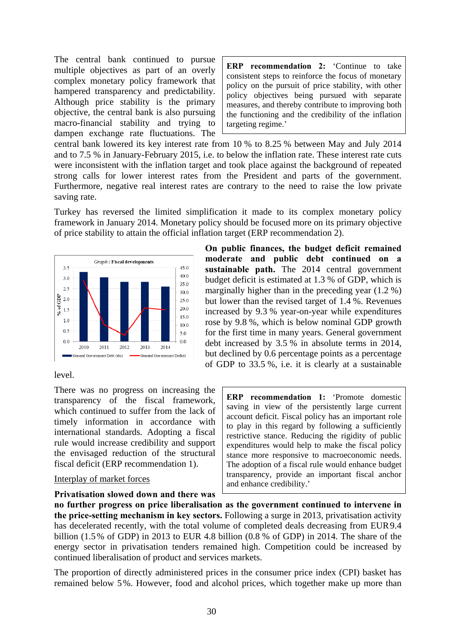The central bank continued to pursue multiple objectives as part of an overly complex monetary policy framework that hampered transparency and predictability. Although price stability is the primary objective, the central bank is also pursuing macro-financial stability and trying to dampen exchange rate fluctuations. The

**ERP recommendation 2:** 'Continue to take consistent steps to reinforce the focus of monetary policy on the pursuit of price stability, with other policy objectives being pursued with separate measures, and thereby contribute to improving both the functioning and the credibility of the inflation targeting regime.'

central bank lowered its key interest rate from 10 % to 8.25 % between May and July 2014 and to 7.5 % in January-February 2015, i.e. to below the inflation rate. These interest rate cuts were inconsistent with the inflation target and took place against the background of repeated strong calls for lower interest rates from the President and parts of the government. Furthermore, negative real interest rates are contrary to the need to raise the low private saving rate.

Turkey has reversed the limited simplification it made to its complex monetary policy framework in January 2014. Monetary policy should be focused more on its primary objective of price stability to attain the official inflation target (ERP recommendation 2).



#### level.

There was no progress on increasing the transparency of the fiscal framework, which continued to suffer from the lack of timely information in accordance with international standards. Adopting a fiscal rule would increase credibility and support the envisaged reduction of the structural fiscal deficit (ERP recommendation 1).

#### Interplay of market forces

#### **Privatisation slowed down and there was**

**On public finances, the budget deficit remained moderate and public debt continued on a sustainable path.** The 2014 central government budget deficit is estimated at 1.3 % of GDP, which is marginally higher than in the preceding year (1.2 %) but lower than the revised target of 1.4 %. Revenues increased by 9.3 % year-on-year while expenditures rose by 9.8 %, which is below nominal GDP growth for the first time in many years. General government debt increased by 3.5 % in absolute terms in 2014, but declined by 0.6 percentage points as a percentage of GDP to 33.5 %, i.e. it is clearly at a sustainable

> **ERP recommendation 1:** 'Promote domestic saving in view of the persistently large current account deficit. Fiscal policy has an important role to play in this regard by following a sufficiently restrictive stance. Reducing the rigidity of public expenditures would help to make the fiscal policy stance more responsive to macroeconomic needs. The adoption of a fiscal rule would enhance budget transparency, provide an important fiscal anchor and enhance credibility.'

**no further progress on price liberalisation as the government continued to intervene in the price-setting mechanism in key sectors.** Following a surge in 2013, privatisation activity has decelerated recently, with the total volume of completed deals decreasing from EUR9.4 billion (1.5% of GDP) in 2013 to EUR 4.8 billion (0.8 % of GDP) in 2014. The share of the energy sector in privatisation tenders remained high. Competition could be increased by continued liberalisation of product and services markets.

The proportion of directly administered prices in the consumer price index (CPI) basket has remained below 5%. However, food and alcohol prices, which together make up more than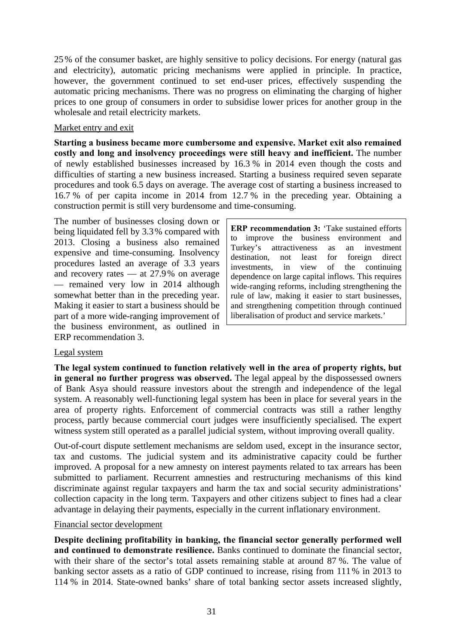25% of the consumer basket, are highly sensitive to policy decisions. For energy (natural gas and electricity), automatic pricing mechanisms were applied in principle. In practice, however, the government continued to set end-user prices, effectively suspending the automatic pricing mechanisms. There was no progress on eliminating the charging of higher prices to one group of consumers in order to subsidise lower prices for another group in the wholesale and retail electricity markets.

#### Market entry and exit

**Starting a business became more cumbersome and expensive. Market exit also remained costly and long and insolvency proceedings were still heavy and inefficient.** The number of newly established businesses increased by 16.3 % in 2014 even though the costs and difficulties of starting a new business increased. Starting a business required seven separate procedures and took 6.5 days on average. The average cost of starting a business increased to 16.7 % of per capita income in 2014 from 12.7 % in the preceding year. Obtaining a construction permit is still very burdensome and time-consuming.

The number of businesses closing down or being liquidated fell by 3.3% compared with 2013. Closing a business also remained expensive and time-consuming. Insolvency procedures lasted an average of 3.3 years and recovery rates — at 27.9% on average — remained very low in 2014 although somewhat better than in the preceding year. Making it easier to start a business should be part of a more wide-ranging improvement of the business environment, as outlined in ERP recommendation 3.

**ERP recommendation 3:** 'Take sustained efforts to improve the business environment and Turkey's attractiveness as an investment destination, not least for foreign direct investments, in view of the continuing dependence on large capital inflows. This requires wide-ranging reforms, including strengthening the rule of law, making it easier to start businesses, and strengthening competition through continued liberalisation of product and service markets.'

## Legal system

**The legal system continued to function relatively well in the area of property rights, but in general no further progress was observed.** The legal appeal by the dispossessed owners of Bank Asya should reassure investors about the strength and independence of the legal system. A reasonably well-functioning legal system has been in place for several years in the area of property rights. Enforcement of commercial contracts was still a rather lengthy process, partly because commercial court judges were insufficiently specialised. The expert witness system still operated as a parallel judicial system, without improving overall quality.

Out-of-court dispute settlement mechanisms are seldom used, except in the insurance sector, tax and customs. The judicial system and its administrative capacity could be further improved. A proposal for a new amnesty on interest payments related to tax arrears has been submitted to parliament. Recurrent amnesties and restructuring mechanisms of this kind discriminate against regular taxpayers and harm the tax and social security administrations' collection capacity in the long term. Taxpayers and other citizens subject to fines had a clear advantage in delaying their payments, especially in the current inflationary environment.

#### Financial sector development

**Despite declining profitability in banking, the financial sector generally performed well and continued to demonstrate resilience.** Banks continued to dominate the financial sector, with their share of the sector's total assets remaining stable at around 87 %. The value of banking sector assets as a ratio of GDP continued to increase, rising from 111% in 2013 to 114 % in 2014. State-owned banks' share of total banking sector assets increased slightly,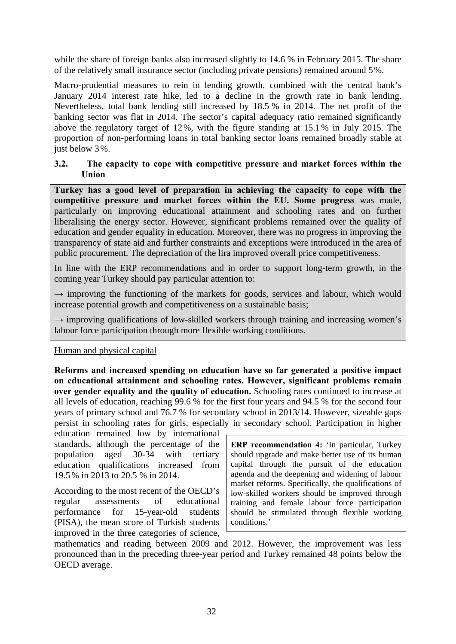while the share of foreign banks also increased slightly to 14.6 % in February 2015. The share of the relatively small insurance sector (including private pensions) remained around 5%.

Macro-prudential measures to rein in lending growth, combined with the central bank's January 2014 interest rate hike, led to a decline in the growth rate in bank lending. Nevertheless, total bank lending still increased by 18.5 % in 2014. The net profit of the banking sector was flat in 2014. The sector's capital adequacy ratio remained significantly above the regulatory target of 12%, with the figure standing at 15.1% in July 2015. The proportion of non-performing loans in total banking sector loans remained broadly stable at just below 3%.

#### <span id="page-31-0"></span>**3.2. The capacity to cope with competitive pressure and market forces within the Union**

**Turkey has a good level of preparation in achieving the capacity to cope with the competitive pressure and market forces within the EU. Some progress** was made, particularly on improving educational attainment and schooling rates and on further liberalising the energy sector. However, significant problems remained over the quality of education and gender equality in education. Moreover, there was no progress in improving the transparency of state aid and further constraints and exceptions were introduced in the area of public procurement. The depreciation of the lira improved overall price competitiveness.

In line with the ERP recommendations and in order to support long-term growth, in the coming year Turkey should pay particular attention to:

 $\rightarrow$  improving the functioning of the markets for goods, services and labour, which would increase potential growth and competitiveness on a sustainable basis;

**→** improving qualifications of low-skilled workers through training and increasing women's labour force participation through more flexible working conditions.

#### Human and physical capital

**Reforms and increased spending on education have so far generated a positive impact on educational attainment and schooling rates. However, significant problems remain over gender equality and the quality of education.** Schooling rates continued to increase at all levels of education, reaching 99.6 % for the first four years and 94.5 % for the second four years of primary school and 76.7 % for secondary school in 2013/14. However, sizeable gaps persist in schooling rates for girls, especially in secondary school. Participation in higher

education remained low by international standards, although the percentage of the population aged 30-34 with tertiary education qualifications increased from 19.5% in 2013 to 20.5 % in 2014.

According to the most recent of the OECD's regular assessments of educational performance for 15-year-old students (PISA), the mean score of Turkish students improved in the three categories of science, **ERP recommendation 4:** 'In particular, Turkey should upgrade and make better use of its human capital through the pursuit of the education agenda and the deepening and widening of labour market reforms. Specifically, the qualifications of low-skilled workers should be improved through training and female labour force participation should be stimulated through flexible working conditions.'

mathematics and reading between 2009 and 2012. However, the improvement was less pronounced than in the preceding three-year period and Turkey remained 48 points below the OECD average.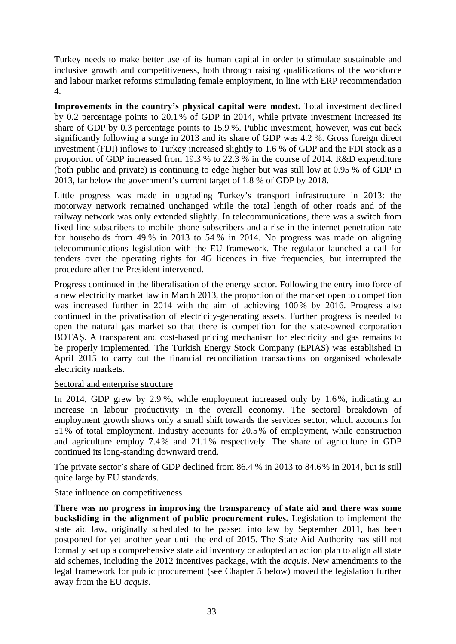Turkey needs to make better use of its human capital in order to stimulate sustainable and inclusive growth and competitiveness, both through raising qualifications of the workforce and labour market reforms stimulating female employment, in line with ERP recommendation 4.

**Improvements in the country's physical capital were modest.** Total investment declined by 0.2 percentage points to 20.1% of GDP in 2014, while private investment increased its share of GDP by 0.3 percentage points to 15.9 %. Public investment, however, was cut back significantly following a surge in 2013 and its share of GDP was 4.2 %. Gross foreign direct investment (FDI) inflows to Turkey increased slightly to 1.6 % of GDP and the FDI stock as a proportion of GDP increased from 19.3 % to 22.3 % in the course of 2014. R&D expenditure (both public and private) is continuing to edge higher but was still low at 0.95 % of GDP in 2013, far below the government's current target of 1.8 % of GDP by 2018.

Little progress was made in upgrading Turkey's transport infrastructure in 2013: the motorway network remained unchanged while the total length of other roads and of the railway network was only extended slightly. In telecommunications, there was a switch from fixed line subscribers to mobile phone subscribers and a rise in the internet penetration rate for households from 49 % in 2013 to 54 % in 2014. No progress was made on aligning telecommunications legislation with the EU framework. The regulator launched a call for tenders over the operating rights for 4G licences in five frequencies, but interrupted the procedure after the President intervened.

Progress continued in the liberalisation of the energy sector. Following the entry into force of a new electricity market law in March 2013, the proportion of the market open to competition was increased further in 2014 with the aim of achieving 100% by 2016. Progress also continued in the privatisation of electricity-generating assets. Further progress is needed to open the natural gas market so that there is competition for the state-owned corporation BOTAŞ. A transparent and cost-based pricing mechanism for electricity and gas remains to be properly implemented. The Turkish Energy Stock Company (EPIAS) was established in April 2015 to carry out the financial reconciliation transactions on organised wholesale electricity markets.

#### Sectoral and enterprise structure

In 2014, GDP grew by 2.9 %, while employment increased only by 1.6%, indicating an increase in labour productivity in the overall economy. The sectoral breakdown of employment growth shows only a small shift towards the services sector, which accounts for 51% of total employment. Industry accounts for 20.5% of employment, while construction and agriculture employ 7.4% and 21.1% respectively. The share of agriculture in GDP continued its long-standing downward trend.

The private sector's share of GDP declined from 86.4 % in 2013 to 84.6% in 2014, but is still quite large by EU standards.

## State influence on competitiveness

**There was no progress in improving the transparency of state aid and there was some backsliding in the alignment of public procurement rules.** Legislation to implement the state aid law, originally scheduled to be passed into law by September 2011, has been postponed for yet another year until the end of 2015. The State Aid Authority has still not formally set up a comprehensive state aid inventory or adopted an action plan to align all state aid schemes, including the 2012 incentives package, with the *acquis*. New amendments to the legal framework for public procurement (see Chapter 5 below) moved the legislation further away from the EU *acquis*.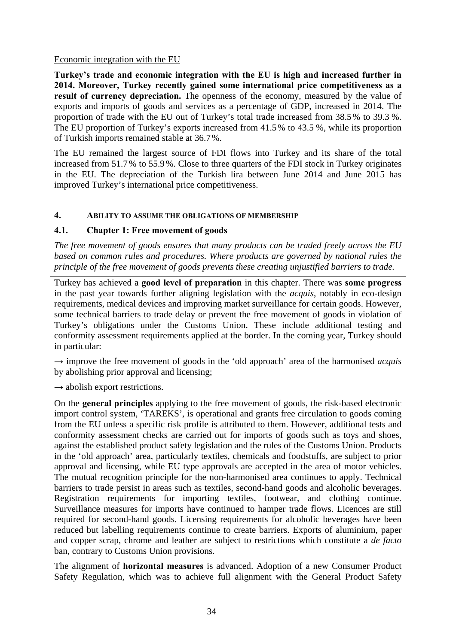#### Economic integration with the EU

**Turkey's trade and economic integration with the EU is high and increased further in 2014. Moreover, Turkey recently gained some international price competitiveness as a**  result of currency depreciation. The openness of the economy, measured by the value of exports and imports of goods and services as a percentage of GDP, increased in 2014. The proportion of trade with the EU out of Turkey's total trade increased from 38.5% to 39.3 %. The EU proportion of Turkey's exports increased from 41.5% to 43.5 %, while its proportion of Turkish imports remained stable at 36.7%.

The EU remained the largest source of FDI flows into Turkey and its share of the total increased from 51.7% to 55.9%. Close to three quarters of the FDI stock in Turkey originates in the EU. The depreciation of the Turkish lira between June 2014 and June 2015 has improved Turkey's international price competitiveness.

## <span id="page-33-0"></span>**4. ABILITY TO ASSUME THE OBLIGATIONS OF MEMBERSHIP**

## <span id="page-33-1"></span>**4.1. Chapter 1: Free movement of goods**

*The free movement of goods ensures that many products can be traded freely across the EU based on common rules and procedures. Where products are governed by national rules the principle of the free movement of goods prevents these creating unjustified barriers to trade.* 

Turkey has achieved a **good level of preparation** in this chapter. There was **some progress** in the past year towards further aligning legislation with the *acquis*, notably in eco-design requirements, medical devices and improving market surveillance for certain goods. However, some technical barriers to trade delay or prevent the free movement of goods in violation of Turkey's obligations under the Customs Union. These include additional testing and conformity assessment requirements applied at the border. In the coming year, Turkey should in particular:

 $\rightarrow$  improve the free movement of goods in the 'old approach' area of the harmonised *acquis* by abolishing prior approval and licensing;

 $\rightarrow$  abolish export restrictions.

On the **general principles** applying to the free movement of goods, the risk-based electronic import control system, 'TAREKS', is operational and grants free circulation to goods coming from the EU unless a specific risk profile is attributed to them. However, additional tests and conformity assessment checks are carried out for imports of goods such as toys and shoes, against the established product safety legislation and the rules of the Customs Union. Products in the 'old approach' area, particularly textiles, chemicals and foodstuffs, are subject to prior approval and licensing, while EU type approvals are accepted in the area of motor vehicles. The mutual recognition principle for the non-harmonised area continues to apply. Technical barriers to trade persist in areas such as textiles, second-hand goods and alcoholic beverages. Registration requirements for importing textiles, footwear, and clothing continue. Surveillance measures for imports have continued to hamper trade flows. Licences are still required for second-hand goods. Licensing requirements for alcoholic beverages have been reduced but labelling requirements continue to create barriers. Exports of aluminium, paper and copper scrap, chrome and leather are subject to restrictions which constitute a *de facto* ban, contrary to Customs Union provisions.

The alignment of **horizontal measures** is advanced. Adoption of a new Consumer Product Safety Regulation, which was to achieve full alignment with the General Product Safety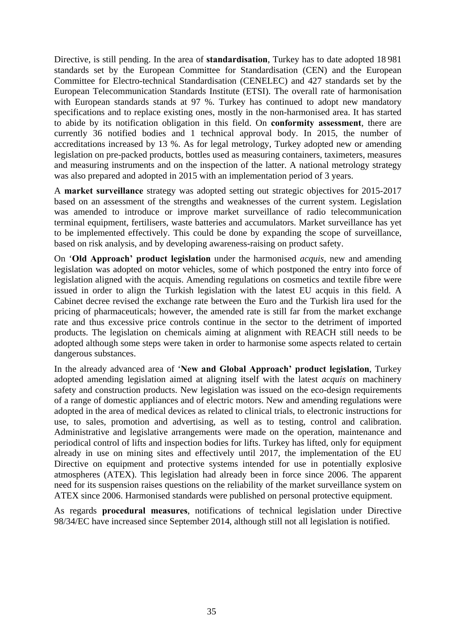Directive, is still pending. In the area of **standardisation**, Turkey has to date adopted 18 981 standards set by the European Committee for Standardisation (CEN) and the European Committee for Electro-technical Standardisation (CENELEC) and 427 standards set by the European Telecommunication Standards Institute (ETSI). The overall rate of harmonisation with European standards stands at 97 %. Turkey has continued to adopt new mandatory specifications and to replace existing ones, mostly in the non-harmonised area. It has started to abide by its notification obligation in this field. On **conformity assessment**, there are currently 36 notified bodies and 1 technical approval body. In 2015, the number of accreditations increased by 13 %. As for legal metrology, Turkey adopted new or amending legislation on pre-packed products, bottles used as measuring containers, taximeters, measures and measuring instruments and on the inspection of the latter. A national metrology strategy was also prepared and adopted in 2015 with an implementation period of 3 years.

A **market surveillance** strategy was adopted setting out strategic objectives for 2015-2017 based on an assessment of the strengths and weaknesses of the current system. Legislation was amended to introduce or improve market surveillance of radio telecommunication terminal equipment, fertilisers, waste batteries and accumulators. Market surveillance has yet to be implemented effectively. This could be done by expanding the scope of surveillance, based on risk analysis, and by developing awareness-raising on product safety.

On '**Old Approach' product legislation** under the harmonised *acquis*, new and amending legislation was adopted on motor vehicles, some of which postponed the entry into force of legislation aligned with the acquis. Amending regulations on cosmetics and textile fibre were issued in order to align the Turkish legislation with the latest EU acquis in this field. A Cabinet decree revised the exchange rate between the Euro and the Turkish lira used for the pricing of pharmaceuticals; however, the amended rate is still far from the market exchange rate and thus excessive price controls continue in the sector to the detriment of imported products. The legislation on chemicals aiming at alignment with REACH still needs to be adopted although some steps were taken in order to harmonise some aspects related to certain dangerous substances.

In the already advanced area of '**New and Global Approach' product legislation**, Turkey adopted amending legislation aimed at aligning itself with the latest *acquis* on machinery safety and construction products. New legislation was issued on the eco-design requirements of a range of domestic appliances and of electric motors. New and amending regulations were adopted in the area of medical devices as related to clinical trials, to electronic instructions for use, to sales, promotion and advertising, as well as to testing, control and calibration. Administrative and legislative arrangements were made on the operation, maintenance and periodical control of lifts and inspection bodies for lifts. Turkey has lifted, only for equipment already in use on mining sites and effectively until 2017, the implementation of the EU Directive on equipment and protective systems intended for use in potentially explosive atmospheres (ATEX). This legislation had already been in force since 2006. The apparent need for its suspension raises questions on the reliability of the market surveillance system on ATEX since 2006. Harmonised standards were published on personal protective equipment.

As regards **procedural measures**, notifications of technical legislation under Directive 98/34/EC have increased since September 2014, although still not all legislation is notified.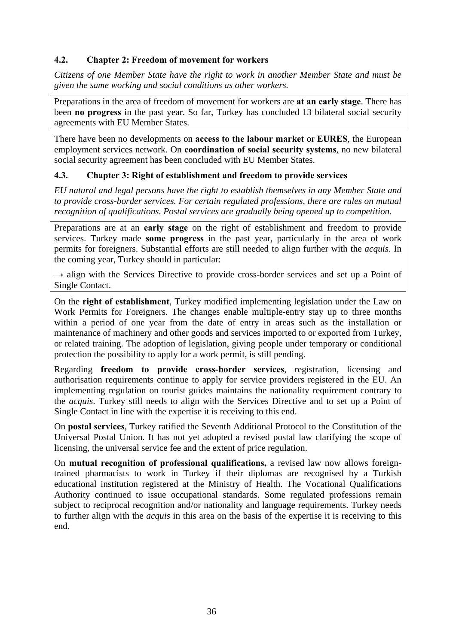# <span id="page-35-0"></span>**4.2. Chapter 2: Freedom of movement for workers**

*Citizens of one Member State have the right to work in another Member State and must be given the same working and social conditions as other workers.* 

Preparations in the area of freedom of movement for workers are **at an early stage**. There has been **no progress** in the past year. So far, Turkey has concluded 13 bilateral social security agreements with EU Member States.

There have been no developments on **access to the labour market** or **EURES**, the European employment services network. On **coordination of social security systems**, no new bilateral social security agreement has been concluded with EU Member States.

# <span id="page-35-1"></span>**4.3. Chapter 3: Right of establishment and freedom to provide services**

*EU natural and legal persons have the right to establish themselves in any Member State and to provide cross-border services. For certain regulated professions, there are rules on mutual recognition of qualifications. Postal services are gradually being opened up to competition.* 

Preparations are at an **early stage** on the right of establishment and freedom to provide services. Turkey made **some progress** in the past year, particularly in the area of work permits for foreigners. Substantial efforts are still needed to align further with the *acquis.* In the coming year, Turkey should in particular:

 $\rightarrow$  align with the Services Directive to provide cross-border services and set up a Point of Single Contact.

On the **right of establishment**, Turkey modified implementing legislation under the Law on Work Permits for Foreigners. The changes enable multiple-entry stay up to three months within a period of one year from the date of entry in areas such as the installation or maintenance of machinery and other goods and services imported to or exported from Turkey, or related training. The adoption of legislation, giving people under temporary or conditional protection the possibility to apply for a work permit, is still pending.

Regarding **freedom to provide cross-border services**, registration, licensing and authorisation requirements continue to apply for service providers registered in the EU. An implementing regulation on tourist guides maintains the nationality requirement contrary to the *acquis*. Turkey still needs to align with the Services Directive and to set up a Point of Single Contact in line with the expertise it is receiving to this end.

On **postal services**, Turkey ratified the Seventh Additional Protocol to the Constitution of the Universal Postal Union. It has not yet adopted a revised postal law clarifying the scope of licensing, the universal service fee and the extent of price regulation.

On **mutual recognition of professional qualifications,** a revised law now allows foreigntrained pharmacists to work in Turkey if their diplomas are recognised by a Turkish educational institution registered at the Ministry of Health. The Vocational Qualifications Authority continued to issue occupational standards. Some regulated professions remain subject to reciprocal recognition and/or nationality and language requirements. Turkey needs to further align with the *acquis* in this area on the basis of the expertise it is receiving to this end.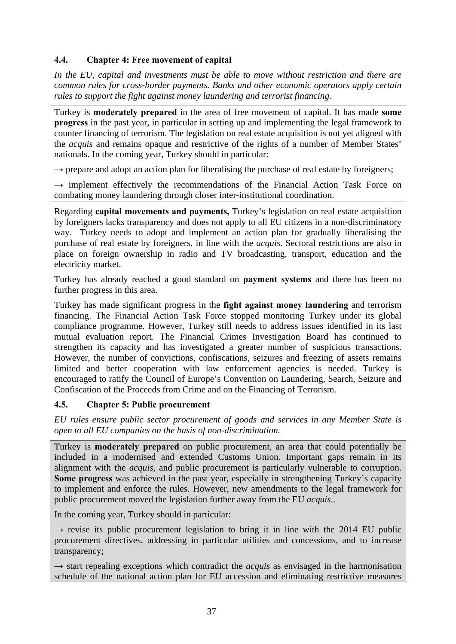# **4.4. Chapter 4: Free movement of capital**

*In the EU, capital and investments must be able to move without restriction and there are common rules for cross-border payments. Banks and other economic operators apply certain rules to support the fight against money laundering and terrorist financing.* 

Turkey is **moderately prepared** in the area of free movement of capital. It has made **some progress** in the past year, in particular in setting up and implementing the legal framework to counter financing of terrorism. The legislation on real estate acquisition is not yet aligned with the *acquis* and remains opaque and restrictive of the rights of a number of Member States' nationals. In the coming year, Turkey should in particular:

 $\rightarrow$  prepare and adopt an action plan for liberalising the purchase of real estate by foreigners;

 $\rightarrow$  implement effectively the recommendations of the Financial Action Task Force on combating money laundering through closer inter-institutional coordination.

Regarding **capital movements and payments,** Turkey's legislation on real estate acquisition by foreigners lacks transparency and does not apply to all EU citizens in a non-discriminatory way. Turkey needs to adopt and implement an action plan for gradually liberalising the purchase of real estate by foreigners, in line with the *acquis*. Sectoral restrictions are also in place on foreign ownership in radio and TV broadcasting, transport, education and the electricity market.

Turkey has already reached a good standard on **payment systems** and there has been no further progress in this area.

Turkey has made significant progress in the **fight against money laundering** and terrorism financing. The Financial Action Task Force stopped monitoring Turkey under its global compliance programme. However, Turkey still needs to address issues identified in its last mutual evaluation report. The Financial Crimes Investigation Board has continued to strengthen its capacity and has investigated a greater number of suspicious transactions. However, the number of convictions, confiscations, seizures and freezing of assets remains limited and better cooperation with law enforcement agencies is needed. Turkey is encouraged to ratify the Council of Europe's Convention on Laundering, Search, Seizure and Confiscation of the Proceeds from Crime and on the Financing of Terrorism.

# **4.5. Chapter 5: Public procurement**

*EU rules ensure public sector procurement of goods and services in any Member State is open to all EU companies on the basis of non-discrimination.* 

Turkey is **moderately prepared** on public procurement, an area that could potentially be included in a modernised and extended Customs Union. Important gaps remain in its alignment with the *acquis*, and public procurement is particularly vulnerable to corruption. **Some progress** was achieved in the past year, especially in strengthening Turkey's capacity to implement and enforce the rules. However, new amendments to the legal framework for public procurement moved the legislation further away from the EU *acquis*..

In the coming year, Turkey should in particular:

 $\rightarrow$  revise its public procurement legislation to bring it in line with the 2014 EU public procurement directives, addressing in particular utilities and concessions, and to increase transparency;

 $\rightarrow$  start repealing exceptions which contradict the *acquis* as envisaged in the harmonisation schedule of the national action plan for EU accession and eliminating restrictive measures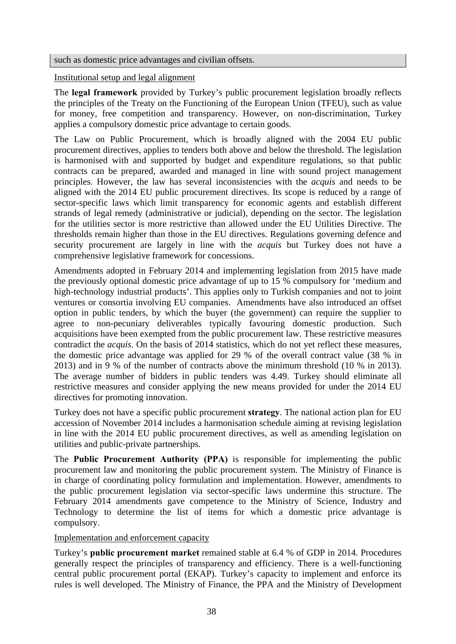such as domestic price advantages and civilian offsets.

### Institutional setup and legal alignment

The **legal framework** provided by Turkey's public procurement legislation broadly reflects the principles of the Treaty on the Functioning of the European Union (TFEU), such as value for money, free competition and transparency. However, on non-discrimination, Turkey applies a compulsory domestic price advantage to certain goods.

The Law on Public Procurement, which is broadly aligned with the 2004 EU public procurement directives, applies to tenders both above and below the threshold. The legislation is harmonised with and supported by budget and expenditure regulations, so that public contracts can be prepared, awarded and managed in line with sound project management principles. However, the law has several inconsistencies with the *acquis* and needs to be aligned with the 2014 EU public procurement directives. Its scope is reduced by a range of sector-specific laws which limit transparency for economic agents and establish different strands of legal remedy (administrative or judicial), depending on the sector. The legislation for the utilities sector is more restrictive than allowed under the EU Utilities Directive. The thresholds remain higher than those in the EU directives. Regulations governing defence and security procurement are largely in line with the *acquis* but Turkey does not have a comprehensive legislative framework for concessions.

Amendments adopted in February 2014 and implementing legislation from 2015 have made the previously optional domestic price advantage of up to 15 % compulsory for 'medium and high-technology industrial products'. This applies only to Turkish companies and not to joint ventures or consortia involving EU companies. Amendments have also introduced an offset option in public tenders, by which the buyer (the government) can require the supplier to agree to non-pecuniary deliverables typically favouring domestic production. Such acquisitions have been exempted from the public procurement law. These restrictive measures contradict the *acquis*. On the basis of 2014 statistics, which do not yet reflect these measures, the domestic price advantage was applied for 29 % of the overall contract value (38 % in 2013) and in 9 % of the number of contracts above the minimum threshold (10 % in 2013). The average number of bidders in public tenders was 4.49. Turkey should eliminate all restrictive measures and consider applying the new means provided for under the 2014 EU directives for promoting innovation.

Turkey does not have a specific public procurement **strategy**. The national action plan for EU accession of November 2014 includes a harmonisation schedule aiming at revising legislation in line with the 2014 EU public procurement directives, as well as amending legislation on utilities and public-private partnerships.

The **Public Procurement Authority (PPA)** is responsible for implementing the public procurement law and monitoring the public procurement system. The Ministry of Finance is in charge of coordinating policy formulation and implementation. However, amendments to the public procurement legislation via sector-specific laws undermine this structure. The February 2014 amendments gave competence to the Ministry of Science, Industry and Technology to determine the list of items for which a domestic price advantage is compulsory.

## Implementation and enforcement capacity

Turkey's **public procurement market** remained stable at 6.4 % of GDP in 2014. Procedures generally respect the principles of transparency and efficiency. There is a well-functioning central public procurement portal (EKAP). Turkey's capacity to implement and enforce its rules is well developed. The Ministry of Finance, the PPA and the Ministry of Development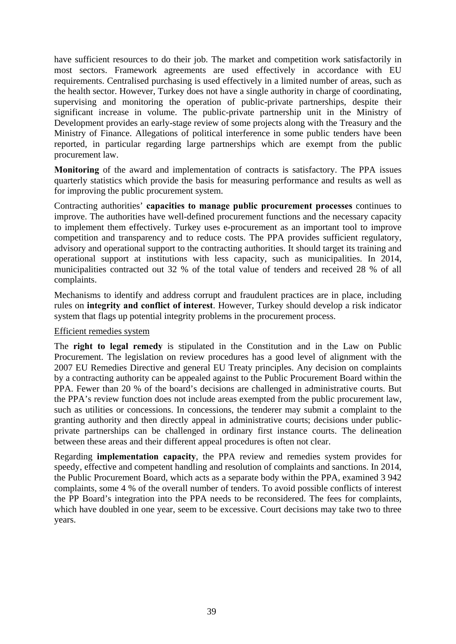have sufficient resources to do their job. The market and competition work satisfactorily in most sectors. Framework agreements are used effectively in accordance with EU requirements. Centralised purchasing is used effectively in a limited number of areas, such as the health sector. However, Turkey does not have a single authority in charge of coordinating, supervising and monitoring the operation of public-private partnerships, despite their significant increase in volume. The public-private partnership unit in the Ministry of Development provides an early-stage review of some projects along with the Treasury and the Ministry of Finance. Allegations of political interference in some public tenders have been reported, in particular regarding large partnerships which are exempt from the public procurement law.

**Monitoring** of the award and implementation of contracts is satisfactory. The PPA issues quarterly statistics which provide the basis for measuring performance and results as well as for improving the public procurement system.

Contracting authorities' **capacities to manage public procurement processes** continues to improve. The authorities have well-defined procurement functions and the necessary capacity to implement them effectively. Turkey uses e-procurement as an important tool to improve competition and transparency and to reduce costs. The PPA provides sufficient regulatory, advisory and operational support to the contracting authorities. It should target its training and operational support at institutions with less capacity, such as municipalities. In 2014, municipalities contracted out 32 % of the total value of tenders and received 28 % of all complaints.

Mechanisms to identify and address corrupt and fraudulent practices are in place, including rules on **integrity and conflict of interest**. However, Turkey should develop a risk indicator system that flags up potential integrity problems in the procurement process.

#### Efficient remedies system

The **right to legal remedy** is stipulated in the Constitution and in the Law on Public Procurement. The legislation on review procedures has a good level of alignment with the 2007 EU Remedies Directive and general EU Treaty principles. Any decision on complaints by a contracting authority can be appealed against to the Public Procurement Board within the PPA. Fewer than 20 % of the board's decisions are challenged in administrative courts. But the PPA's review function does not include areas exempted from the public procurement law, such as utilities or concessions. In concessions, the tenderer may submit a complaint to the granting authority and then directly appeal in administrative courts; decisions under publicprivate partnerships can be challenged in ordinary first instance courts. The delineation between these areas and their different appeal procedures is often not clear.

Regarding **implementation capacity**, the PPA review and remedies system provides for speedy, effective and competent handling and resolution of complaints and sanctions. In 2014, the Public Procurement Board, which acts as a separate body within the PPA, examined 3 942 complaints, some 4 % of the overall number of tenders. To avoid possible conflicts of interest the PP Board's integration into the PPA needs to be reconsidered. The fees for complaints, which have doubled in one year, seem to be excessive. Court decisions may take two to three years.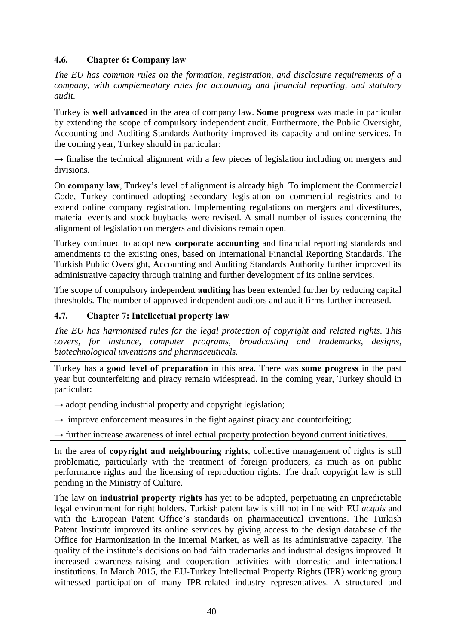# **4.6. Chapter 6: Company law**

*The EU has common rules on the formation, registration, and disclosure requirements of a company, with complementary rules for accounting and financial reporting, and statutory audit.* 

Turkey is **well advanced** in the area of company law. **Some progress** was made in particular by extending the scope of compulsory independent audit. Furthermore, the Public Oversight, Accounting and Auditing Standards Authority improved its capacity and online services. In the coming year, Turkey should in particular:

 $\rightarrow$  finalise the technical alignment with a few pieces of legislation including on mergers and divisions.

On **company law**, Turkey's level of alignment is already high. To implement the Commercial Code, Turkey continued adopting secondary legislation on commercial registries and to extend online company registration. Implementing regulations on mergers and divestitures, material events and stock buybacks were revised. A small number of issues concerning the alignment of legislation on mergers and divisions remain open.

Turkey continued to adopt new **corporate accounting** and financial reporting standards and amendments to the existing ones, based on International Financial Reporting Standards. The Turkish Public Oversight, Accounting and Auditing Standards Authority further improved its administrative capacity through training and further development of its online services.

The scope of compulsory independent **auditing** has been extended further by reducing capital thresholds. The number of approved independent auditors and audit firms further increased.

## **4.7. Chapter 7: Intellectual property law**

*The EU has harmonised rules for the legal protection of copyright and related rights. This covers, for instance, computer programs, broadcasting and trademarks, designs, biotechnological inventions and pharmaceuticals.* 

Turkey has a **good level of preparation** in this area. There was **some progress** in the past year but counterfeiting and piracy remain widespread. In the coming year, Turkey should in particular:

 $\rightarrow$  adopt pending industrial property and copyright legislation;

 $\rightarrow$  improve enforcement measures in the fight against piracy and counterfeiting;

 $\rightarrow$  further increase awareness of intellectual property protection beyond current initiatives.

In the area of **copyright and neighbouring rights**, collective management of rights is still problematic, particularly with the treatment of foreign producers, as much as on public performance rights and the licensing of reproduction rights. The draft copyright law is still pending in the Ministry of Culture.

The law on **industrial property rights** has yet to be adopted, perpetuating an unpredictable legal environment for right holders. Turkish patent law is still not in line with EU *acquis* and with the European Patent Office's standards on pharmaceutical inventions. The Turkish Patent Institute improved its online services by giving access to the design database of the Office for Harmonization in the Internal Market, as well as its administrative capacity. The quality of the institute's decisions on bad faith trademarks and industrial designs improved. It increased awareness-raising and cooperation activities with domestic and international institutions. In March 2015, the EU-Turkey Intellectual Property Rights (IPR) working group witnessed participation of many IPR-related industry representatives. A structured and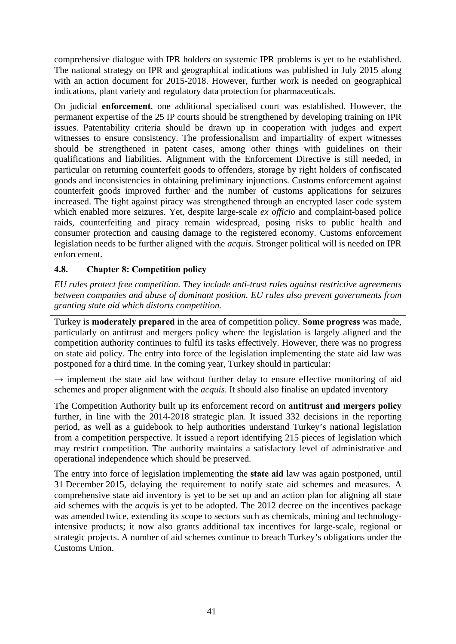comprehensive dialogue with IPR holders on systemic IPR problems is yet to be established. The national strategy on IPR and geographical indications was published in July 2015 along with an action document for 2015-2018. However, further work is needed on geographical indications, plant variety and regulatory data protection for pharmaceuticals.

On judicial **enforcement**, one additional specialised court was established. However, the permanent expertise of the 25 IP courts should be strengthened by developing training on IPR issues. Patentability criteria should be drawn up in cooperation with judges and expert witnesses to ensure consistency. The professionalism and impartiality of expert witnesses should be strengthened in patent cases, among other things with guidelines on their qualifications and liabilities. Alignment with the Enforcement Directive is still needed, in particular on returning counterfeit goods to offenders, storage by right holders of confiscated goods and inconsistencies in obtaining preliminary injunctions. Customs enforcement against counterfeit goods improved further and the number of customs applications for seizures increased. The fight against piracy was strengthened through an encrypted laser code system which enabled more seizures. Yet, despite large-scale *ex officio* and complaint-based police raids, counterfeiting and piracy remain widespread, posing risks to public health and consumer protection and causing damage to the registered economy. Customs enforcement legislation needs to be further aligned with the *acquis.* Stronger political will is needed on IPR enforcement.

## **4.8. Chapter 8: Competition policy**

*EU rules protect free competition. They include anti-trust rules against restrictive agreements between companies and abuse of dominant position. EU rules also prevent governments from granting state aid which distorts competition.* 

Turkey is **moderately prepared** in the area of competition policy. **Some progress** was made, particularly on antitrust and mergers policy where the legislation is largely aligned and the competition authority continues to fulfil its tasks effectively. However, there was no progress on state aid policy. The entry into force of the legislation implementing the state aid law was postponed for a third time. In the coming year, Turkey should in particular:

 $\rightarrow$  implement the state aid law without further delay to ensure effective monitoring of aid schemes and proper alignment with the *acquis*. It should also finalise an updated inventory

The Competition Authority built up its enforcement record on **antitrust and mergers policy**  further, in line with the 2014-2018 strategic plan. It issued 332 decisions in the reporting period, as well as a guidebook to help authorities understand Turkey's national legislation from a competition perspective. It issued a report identifying 215 pieces of legislation which may restrict competition. The authority maintains a satisfactory level of administrative and operational independence which should be preserved.

The entry into force of legislation implementing the **state aid** law was again postponed, until 31 December 2015, delaying the requirement to notify state aid schemes and measures. A comprehensive state aid inventory is yet to be set up and an action plan for aligning all state aid schemes with the *acquis* is yet to be adopted. The 2012 decree on the incentives package was amended twice, extending its scope to sectors such as chemicals, mining and technologyintensive products; it now also grants additional tax incentives for large-scale, regional or strategic projects. A number of aid schemes continue to breach Turkey's obligations under the Customs Union.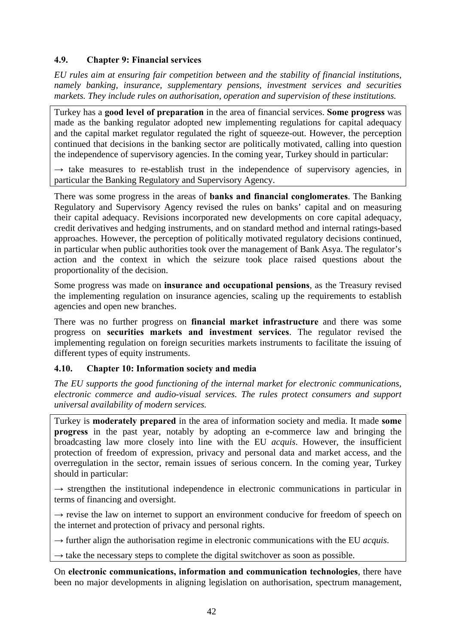## **4.9. Chapter 9: Financial services**

*EU rules aim at ensuring fair competition between and the stability of financial institutions, namely banking, insurance, supplementary pensions, investment services and securities markets. They include rules on authorisation, operation and supervision of these institutions.* 

Turkey has a **good level of preparation** in the area of financial services. **Some progress** was made as the banking regulator adopted new implementing regulations for capital adequacy and the capital market regulator regulated the right of squeeze-out. However, the perception continued that decisions in the banking sector are politically motivated, calling into question the independence of supervisory agencies. In the coming year, Turkey should in particular:

 $\rightarrow$  take measures to re-establish trust in the independence of supervisory agencies, in particular the Banking Regulatory and Supervisory Agency.

There was some progress in the areas of **banks and financial conglomerates**. The Banking Regulatory and Supervisory Agency revised the rules on banks' capital and on measuring their capital adequacy. Revisions incorporated new developments on core capital adequacy, credit derivatives and hedging instruments, and on standard method and internal ratings-based approaches. However, the perception of politically motivated regulatory decisions continued, in particular when public authorities took over the management of Bank Asya. The regulator's action and the context in which the seizure took place raised questions about the proportionality of the decision.

Some progress was made on **insurance and occupational pensions**, as the Treasury revised the implementing regulation on insurance agencies, scaling up the requirements to establish agencies and open new branches.

There was no further progress on **financial market infrastructure** and there was some progress on **securities markets and investment services**. The regulator revised the implementing regulation on foreign securities markets instruments to facilitate the issuing of different types of equity instruments.

## **4.10. Chapter 10: Information society and media**

*The EU supports the good functioning of the internal market for electronic communications, electronic commerce and audio-visual services. The rules protect consumers and support universal availability of modern services.* 

Turkey is **moderately prepared** in the area of information society and media. It made **some progress** in the past year, notably by adopting an e-commerce law and bringing the broadcasting law more closely into line with the EU *acquis*. However, the insufficient protection of freedom of expression, privacy and personal data and market access, and the overregulation in the sector, remain issues of serious concern. In the coming year, Turkey should in particular:

 $\rightarrow$  strengthen the institutional independence in electronic communications in particular in terms of financing and oversight.

 $\rightarrow$  revise the law on internet to support an environment conducive for freedom of speech on the internet and protection of privacy and personal rights.

 $\rightarrow$  further align the authorisation regime in electronic communications with the EU *acquis*.

 $\rightarrow$  take the necessary steps to complete the digital switchover as soon as possible.

On **electronic communications, information and communication technologies**, there have been no major developments in aligning legislation on authorisation, spectrum management,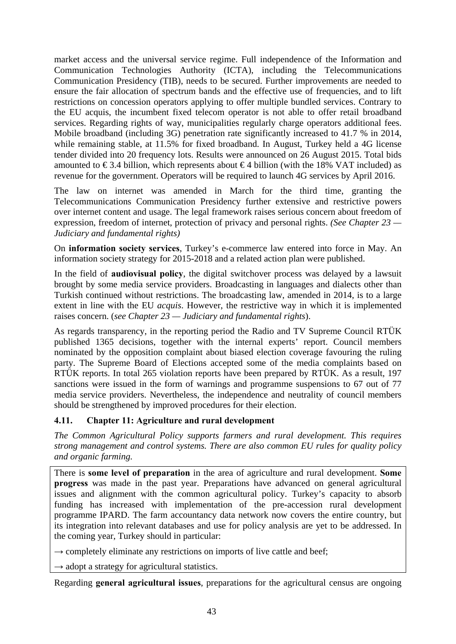market access and the universal service regime. Full independence of the Information and Communication Technologies Authority (ICTA), including the Telecommunications Communication Presidency (TIB), needs to be secured. Further improvements are needed to ensure the fair allocation of spectrum bands and the effective use of frequencies, and to lift restrictions on concession operators applying to offer multiple bundled services. Contrary to the EU acquis, the incumbent fixed telecom operator is not able to offer retail broadband services. Regarding rights of way, municipalities regularly charge operators additional fees. Mobile broadband (including 3G) penetration rate significantly increased to 41.7 % in 2014, while remaining stable, at 11.5% for fixed broadband. In August, Turkey held a 4G license tender divided into 20 frequency lots. Results were announced on 26 August 2015. Total bids amounted to  $\epsilon$  3.4 billion, which represents about  $\epsilon$  4 billion (with the 18% VAT included) as revenue for the government. Operators will be required to launch 4G services by April 2016.

The law on internet was amended in March for the third time, granting the Telecommunications Communication Presidency further extensive and restrictive powers over internet content and usage. The legal framework raises serious concern about freedom of expression, freedom of internet, protection of privacy and personal rights. *(See Chapter 23 — Judiciary and fundamental rights)* 

On **information society services**, Turkey's e-commerce law entered into force in May. An information society strategy for 2015-2018 and a related action plan were published.

In the field of **audiovisual policy**, the digital switchover process was delayed by a lawsuit brought by some media service providers. Broadcasting in languages and dialects other than Turkish continued without restrictions. The broadcasting law, amended in 2014, is to a large extent in line with the EU *acquis*. However, the restrictive way in which it is implemented raises concern. (*see Chapter 23 — Judiciary and fundamental rights*).

As regards transparency, in the reporting period the Radio and TV Supreme Council RTÜK published 1365 decisions, together with the internal experts' report. Council members nominated by the opposition complaint about biased election coverage favouring the ruling party. The Supreme Board of Elections accepted some of the media complaints based on RTÜK reports. In total 265 violation reports have been prepared by RTÜK. As a result, 197 sanctions were issued in the form of warnings and programme suspensions to 67 out of 77 media service providers. Nevertheless, the independence and neutrality of council members should be strengthened by improved procedures for their election.

# **4.11. Chapter 11: Agriculture and rural development**

*The Common Agricultural Policy supports farmers and rural development. This requires strong management and control systems. There are also common EU rules for quality policy and organic farming.* 

There is **some level of preparation** in the area of agriculture and rural development. **Some progress** was made in the past year. Preparations have advanced on general agricultural issues and alignment with the common agricultural policy. Turkey's capacity to absorb funding has increased with implementation of the pre-accession rural development programme IPARD. The farm accountancy data network now covers the entire country, but its integration into relevant databases and use for policy analysis are yet to be addressed. In the coming year, Turkey should in particular:

 $\rightarrow$  completely eliminate any restrictions on imports of live cattle and beef;

 $\rightarrow$  adopt a strategy for agricultural statistics.

Regarding **general agricultural issues**, preparations for the agricultural census are ongoing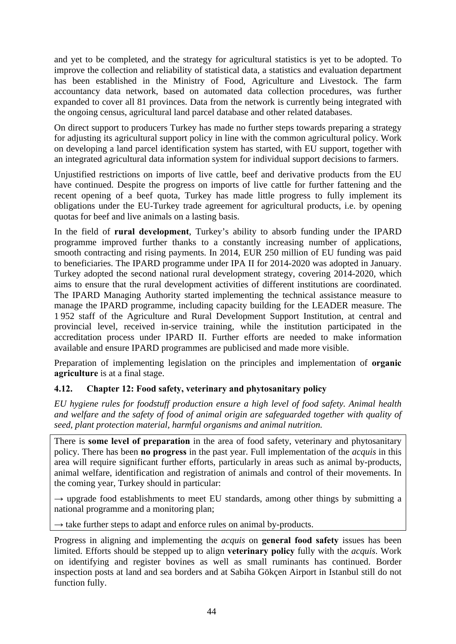and yet to be completed, and the strategy for agricultural statistics is yet to be adopted. To improve the collection and reliability of statistical data, a statistics and evaluation department has been established in the Ministry of Food, Agriculture and Livestock. The farm accountancy data network, based on automated data collection procedures, was further expanded to cover all 81 provinces. Data from the network is currently being integrated with the ongoing census, agricultural land parcel database and other related databases.

On direct support to producers Turkey has made no further steps towards preparing a strategy for adjusting its agricultural support policy in line with the common agricultural policy. Work on developing a land parcel identification system has started, with EU support, together with an integrated agricultural data information system for individual support decisions to farmers.

Unjustified restrictions on imports of live cattle, beef and derivative products from the EU have continued. Despite the progress on imports of live cattle for further fattening and the recent opening of a beef quota, Turkey has made little progress to fully implement its obligations under the EU-Turkey trade agreement for agricultural products, i.e. by opening quotas for beef and live animals on a lasting basis.

In the field of **rural development**, Turkey's ability to absorb funding under the IPARD programme improved further thanks to a constantly increasing number of applications, smooth contracting and rising payments. In 2014, EUR 250 million of EU funding was paid to beneficiaries. The IPARD programme under IPA II for 2014-2020 was adopted in January. Turkey adopted the second national rural development strategy, covering 2014-2020, which aims to ensure that the rural development activities of different institutions are coordinated. The IPARD Managing Authority started implementing the technical assistance measure to manage the IPARD programme, including capacity building for the LEADER measure. The 1 952 staff of the Agriculture and Rural Development Support Institution, at central and provincial level, received in-service training, while the institution participated in the accreditation process under IPARD II. Further efforts are needed to make information available and ensure IPARD programmes are publicised and made more visible.

Preparation of implementing legislation on the principles and implementation of **organic agriculture** is at a final stage.

# **4.12. Chapter 12: Food safety, veterinary and phytosanitary policy**

*EU hygiene rules for foodstuff production ensure a high level of food safety. Animal health and welfare and the safety of food of animal origin are safeguarded together with quality of seed, plant protection material, harmful organisms and animal nutrition.* 

There is **some level of preparation** in the area of food safety, veterinary and phytosanitary policy. There has been **no progress** in the past year. Full implementation of the *acquis* in this area will require significant further efforts, particularly in areas such as animal by-products, animal welfare, identification and registration of animals and control of their movements. In the coming year, Turkey should in particular:

 $\rightarrow$  upgrade food establishments to meet EU standards, among other things by submitting a national programme and a monitoring plan;

 $\rightarrow$  take further steps to adapt and enforce rules on animal by-products.

Progress in aligning and implementing the *acquis* on **general food safety** issues has been limited. Efforts should be stepped up to align **veterinary policy** fully with the *acquis*. Work on identifying and register bovines as well as small ruminants has continued. Border inspection posts at land and sea borders and at Sabiha Gökçen Airport in Istanbul still do not function fully.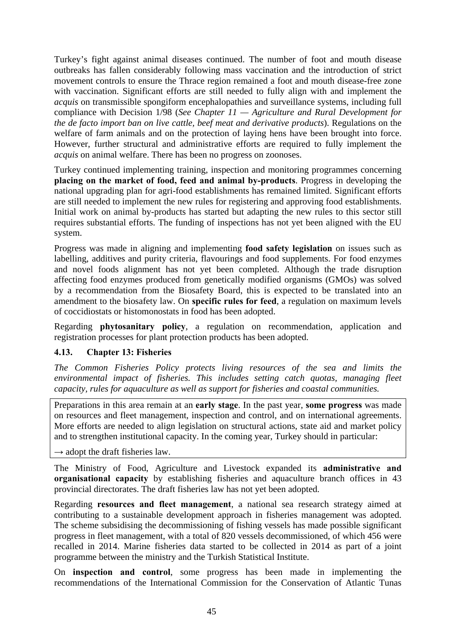Turkey's fight against animal diseases continued. The number of foot and mouth disease outbreaks has fallen considerably following mass vaccination and the introduction of strict movement controls to ensure the Thrace region remained a foot and mouth disease-free zone with vaccination. Significant efforts are still needed to fully align with and implement the *acquis* on transmissible spongiform encephalopathies and surveillance systems, including full compliance with Decision 1/98 (*See Chapter 11 — Agriculture and Rural Development for the de facto import ban on live cattle, beef meat and derivative products*). Regulations on the welfare of farm animals and on the protection of laying hens have been brought into force. However, further structural and administrative efforts are required to fully implement the *acquis* on animal welfare. There has been no progress on zoonoses.

Turkey continued implementing training, inspection and monitoring programmes concerning **placing on the market of food, feed and animal by-products**. Progress in developing the national upgrading plan for agri-food establishments has remained limited. Significant efforts are still needed to implement the new rules for registering and approving food establishments. Initial work on animal by-products has started but adapting the new rules to this sector still requires substantial efforts. The funding of inspections has not yet been aligned with the EU system.

Progress was made in aligning and implementing **food safety legislation** on issues such as labelling, additives and purity criteria, flavourings and food supplements. For food enzymes and novel foods alignment has not yet been completed. Although the trade disruption affecting food enzymes produced from genetically modified organisms (GMOs) was solved by a recommendation from the Biosafety Board, this is expected to be translated into an amendment to the biosafety law. On **specific rules for feed**, a regulation on maximum levels of coccidiostats or histomonostats in food has been adopted.

Regarding **phytosanitary policy**, a regulation on recommendation, application and registration processes for plant protection products has been adopted.

## **4.13. Chapter 13: Fisheries**

*The Common Fisheries Policy protects living resources of the sea and limits the environmental impact of fisheries. This includes setting catch quotas, managing fleet capacity, rules for aquaculture as well as support for fisheries and coastal communities.* 

Preparations in this area remain at an **early stage**. In the past year, **some progress** was made on resources and fleet management, inspection and control, and on international agreements. More efforts are needed to align legislation on structural actions, state aid and market policy and to strengthen institutional capacity. In the coming year, Turkey should in particular:

 $\rightarrow$  adopt the draft fisheries law.

The Ministry of Food, Agriculture and Livestock expanded its **administrative and organisational capacity** by establishing fisheries and aquaculture branch offices in 43 provincial directorates. The draft fisheries law has not yet been adopted.

Regarding **resources and fleet management**, a national sea research strategy aimed at contributing to a sustainable development approach in fisheries management was adopted. The scheme subsidising the decommissioning of fishing vessels has made possible significant progress in fleet management, with a total of 820 vessels decommissioned, of which 456 were recalled in 2014. Marine fisheries data started to be collected in 2014 as part of a joint programme between the ministry and the Turkish Statistical Institute.

On **inspection and control**, some progress has been made in implementing the recommendations of the International Commission for the Conservation of Atlantic Tunas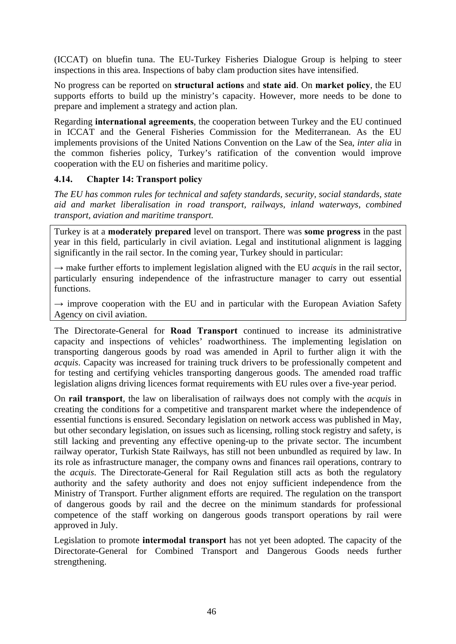(ICCAT) on bluefin tuna. The EU-Turkey Fisheries Dialogue Group is helping to steer inspections in this area. Inspections of baby clam production sites have intensified.

No progress can be reported on **structural actions** and **state aid**. On **market policy**, the EU supports efforts to build up the ministry's capacity. However, more needs to be done to prepare and implement a strategy and action plan.

Regarding **international agreements**, the cooperation between Turkey and the EU continued in ICCAT and the General Fisheries Commission for the Mediterranean. As the EU implements provisions of the United Nations Convention on the Law of the Sea, *inter alia* in the common fisheries policy, Turkey's ratification of the convention would improve cooperation with the EU on fisheries and maritime policy.

## **4.14. Chapter 14: Transport policy**

*The EU has common rules for technical and safety standards, security, social standards, state aid and market liberalisation in road transport, railways, inland waterways, combined transport, aviation and maritime transport.* 

Turkey is at a **moderately prepared** level on transport. There was **some progress** in the past year in this field, particularly in civil aviation. Legal and institutional alignment is lagging significantly in the rail sector. In the coming year, Turkey should in particular:

 $\rightarrow$  make further efforts to implement legislation aligned with the EU *acquis* in the rail sector, particularly ensuring independence of the infrastructure manager to carry out essential functions.

 $\rightarrow$  improve cooperation with the EU and in particular with the European Aviation Safety Agency on civil aviation.

The Directorate-General for **Road Transport** continued to increase its administrative capacity and inspections of vehicles' roadworthiness. The implementing legislation on transporting dangerous goods by road was amended in April to further align it with the *acquis*. Capacity was increased for training truck drivers to be professionally competent and for testing and certifying vehicles transporting dangerous goods. The amended road traffic legislation aligns driving licences format requirements with EU rules over a five-year period.

On **rail transport**, the law on liberalisation of railways does not comply with the *acquis* in creating the conditions for a competitive and transparent market where the independence of essential functions is ensured. Secondary legislation on network access was published in May, but other secondary legislation, on issues such as licensing, rolling stock registry and safety, is still lacking and preventing any effective opening-up to the private sector. The incumbent railway operator, Turkish State Railways, has still not been unbundled as required by law. In its role as infrastructure manager, the company owns and finances rail operations, contrary to the *acquis*. The Directorate-General for Rail Regulation still acts as both the regulatory authority and the safety authority and does not enjoy sufficient independence from the Ministry of Transport. Further alignment efforts are required. The regulation on the transport of dangerous goods by rail and the decree on the minimum standards for professional competence of the staff working on dangerous goods transport operations by rail were approved in July.

Legislation to promote **intermodal transport** has not yet been adopted. The capacity of the Directorate-General for Combined Transport and Dangerous Goods needs further strengthening.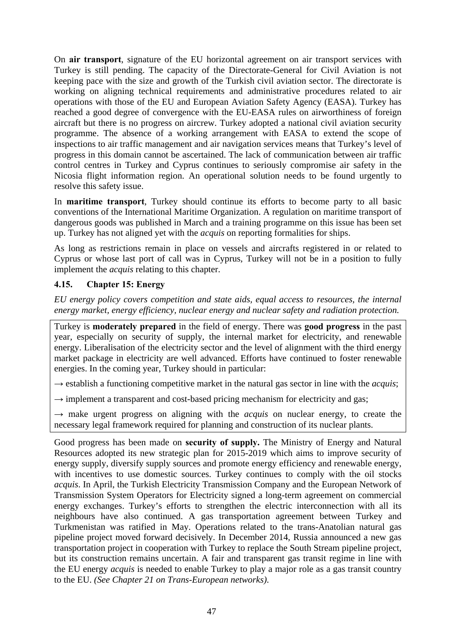On **air transport**, signature of the EU horizontal agreement on air transport services with Turkey is still pending. The capacity of the Directorate-General for Civil Aviation is not keeping pace with the size and growth of the Turkish civil aviation sector. The directorate is working on aligning technical requirements and administrative procedures related to air operations with those of the EU and European Aviation Safety Agency (EASA). Turkey has reached a good degree of convergence with the EU-EASA rules on airworthiness of foreign aircraft but there is no progress on aircrew. Turkey adopted a national civil aviation security programme. The absence of a working arrangement with EASA to extend the scope of inspections to air traffic management and air navigation services means that Turkey's level of progress in this domain cannot be ascertained. The lack of communication between air traffic control centres in Turkey and Cyprus continues to seriously compromise air safety in the Nicosia flight information region. An operational solution needs to be found urgently to resolve this safety issue.

In **maritime transport**, Turkey should continue its efforts to become party to all basic conventions of the International Maritime Organization. A regulation on maritime transport of dangerous goods was published in March and a training programme on this issue has been set up. Turkey has not aligned yet with the *acquis* on reporting formalities for ships.

As long as restrictions remain in place on vessels and aircrafts registered in or related to Cyprus or whose last port of call was in Cyprus, Turkey will not be in a position to fully implement the *acquis* relating to this chapter.

# **4.15. Chapter 15: Energy**

*EU energy policy covers competition and state aids, equal access to resources, the internal energy market, energy efficiency, nuclear energy and nuclear safety and radiation protection.* 

Turkey is **moderately prepared** in the field of energy. There was **good progress** in the past year, especially on security of supply, the internal market for electricity, and renewable energy. Liberalisation of the electricity sector and the level of alignment with the third energy market package in electricity are well advanced. Efforts have continued to foster renewable energies. In the coming year, Turkey should in particular:

 $\rightarrow$  establish a functioning competitive market in the natural gas sector in line with the *acquis*;

 $\rightarrow$  implement a transparent and cost-based pricing mechanism for electricity and gas;

 $\rightarrow$  make urgent progress on aligning with the *acquis* on nuclear energy, to create the necessary legal framework required for planning and construction of its nuclear plants.

Good progress has been made on **security of supply.** The Ministry of Energy and Natural Resources adopted its new strategic plan for 2015-2019 which aims to improve security of energy supply, diversify supply sources and promote energy efficiency and renewable energy, with incentives to use domestic sources. Turkey continues to comply with the oil stocks *acquis*. In April, the Turkish Electricity Transmission Company and the European Network of Transmission System Operators for Electricity signed a long-term agreement on commercial energy exchanges. Turkey's efforts to strengthen the electric interconnection with all its neighbours have also continued. A gas transportation agreement between Turkey and Turkmenistan was ratified in May. Operations related to the trans-Anatolian natural gas pipeline project moved forward decisively. In December 2014, Russia announced a new gas transportation project in cooperation with Turkey to replace the South Stream pipeline project, but its construction remains uncertain. A fair and transparent gas transit regime in line with the EU energy *acquis* is needed to enable Turkey to play a major role as a gas transit country to the EU. *(See Chapter 21 on Trans-European networks)*.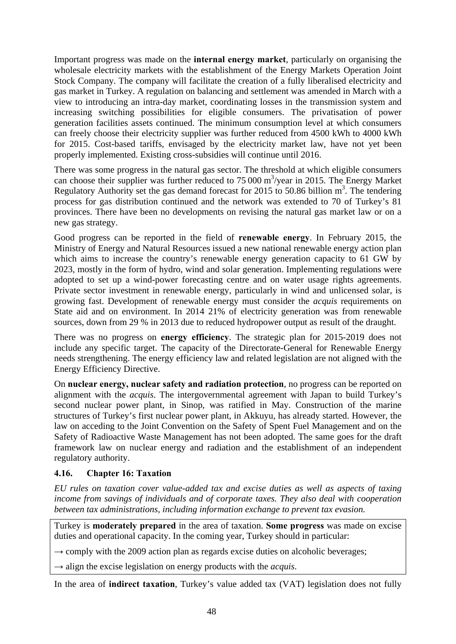Important progress was made on the **internal energy market**, particularly on organising the wholesale electricity markets with the establishment of the Energy Markets Operation Joint Stock Company. The company will facilitate the creation of a fully liberalised electricity and gas market in Turkey. A regulation on balancing and settlement was amended in March with a view to introducing an intra-day market, coordinating losses in the transmission system and increasing switching possibilities for eligible consumers. The privatisation of power generation facilities assets continued. The minimum consumption level at which consumers can freely choose their electricity supplier was further reduced from 4500 kWh to 4000 kWh for 2015. Cost-based tariffs, envisaged by the electricity market law, have not yet been properly implemented. Existing cross-subsidies will continue until 2016.

There was some progress in the natural gas sector. The threshold at which eligible consumers can choose their supplier was further reduced to  $75000 \text{ m}^3/\text{year}$  in 2015. The Energy Market Regulatory Authority set the gas demand forecast for 2015 to 50.86 billion  $m<sup>3</sup>$ . The tendering process for gas distribution continued and the network was extended to 70 of Turkey's 81 provinces. There have been no developments on revising the natural gas market law or on a new gas strategy.

Good progress can be reported in the field of **renewable energy**. In February 2015, the Ministry of Energy and Natural Resources issued a new national renewable energy action plan which aims to increase the country's renewable energy generation capacity to 61 GW by 2023, mostly in the form of hydro, wind and solar generation. Implementing regulations were adopted to set up a wind-power forecasting centre and on water usage rights agreements. Private sector investment in renewable energy, particularly in wind and unlicensed solar, is growing fast. Development of renewable energy must consider the *acquis* requirements on State aid and on environment. In 2014 21% of electricity generation was from renewable sources, down from 29 % in 2013 due to reduced hydropower output as result of the draught.

There was no progress on **energy efficiency**. The strategic plan for 2015-2019 does not include any specific target. The capacity of the Directorate-General for Renewable Energy needs strengthening. The energy efficiency law and related legislation are not aligned with the Energy Efficiency Directive.

On **nuclear energy, nuclear safety and radiation protection**, no progress can be reported on alignment with the *acquis*. The intergovernmental agreement with Japan to build Turkey's second nuclear power plant, in Sinop, was ratified in May. Construction of the marine structures of Turkey's first nuclear power plant, in Akkuyu, has already started. However, the law on acceding to the Joint Convention on the Safety of Spent Fuel Management and on the Safety of Radioactive Waste Management has not been adopted. The same goes for the draft framework law on nuclear energy and radiation and the establishment of an independent regulatory authority.

## **4.16. Chapter 16: Taxation**

*EU rules on taxation cover value-added tax and excise duties as well as aspects of taxing income from savings of individuals and of corporate taxes. They also deal with cooperation between tax administrations, including information exchange to prevent tax evasion.* 

Turkey is **moderately prepared** in the area of taxation. **Some progress** was made on excise duties and operational capacity. In the coming year, Turkey should in particular:

 $\rightarrow$  comply with the 2009 action plan as regards excise duties on alcoholic beverages;

 $\rightarrow$  align the excise legislation on energy products with the *acquis*.

In the area of **indirect taxation**, Turkey's value added tax (VAT) legislation does not fully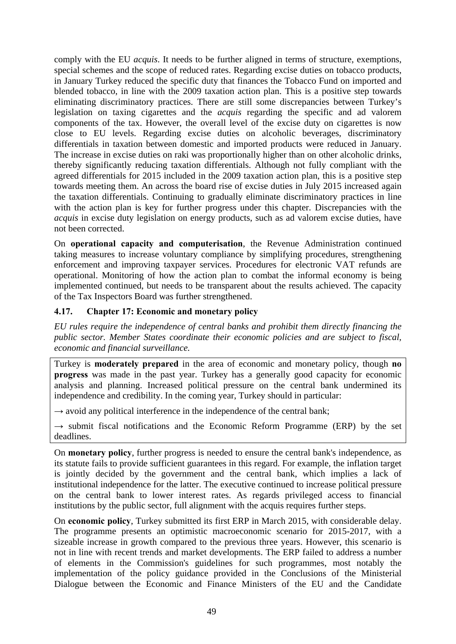comply with the EU *acquis*. It needs to be further aligned in terms of structure, exemptions, special schemes and the scope of reduced rates. Regarding excise duties on tobacco products, in January Turkey reduced the specific duty that finances the Tobacco Fund on imported and blended tobacco, in line with the 2009 taxation action plan. This is a positive step towards eliminating discriminatory practices. There are still some discrepancies between Turkey's legislation on taxing cigarettes and the *acquis* regarding the specific and ad valorem components of the tax. However, the overall level of the excise duty on cigarettes is now close to EU levels. Regarding excise duties on alcoholic beverages, discriminatory differentials in taxation between domestic and imported products were reduced in January. The increase in excise duties on raki was proportionally higher than on other alcoholic drinks, thereby significantly reducing taxation differentials. Although not fully compliant with the agreed differentials for 2015 included in the 2009 taxation action plan, this is a positive step towards meeting them. An across the board rise of excise duties in July 2015 increased again the taxation differentials. Continuing to gradually eliminate discriminatory practices in line with the action plan is key for further progress under this chapter. Discrepancies with the *acquis* in excise duty legislation on energy products, such as ad valorem excise duties, have not been corrected.

On **operational capacity and computerisation**, the Revenue Administration continued taking measures to increase voluntary compliance by simplifying procedures, strengthening enforcement and improving taxpayer services. Procedures for electronic VAT refunds are operational. Monitoring of how the action plan to combat the informal economy is being implemented continued, but needs to be transparent about the results achieved. The capacity of the Tax Inspectors Board was further strengthened.

## **4.17. Chapter 17: Economic and monetary policy**

*EU rules require the independence of central banks and prohibit them directly financing the public sector. Member States coordinate their economic policies and are subject to fiscal, economic and financial surveillance.* 

Turkey is **moderately prepared** in the area of economic and monetary policy, though **no progress** was made in the past year. Turkey has a generally good capacity for economic analysis and planning. Increased political pressure on the central bank undermined its independence and credibility. In the coming year, Turkey should in particular:

 $\rightarrow$  avoid any political interference in the independence of the central bank;

 $\rightarrow$  submit fiscal notifications and the Economic Reform Programme (ERP) by the set deadlines.

On **monetary policy**, further progress is needed to ensure the central bank's independence, as its statute fails to provide sufficient guarantees in this regard. For example, the inflation target is jointly decided by the government and the central bank, which implies a lack of institutional independence for the latter. The executive continued to increase political pressure on the central bank to lower interest rates. As regards privileged access to financial institutions by the public sector, full alignment with the acquis requires further steps.

On **economic policy**, Turkey submitted its first ERP in March 2015, with considerable delay. The programme presents an optimistic macroeconomic scenario for 2015-2017, with a sizeable increase in growth compared to the previous three years. However, this scenario is not in line with recent trends and market developments. The ERP failed to address a number of elements in the Commission's guidelines for such programmes, most notably the implementation of the policy guidance provided in the Conclusions of the Ministerial Dialogue between the Economic and Finance Ministers of the EU and the Candidate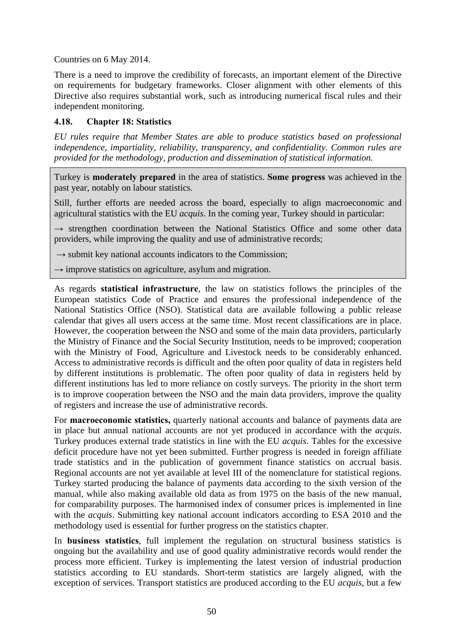Countries on 6 May 2014.

There is a need to improve the credibility of forecasts, an important element of the Directive on requirements for budgetary frameworks. Closer alignment with other elements of this Directive also requires substantial work, such as introducing numerical fiscal rules and their independent monitoring.

## **4.18. Chapter 18: Statistics**

*EU rules require that Member States are able to produce statistics based on professional independence, impartiality, reliability, transparency, and confidentiality. Common rules are provided for the methodology, production and dissemination of statistical information.* 

Turkey is **moderately prepared** in the area of statistics. **Some progress** was achieved in the past year, notably on labour statistics.

Still, further efforts are needed across the board, especially to align macroeconomic and agricultural statistics with the EU *acquis*. In the coming year, Turkey should in particular:

→ strengthen coordination between the National Statistics Office and some other data providers, while improving the quality and use of administrative records;

→ submit key national accounts indicators to the Commission;

 $\rightarrow$  improve statistics on agriculture, asylum and migration.

As regards **statistical infrastructure**, the law on statistics follows the principles of the European statistics Code of Practice and ensures the professional independence of the National Statistics Office (NSO). Statistical data are available following a public release calendar that gives all users access at the same time. Most recent classifications are in place. However, the cooperation between the NSO and some of the main data providers, particularly the Ministry of Finance and the Social Security Institution, needs to be improved; cooperation with the Ministry of Food, Agriculture and Livestock needs to be considerably enhanced. Access to administrative records is difficult and the often poor quality of data in registers held by different institutions is problematic. The often poor quality of data in registers held by different institutions has led to more reliance on costly surveys. The priority in the short term is to improve cooperation between the NSO and the main data providers, improve the quality of registers and increase the use of administrative records.

For **macroeconomic statistics,** quarterly national accounts and balance of payments data are in place but annual national accounts are not yet produced in accordance with the *acquis*. Turkey produces external trade statistics in line with the EU *acquis*. Tables for the excessive deficit procedure have not yet been submitted. Further progress is needed in foreign affiliate trade statistics and in the publication of government finance statistics on accrual basis. Regional accounts are not yet available at level III of the nomenclature for statistical regions. Turkey started producing the balance of payments data according to the sixth version of the manual, while also making available old data as from 1975 on the basis of the new manual, for comparability purposes. The harmonised index of consumer prices is implemented in line with the *acquis*. Submitting key national account indicators according to ESA 2010 and the methodology used is essential for further progress on the statistics chapter.

In **business statistics**, full implement the regulation on structural business statistics is ongoing but the availability and use of good quality administrative records would render the process more efficient. Turkey is implementing the latest version of industrial production statistics according to EU standards. Short-term statistics are largely aligned, with the exception of services. Transport statistics are produced according to the EU *acquis*, but a few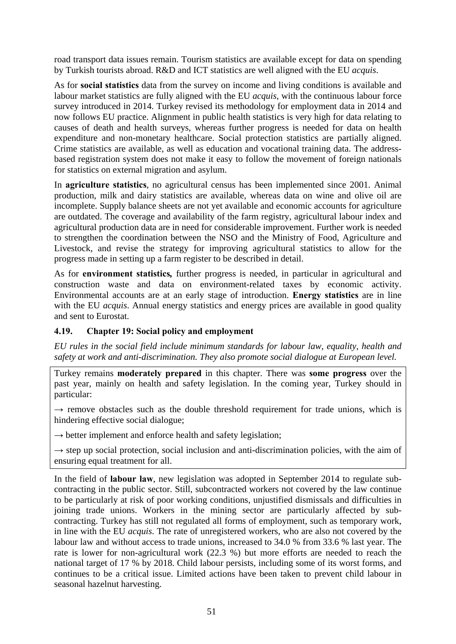road transport data issues remain. Tourism statistics are available except for data on spending by Turkish tourists abroad. R&D and ICT statistics are well aligned with the EU *acquis*.

As for **social statistics** data from the survey on income and living conditions is available and labour market statistics are fully aligned with the EU *acquis*, with the continuous labour force survey introduced in 2014. Turkey revised its methodology for employment data in 2014 and now follows EU practice. Alignment in public health statistics is very high for data relating to causes of death and health surveys, whereas further progress is needed for data on health expenditure and non-monetary healthcare. Social protection statistics are partially aligned. Crime statistics are available, as well as education and vocational training data. The addressbased registration system does not make it easy to follow the movement of foreign nationals for statistics on external migration and asylum.

In **agriculture statistics**, no agricultural census has been implemented since 2001. Animal production, milk and dairy statistics are available, whereas data on wine and olive oil are incomplete. Supply balance sheets are not yet available and economic accounts for agriculture are outdated. The coverage and availability of the farm registry, agricultural labour index and agricultural production data are in need for considerable improvement. Further work is needed to strengthen the coordination between the NSO and the Ministry of Food, Agriculture and Livestock, and revise the strategy for improving agricultural statistics to allow for the progress made in setting up a farm register to be described in detail.

As for **environment statistics***,* further progress is needed, in particular in agricultural and construction waste and data on environment-related taxes by economic activity. Environmental accounts are at an early stage of introduction. **Energy statistics** are in line with the EU *acquis*. Annual energy statistics and energy prices are available in good quality and sent to Eurostat.

# **4.19. Chapter 19: Social policy and employment**

*EU rules in the social field include minimum standards for labour law, equality, health and safety at work and anti-discrimination. They also promote social dialogue at European level.* 

Turkey remains **moderately prepared** in this chapter. There was **some progress** over the past year, mainly on health and safety legislation. In the coming year, Turkey should in particular:

 $\rightarrow$  remove obstacles such as the double threshold requirement for trade unions, which is hindering effective social dialogue;

 $\rightarrow$  better implement and enforce health and safety legislation;

 $\rightarrow$  step up social protection, social inclusion and anti-discrimination policies, with the aim of ensuring equal treatment for all.

In the field of **labour law**, new legislation was adopted in September 2014 to regulate subcontracting in the public sector. Still, subcontracted workers not covered by the law continue to be particularly at risk of poor working conditions, unjustified dismissals and difficulties in joining trade unions. Workers in the mining sector are particularly affected by subcontracting. Turkey has still not regulated all forms of employment, such as temporary work, in line with the EU *acquis*. The rate of unregistered workers, who are also not covered by the labour law and without access to trade unions, increased to 34.0 % from 33.6 % last year. The rate is lower for non-agricultural work (22.3 %) but more efforts are needed to reach the national target of 17 % by 2018. Child labour persists, including some of its worst forms, and continues to be a critical issue. Limited actions have been taken to prevent child labour in seasonal hazelnut harvesting.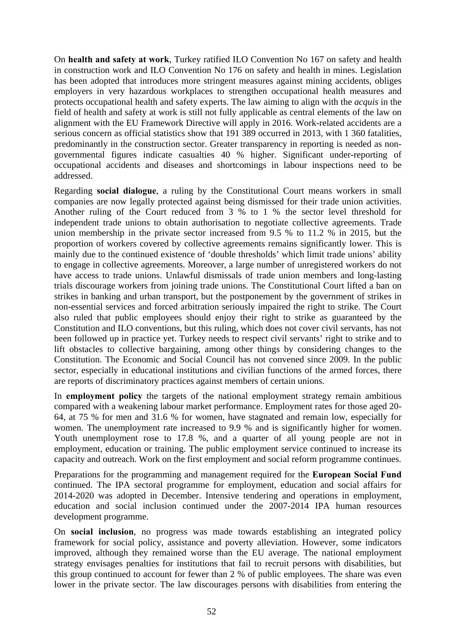On **health and safety at work**, Turkey ratified ILO Convention No 167 on safety and health in construction work and ILO Convention No 176 on safety and health in mines. Legislation has been adopted that introduces more stringent measures against mining accidents, obliges employers in very hazardous workplaces to strengthen occupational health measures and protects occupational health and safety experts. The law aiming to align with the *acquis* in the field of health and safety at work is still not fully applicable as central elements of the law on alignment with the EU Framework Directive will apply in 2016. Work-related accidents are a serious concern as official statistics show that 191 389 occurred in 2013, with 1 360 fatalities, predominantly in the construction sector. Greater transparency in reporting is needed as nongovernmental figures indicate casualties 40 % higher. Significant under-reporting of occupational accidents and diseases and shortcomings in labour inspections need to be addressed.

Regarding **social dialogue**, a ruling by the Constitutional Court means workers in small companies are now legally protected against being dismissed for their trade union activities. Another ruling of the Court reduced from 3 % to 1 % the sector level threshold for independent trade unions to obtain authorisation to negotiate collective agreements. Trade union membership in the private sector increased from 9.5 % to 11.2 % in 2015, but the proportion of workers covered by collective agreements remains significantly lower. This is mainly due to the continued existence of 'double thresholds' which limit trade unions' ability to engage in collective agreements. Moreover, a large number of unregistered workers do not have access to trade unions. Unlawful dismissals of trade union members and long-lasting trials discourage workers from joining trade unions. The Constitutional Court lifted a ban on strikes in banking and urban transport, but the postponement by the government of strikes in non-essential services and forced arbitration seriously impaired the right to strike. The Court also ruled that public employees should enjoy their right to strike as guaranteed by the Constitution and ILO conventions, but this ruling, which does not cover civil servants, has not been followed up in practice yet. Turkey needs to respect civil servants' right to strike and to lift obstacles to collective bargaining, among other things by considering changes to the Constitution. The Economic and Social Council has not convened since 2009. In the public sector, especially in educational institutions and civilian functions of the armed forces, there are reports of discriminatory practices against members of certain unions.

In **employment policy** the targets of the national employment strategy remain ambitious compared with a weakening labour market performance. Employment rates for those aged 20- 64, at 75 % for men and 31.6 % for women, have stagnated and remain low, especially for women. The unemployment rate increased to 9.9 % and is significantly higher for women. Youth unemployment rose to 17.8 %, and a quarter of all young people are not in employment, education or training. The public employment service continued to increase its capacity and outreach. Work on the first employment and social reform programme continues.

Preparations for the programming and management required for the **European Social Fund** continued. The IPA sectoral programme for employment, education and social affairs for 2014-2020 was adopted in December. Intensive tendering and operations in employment, education and social inclusion continued under the 2007-2014 IPA human resources development programme.

On **social inclusion**, no progress was made towards establishing an integrated policy framework for social policy, assistance and poverty alleviation. However, some indicators improved, although they remained worse than the EU average. The national employment strategy envisages penalties for institutions that fail to recruit persons with disabilities, but this group continued to account for fewer than 2 % of public employees. The share was even lower in the private sector. The law discourages persons with disabilities from entering the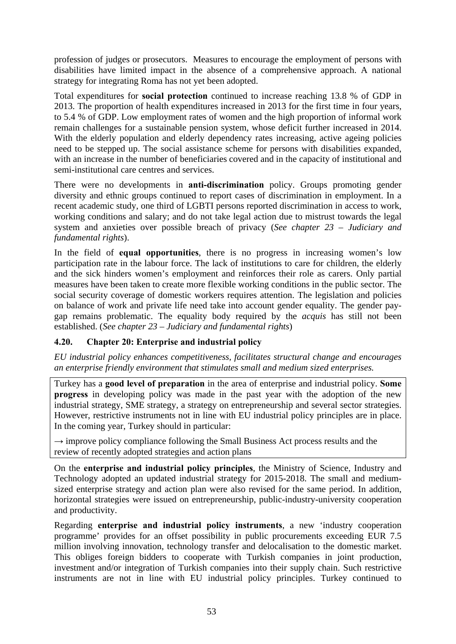profession of judges or prosecutors. Measures to encourage the employment of persons with disabilities have limited impact in the absence of a comprehensive approach. A national strategy for integrating Roma has not yet been adopted.

Total expenditures for **social protection** continued to increase reaching 13.8 % of GDP in 2013. The proportion of health expenditures increased in 2013 for the first time in four years, to 5.4 % of GDP. Low employment rates of women and the high proportion of informal work remain challenges for a sustainable pension system, whose deficit further increased in 2014. With the elderly population and elderly dependency rates increasing, active ageing policies need to be stepped up. The social assistance scheme for persons with disabilities expanded, with an increase in the number of beneficiaries covered and in the capacity of institutional and semi-institutional care centres and services.

There were no developments in **anti-discrimination** policy. Groups promoting gender diversity and ethnic groups continued to report cases of discrimination in employment. In a recent academic study, one third of LGBTI persons reported discrimination in access to work, working conditions and salary; and do not take legal action due to mistrust towards the legal system and anxieties over possible breach of privacy (*See chapter 23 – Judiciary and fundamental rights*).

In the field of **equal opportunities**, there is no progress in increasing women's low participation rate in the labour force. The lack of institutions to care for children, the elderly and the sick hinders women's employment and reinforces their role as carers. Only partial measures have been taken to create more flexible working conditions in the public sector. The social security coverage of domestic workers requires attention. The legislation and policies on balance of work and private life need take into account gender equality. The gender paygap remains problematic. The equality body required by the *acquis* has still not been established. (*See chapter 23 – Judiciary and fundamental rights*)

## **4.20. Chapter 20: Enterprise and industrial policy**

*EU industrial policy enhances competitiveness, facilitates structural change and encourages an enterprise friendly environment that stimulates small and medium sized enterprises.* 

Turkey has a **good level of preparation** in the area of enterprise and industrial policy. **Some progress** in developing policy was made in the past year with the adoption of the new industrial strategy, SME strategy, a strategy on entrepreneurship and several sector strategies. However, restrictive instruments not in line with EU industrial policy principles are in place. In the coming year, Turkey should in particular:

 $\rightarrow$  improve policy compliance following the Small Business Act process results and the review of recently adopted strategies and action plans

On the **enterprise and industrial policy principles**, the Ministry of Science, Industry and Technology adopted an updated industrial strategy for 2015-2018. The small and mediumsized enterprise strategy and action plan were also revised for the same period. In addition, horizontal strategies were issued on entrepreneurship, public-industry-university cooperation and productivity.

Regarding **enterprise and industrial policy instruments**, a new 'industry cooperation programme' provides for an offset possibility in public procurements exceeding EUR 7.5 million involving innovation, technology transfer and delocalisation to the domestic market. This obliges foreign bidders to cooperate with Turkish companies in joint production, investment and/or integration of Turkish companies into their supply chain. Such restrictive instruments are not in line with EU industrial policy principles. Turkey continued to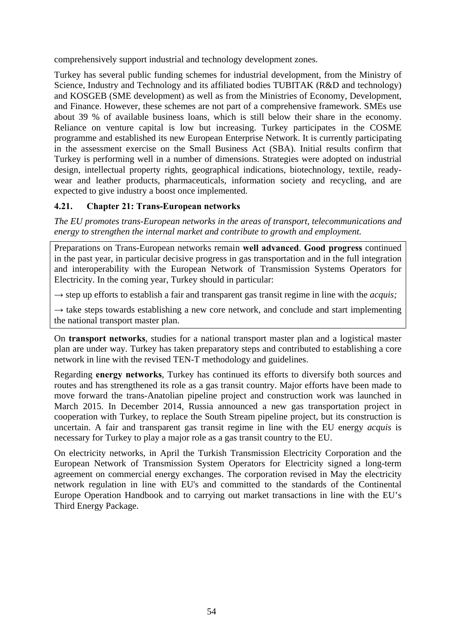comprehensively support industrial and technology development zones.

Turkey has several public funding schemes for industrial development, from the Ministry of Science, Industry and Technology and its affiliated bodies TUBITAK (R&D and technology) and KOSGEB (SME development) as well as from the Ministries of Economy, Development, and Finance. However, these schemes are not part of a comprehensive framework. SMEs use about 39 % of available business loans, which is still below their share in the economy. Reliance on venture capital is low but increasing. Turkey participates in the COSME programme and established its new European Enterprise Network. It is currently participating in the assessment exercise on the Small Business Act (SBA). Initial results confirm that Turkey is performing well in a number of dimensions. Strategies were adopted on industrial design, intellectual property rights, geographical indications, biotechnology, textile, readywear and leather products, pharmaceuticals, information society and recycling, and are expected to give industry a boost once implemented.

## **4.21. Chapter 21: Trans-European networks**

*The EU promotes trans-European networks in the areas of transport, telecommunications and energy to strengthen the internal market and contribute to growth and employment.* 

Preparations on Trans-European networks remain **well advanced**. **Good progress** continued in the past year, in particular decisive progress in gas transportation and in the full integration and interoperability with the European Network of Transmission Systems Operators for Electricity. In the coming year, Turkey should in particular:

 $\rightarrow$  step up efforts to establish a fair and transparent gas transit regime in line with the *acquis*;

 $\rightarrow$  take steps towards establishing a new core network, and conclude and start implementing the national transport master plan.

On **transport networks**, studies for a national transport master plan and a logistical master plan are under way. Turkey has taken preparatory steps and contributed to establishing a core network in line with the revised TEN-T methodology and guidelines.

Regarding **energy networks**, Turkey has continued its efforts to diversify both sources and routes and has strengthened its role as a gas transit country. Major efforts have been made to move forward the trans-Anatolian pipeline project and construction work was launched in March 2015. In December 2014, Russia announced a new gas transportation project in cooperation with Turkey, to replace the South Stream pipeline project, but its construction is uncertain. A fair and transparent gas transit regime in line with the EU energy *acquis* is necessary for Turkey to play a major role as a gas transit country to the EU.

On electricity networks, in April the Turkish Transmission Electricity Corporation and the European Network of Transmission System Operators for Electricity signed a long-term agreement on commercial energy exchanges. The corporation revised in May the electricity network regulation in line with EU's and committed to the standards of the Continental Europe Operation Handbook and to carrying out market transactions in line with the EU's Third Energy Package.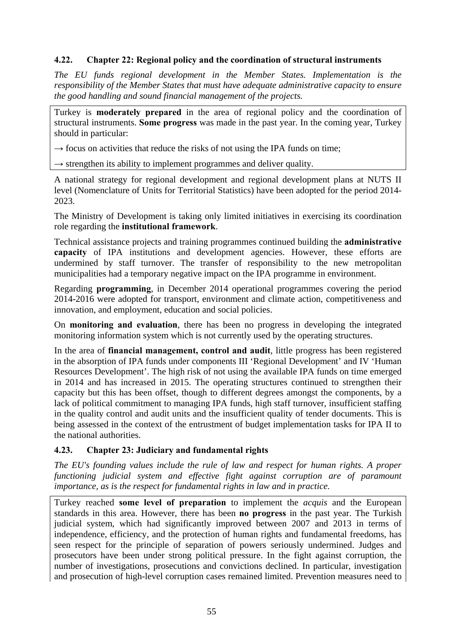## **4.22. Chapter 22: Regional policy and the coordination of structural instruments**

*The EU funds regional development in the Member States. Implementation is the responsibility of the Member States that must have adequate administrative capacity to ensure the good handling and sound financial management of the projects.* 

Turkey is **moderately prepared** in the area of regional policy and the coordination of structural instruments. **Some progress** was made in the past year. In the coming year, Turkey should in particular:

 $\rightarrow$  focus on activities that reduce the risks of not using the IPA funds on time;

 $\rightarrow$  strengthen its ability to implement programmes and deliver quality.

A national strategy for regional development and regional development plans at NUTS II level (Nomenclature of Units for Territorial Statistics) have been adopted for the period 2014- 2023.

The Ministry of Development is taking only limited initiatives in exercising its coordination role regarding the **institutional framework**.

Technical assistance projects and training programmes continued building the **administrative capacity** of IPA institutions and development agencies. However, these efforts are undermined by staff turnover. The transfer of responsibility to the new metropolitan municipalities had a temporary negative impact on the IPA programme in environment.

Regarding **programming**, in December 2014 operational programmes covering the period 2014-2016 were adopted for transport, environment and climate action, competitiveness and innovation, and employment, education and social policies.

On **monitoring and evaluation**, there has been no progress in developing the integrated monitoring information system which is not currently used by the operating structures.

In the area of **financial management, control and audit**, little progress has been registered in the absorption of IPA funds under components III 'Regional Development' and IV 'Human Resources Development'. The high risk of not using the available IPA funds on time emerged in 2014 and has increased in 2015. The operating structures continued to strengthen their capacity but this has been offset, though to different degrees amongst the components, by a lack of political commitment to managing IPA funds, high staff turnover, insufficient staffing in the quality control and audit units and the insufficient quality of tender documents. This is being assessed in the context of the entrustment of budget implementation tasks for IPA II to the national authorities.

## **4.23. Chapter 23: Judiciary and fundamental rights**

*The EU's founding values include the rule of law and respect for human rights. A proper functioning judicial system and effective fight against corruption are of paramount importance, as is the respect for fundamental rights in law and in practice.* 

Turkey reached **some level of preparation** to implement the *acquis* and the European standards in this area. However, there has been **no progress** in the past year. The Turkish judicial system, which had significantly improved between 2007 and 2013 in terms of independence, efficiency, and the protection of human rights and fundamental freedoms, has seen respect for the principle of separation of powers seriously undermined. Judges and prosecutors have been under strong political pressure. In the fight against corruption, the number of investigations, prosecutions and convictions declined. In particular, investigation and prosecution of high-level corruption cases remained limited. Prevention measures need to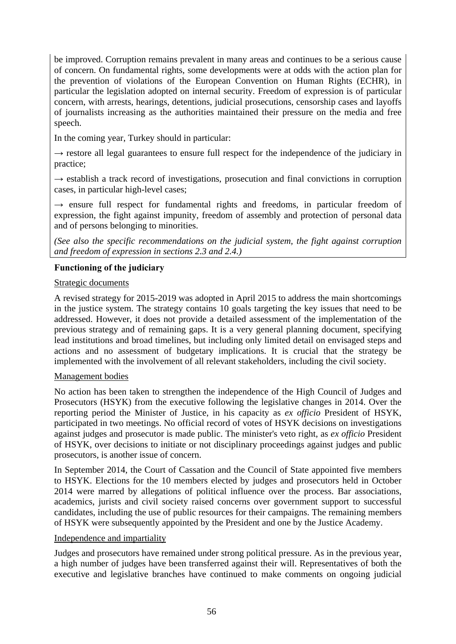be improved. Corruption remains prevalent in many areas and continues to be a serious cause of concern. On fundamental rights, some developments were at odds with the action plan for the prevention of violations of the European Convention on Human Rights (ECHR), in particular the legislation adopted on internal security. Freedom of expression is of particular concern, with arrests, hearings, detentions, judicial prosecutions, censorship cases and layoffs of journalists increasing as the authorities maintained their pressure on the media and free speech.

In the coming year, Turkey should in particular:

 $\rightarrow$  restore all legal guarantees to ensure full respect for the independence of the judiciary in practice;

 $\rightarrow$  establish a track record of investigations, prosecution and final convictions in corruption cases, in particular high-level cases;

 $\rightarrow$  ensure full respect for fundamental rights and freedoms, in particular freedom of expression, the fight against impunity, freedom of assembly and protection of personal data and of persons belonging to minorities.

*(See also the specific recommendations on the judicial system, the fight against corruption and freedom of expression in sections 2.3 and 2.4.)*

## **Functioning of the judiciary**

## Strategic documents

A revised strategy for 2015-2019 was adopted in April 2015 to address the main shortcomings in the justice system. The strategy contains 10 goals targeting the key issues that need to be addressed. However, it does not provide a detailed assessment of the implementation of the previous strategy and of remaining gaps. It is a very general planning document, specifying lead institutions and broad timelines, but including only limited detail on envisaged steps and actions and no assessment of budgetary implications. It is crucial that the strategy be implemented with the involvement of all relevant stakeholders, including the civil society.

## Management bodies

No action has been taken to strengthen the independence of the High Council of Judges and Prosecutors (HSYK) from the executive following the legislative changes in 2014. Over the reporting period the Minister of Justice, in his capacity as *ex officio* President of HSYK, participated in two meetings. No official record of votes of HSYK decisions on investigations against judges and prosecutor is made public. The minister's veto right, as *ex officio* President of HSYK, over decisions to initiate or not disciplinary proceedings against judges and public prosecutors, is another issue of concern.

In September 2014, the Court of Cassation and the Council of State appointed five members to HSYK. Elections for the 10 members elected by judges and prosecutors held in October 2014 were marred by allegations of political influence over the process. Bar associations, academics, jurists and civil society raised concerns over government support to successful candidates, including the use of public resources for their campaigns. The remaining members of HSYK were subsequently appointed by the President and one by the Justice Academy.

#### Independence and impartiality

Judges and prosecutors have remained under strong political pressure. As in the previous year, a high number of judges have been transferred against their will. Representatives of both the executive and legislative branches have continued to make comments on ongoing judicial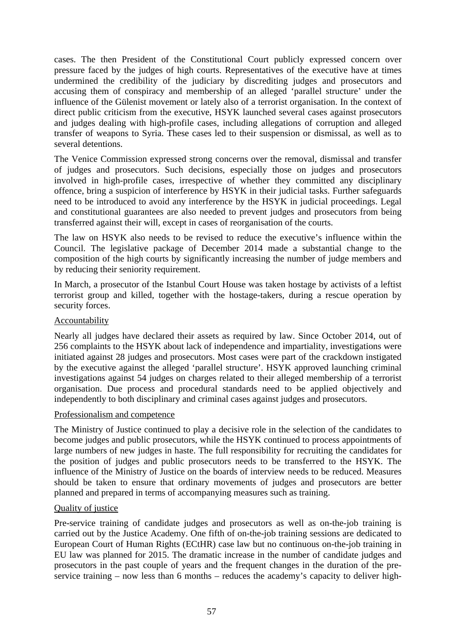cases. The then President of the Constitutional Court publicly expressed concern over pressure faced by the judges of high courts. Representatives of the executive have at times undermined the credibility of the judiciary by discrediting judges and prosecutors and accusing them of conspiracy and membership of an alleged 'parallel structure' under the influence of the Gülenist movement or lately also of a terrorist organisation. In the context of direct public criticism from the executive, HSYK launched several cases against prosecutors and judges dealing with high-profile cases, including allegations of corruption and alleged transfer of weapons to Syria. These cases led to their suspension or dismissal, as well as to several detentions.

The Venice Commission expressed strong concerns over the removal, dismissal and transfer of judges and prosecutors. Such decisions, especially those on judges and prosecutors involved in high-profile cases, irrespective of whether they committed any disciplinary offence, bring a suspicion of interference by HSYK in their judicial tasks. Further safeguards need to be introduced to avoid any interference by the HSYK in judicial proceedings. Legal and constitutional guarantees are also needed to prevent judges and prosecutors from being transferred against their will, except in cases of reorganisation of the courts.

The law on HSYK also needs to be revised to reduce the executive's influence within the Council. The legislative package of December 2014 made a substantial change to the composition of the high courts by significantly increasing the number of judge members and by reducing their seniority requirement.

In March, a prosecutor of the Istanbul Court House was taken hostage by activists of a leftist terrorist group and killed, together with the hostage-takers, during a rescue operation by security forces.

## Accountability

Nearly all judges have declared their assets as required by law. Since October 2014, out of 256 complaints to the HSYK about lack of independence and impartiality, investigations were initiated against 28 judges and prosecutors. Most cases were part of the crackdown instigated by the executive against the alleged 'parallel structure'. HSYK approved launching criminal investigations against 54 judges on charges related to their alleged membership of a terrorist organisation. Due process and procedural standards need to be applied objectively and independently to both disciplinary and criminal cases against judges and prosecutors.

## Professionalism and competence

The Ministry of Justice continued to play a decisive role in the selection of the candidates to become judges and public prosecutors, while the HSYK continued to process appointments of large numbers of new judges in haste. The full responsibility for recruiting the candidates for the position of judges and public prosecutors needs to be transferred to the HSYK. The influence of the Ministry of Justice on the boards of interview needs to be reduced. Measures should be taken to ensure that ordinary movements of judges and prosecutors are better planned and prepared in terms of accompanying measures such as training.

## Quality of justice

Pre-service training of candidate judges and prosecutors as well as on-the-job training is carried out by the Justice Academy. One fifth of on-the-job training sessions are dedicated to European Court of Human Rights (ECtHR) case law but no continuous on-the-job training in EU law was planned for 2015. The dramatic increase in the number of candidate judges and prosecutors in the past couple of years and the frequent changes in the duration of the preservice training – now less than 6 months – reduces the academy's capacity to deliver high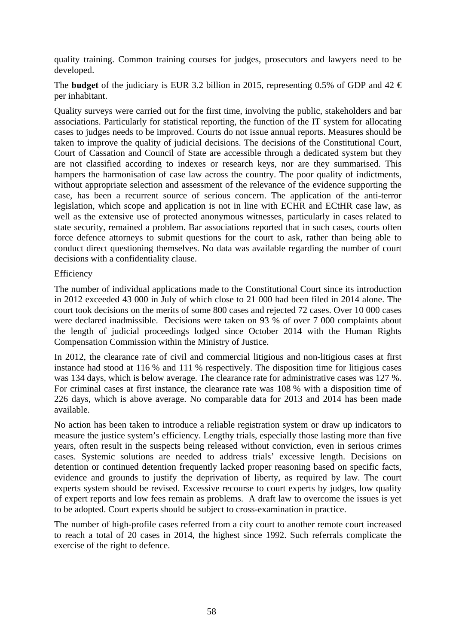quality training. Common training courses for judges, prosecutors and lawyers need to be developed.

The **budget** of the judiciary is EUR 3.2 billion in 2015, representing 0.5% of GDP and 42  $\epsilon$ per inhabitant.

Quality surveys were carried out for the first time, involving the public, stakeholders and bar associations. Particularly for statistical reporting, the function of the IT system for allocating cases to judges needs to be improved. Courts do not issue annual reports. Measures should be taken to improve the quality of judicial decisions. The decisions of the Constitutional Court, Court of Cassation and Council of State are accessible through a dedicated system but they are not classified according to indexes or research keys, nor are they summarised. This hampers the harmonisation of case law across the country. The poor quality of indictments, without appropriate selection and assessment of the relevance of the evidence supporting the case, has been a recurrent source of serious concern. The application of the anti-terror legislation, which scope and application is not in line with ECHR and ECtHR case law, as well as the extensive use of protected anonymous witnesses, particularly in cases related to state security, remained a problem. Bar associations reported that in such cases, courts often force defence attorneys to submit questions for the court to ask, rather than being able to conduct direct questioning themselves. No data was available regarding the number of court decisions with a confidentiality clause.

#### Efficiency

The number of individual applications made to the Constitutional Court since its introduction in 2012 exceeded 43 000 in July of which close to 21 000 had been filed in 2014 alone. The court took decisions on the merits of some 800 cases and rejected 72 cases. Over 10 000 cases were declared inadmissible. Decisions were taken on 93 % of over 7 000 complaints about the length of judicial proceedings lodged since October 2014 with the Human Rights Compensation Commission within the Ministry of Justice.

In 2012, the clearance rate of civil and commercial litigious and non-litigious cases at first instance had stood at 116 % and 111 % respectively. The disposition time for litigious cases was 134 days, which is below average. The clearance rate for administrative cases was 127 %. For criminal cases at first instance, the clearance rate was 108 % with a disposition time of 226 days, which is above average. No comparable data for 2013 and 2014 has been made available.

No action has been taken to introduce a reliable registration system or draw up indicators to measure the justice system's efficiency. Lengthy trials, especially those lasting more than five years, often result in the suspects being released without conviction, even in serious crimes cases. Systemic solutions are needed to address trials' excessive length. Decisions on detention or continued detention frequently lacked proper reasoning based on specific facts, evidence and grounds to justify the deprivation of liberty, as required by law. The court experts system should be revised. Excessive recourse to court experts by judges, low quality of expert reports and low fees remain as problems. A draft law to overcome the issues is yet to be adopted. Court experts should be subject to cross-examination in practice.

The number of high-profile cases referred from a city court to another remote court increased to reach a total of 20 cases in 2014, the highest since 1992. Such referrals complicate the exercise of the right to defence.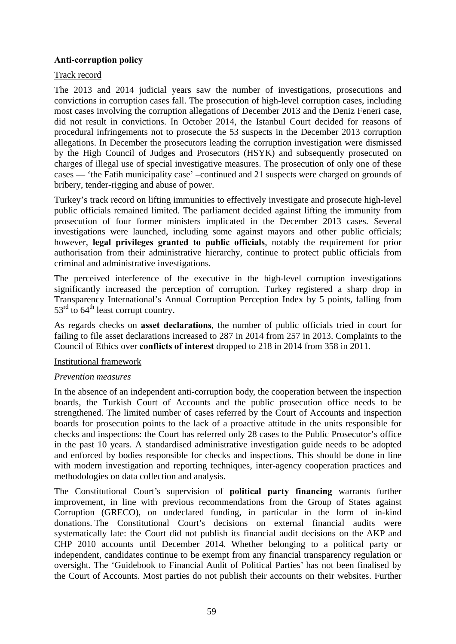## **Anti-corruption policy**

### Track record

The 2013 and 2014 judicial years saw the number of investigations, prosecutions and convictions in corruption cases fall. The prosecution of high-level corruption cases, including most cases involving the corruption allegations of December 2013 and the Deniz Feneri case, did not result in convictions. In October 2014, the Istanbul Court decided for reasons of procedural infringements not to prosecute the 53 suspects in the December 2013 corruption allegations. In December the prosecutors leading the corruption investigation were dismissed by the High Council of Judges and Prosecutors (HSYK) and subsequently prosecuted on charges of illegal use of special investigative measures. The prosecution of only one of these cases — 'the Fatih municipality case' –continued and 21 suspects were charged on grounds of bribery, tender-rigging and abuse of power.

Turkey's track record on lifting immunities to effectively investigate and prosecute high-level public officials remained limited. The parliament decided against lifting the immunity from prosecution of four former ministers implicated in the December 2013 cases. Several investigations were launched, including some against mayors and other public officials; however, **legal privileges granted to public officials**, notably the requirement for prior authorisation from their administrative hierarchy, continue to protect public officials from criminal and administrative investigations.

The perceived interference of the executive in the high-level corruption investigations significantly increased the perception of corruption. Turkey registered a sharp drop in Transparency International's Annual Corruption Perception Index by 5 points, falling from  $53<sup>rd</sup>$  to 64<sup>th</sup> least corrupt country.

As regards checks on **asset declarations**, the number of public officials tried in court for failing to file asset declarations increased to 287 in 2014 from 257 in 2013. Complaints to the Council of Ethics over **conflicts of interest** dropped to 218 in 2014 from 358 in 2011.

#### Institutional framework

## *Prevention measures*

In the absence of an independent anti-corruption body, the cooperation between the inspection boards, the Turkish Court of Accounts and the public prosecution office needs to be strengthened. The limited number of cases referred by the Court of Accounts and inspection boards for prosecution points to the lack of a proactive attitude in the units responsible for checks and inspections: the Court has referred only 28 cases to the Public Prosecutor's office in the past 10 years. A standardised administrative investigation guide needs to be adopted and enforced by bodies responsible for checks and inspections. This should be done in line with modern investigation and reporting techniques, inter-agency cooperation practices and methodologies on data collection and analysis.

The Constitutional Court's supervision of **political party financing** warrants further improvement, in line with previous recommendations from the Group of States against Corruption (GRECO), on undeclared funding, in particular in the form of in-kind donations. The Constitutional Court's decisions on external financial audits were systematically late: the Court did not publish its financial audit decisions on the AKP and CHP 2010 accounts until December 2014. Whether belonging to a political party or independent, candidates continue to be exempt from any financial transparency regulation or oversight. The 'Guidebook to Financial Audit of Political Parties' has not been finalised by the Court of Accounts. Most parties do not publish their accounts on their websites. Further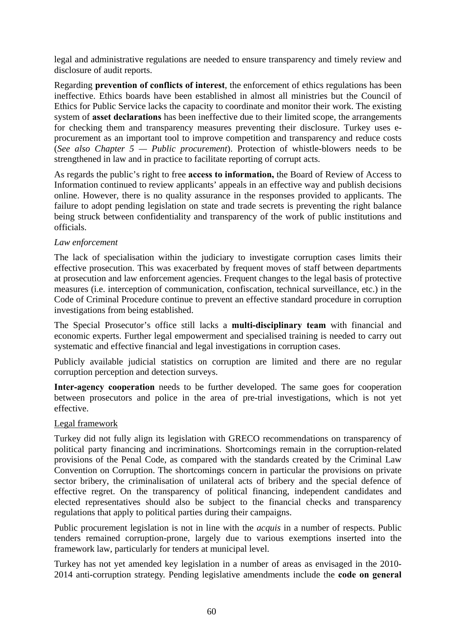legal and administrative regulations are needed to ensure transparency and timely review and disclosure of audit reports.

Regarding **prevention of conflicts of interest**, the enforcement of ethics regulations has been ineffective. Ethics boards have been established in almost all ministries but the Council of Ethics for Public Service lacks the capacity to coordinate and monitor their work. The existing system of **asset declarations** has been ineffective due to their limited scope, the arrangements for checking them and transparency measures preventing their disclosure. Turkey uses eprocurement as an important tool to improve competition and transparency and reduce costs (*See also Chapter 5 — Public procurement*). Protection of whistle-blowers needs to be strengthened in law and in practice to facilitate reporting of corrupt acts.

As regards the public's right to free **access to information,** the Board of Review of Access to Information continued to review applicants' appeals in an effective way and publish decisions online. However, there is no quality assurance in the responses provided to applicants. The failure to adopt pending legislation on state and trade secrets is preventing the right balance being struck between confidentiality and transparency of the work of public institutions and officials.

### *Law enforcement*

The lack of specialisation within the judiciary to investigate corruption cases limits their effective prosecution. This was exacerbated by frequent moves of staff between departments at prosecution and law enforcement agencies. Frequent changes to the legal basis of protective measures (i.e. interception of communication, confiscation, technical surveillance, etc.) in the Code of Criminal Procedure continue to prevent an effective standard procedure in corruption investigations from being established.

The Special Prosecutor's office still lacks a **multi-disciplinary team** with financial and economic experts. Further legal empowerment and specialised training is needed to carry out systematic and effective financial and legal investigations in corruption cases.

Publicly available judicial statistics on corruption are limited and there are no regular corruption perception and detection surveys.

**Inter-agency cooperation** needs to be further developed. The same goes for cooperation between prosecutors and police in the area of pre-trial investigations, which is not yet effective.

## Legal framework

Turkey did not fully align its legislation with GRECO recommendations on transparency of political party financing and incriminations. Shortcomings remain in the corruption-related provisions of the Penal Code, as compared with the standards created by the Criminal Law Convention on Corruption. The shortcomings concern in particular the provisions on private sector bribery, the criminalisation of unilateral acts of bribery and the special defence of effective regret. On the transparency of political financing, independent candidates and elected representatives should also be subject to the financial checks and transparency regulations that apply to political parties during their campaigns.

Public procurement legislation is not in line with the *acquis* in a number of respects. Public tenders remained corruption-prone, largely due to various exemptions inserted into the framework law, particularly for tenders at municipal level.

Turkey has not yet amended key legislation in a number of areas as envisaged in the 2010- 2014 anti-corruption strategy. Pending legislative amendments include the **code on general**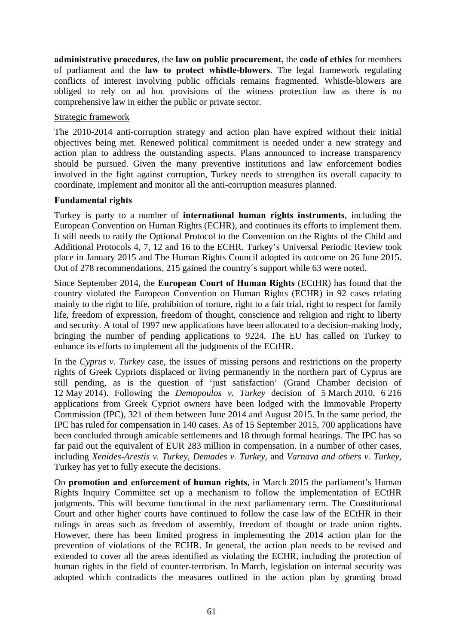**administrative procedures**, the **law on public procurement,** the **code of ethics** for members of parliament and the **law to protect whistle-blowers**. The legal framework regulating conflicts of interest involving public officials remains fragmented. Whistle-blowers are obliged to rely on ad hoc provisions of the witness protection law as there is no comprehensive law in either the public or private sector.

### Strategic framework

The 2010-2014 anti-corruption strategy and action plan have expired without their initial objectives being met. Renewed political commitment is needed under a new strategy and action plan to address the outstanding aspects. Plans announced to increase transparency should be pursued. Given the many preventive institutions and law enforcement bodies involved in the fight against corruption, Turkey needs to strengthen its overall capacity to coordinate, implement and monitor all the anti-corruption measures planned.

### **Fundamental rights**

Turkey is party to a number of **international human rights instruments**, including the European Convention on Human Rights (ECHR), and continues its efforts to implement them. It still needs to ratify the Optional Protocol to the Convention on the Rights of the Child and Additional Protocols 4, 7, 12 and 16 to the ECHR. Turkey's Universal Periodic Review took place in January 2015 and The Human Rights Council adopted its outcome on 26 June 2015. Out of 278 recommendations, 215 gained the country´s support while 63 were noted.

Since September 2014, the **European Court of Human Rights** (ECtHR) has found that the country violated the European Convention on Human Rights (ECHR) in 92 cases relating mainly to the right to life, prohibition of torture, right to a fair trial, right to respect for family life, freedom of expression, freedom of thought, conscience and religion and right to liberty and security. A total of 1997 new applications have been allocated to a decision-making body, bringing the number of pending applications to 9224. The EU has called on Turkey to enhance its efforts to implement all the judgments of the ECtHR.

In the *Cyprus v. Turkey* case, the issues of missing persons and restrictions on the property rights of Greek Cypriots displaced or living permanently in the northern part of Cyprus are still pending, as is the question of 'just satisfaction' (Grand Chamber decision of 12 May 2014). Following the *Demopoulos v. Turkey* decision of 5 March 2010, 6 216 applications from Greek Cypriot owners have been lodged with the Immovable Property Commission (IPC), 321 of them between June 2014 and August 2015. In the same period, the IPC has ruled for compensation in 140 cases. As of 15 September 2015, 700 applications have been concluded through amicable settlements and 18 through formal hearings. The IPC has so far paid out the equivalent of EUR 283 million in compensation. In a number of other cases, including *Xenides-Arestis v. Turkey*, *Demades v. Turkey*, and *Varnava and others v. Turkey*, Turkey has yet to fully execute the decisions.

On **promotion and enforcement of human rights**, in March 2015 the parliament's Human Rights Inquiry Committee set up a mechanism to follow the implementation of ECtHR judgments. This will become functional in the next parliamentary term. The Constitutional Court and other higher courts have continued to follow the case law of the ECtHR in their rulings in areas such as freedom of assembly, freedom of thought or trade union rights. However, there has been limited progress in implementing the 2014 action plan for the prevention of violations of the ECHR. In general, the action plan needs to be revised and extended to cover all the areas identified as violating the ECHR, including the protection of human rights in the field of counter-terrorism. In March, legislation on internal security was adopted which contradicts the measures outlined in the action plan by granting broad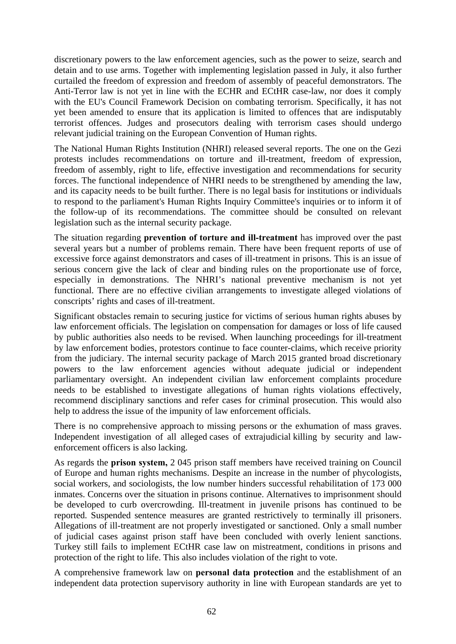discretionary powers to the law enforcement agencies, such as the power to seize, search and detain and to use arms. Together with implementing legislation passed in July, it also further curtailed the freedom of expression and freedom of assembly of peaceful demonstrators. The Anti-Terror law is not yet in line with the ECHR and ECtHR case-law, nor does it comply with the EU's Council Framework Decision on combating terrorism. Specifically, it has not yet been amended to ensure that its application is limited to offences that are indisputably terrorist offences. Judges and prosecutors dealing with terrorism cases should undergo relevant judicial training on the European Convention of Human rights.

The National Human Rights Institution (NHRI) released several reports. The one on the Gezi protests includes recommendations on torture and ill-treatment, freedom of expression, freedom of assembly, right to life, effective investigation and recommendations for security forces. The functional independence of NHRI needs to be strengthened by amending the law, and its capacity needs to be built further. There is no legal basis for institutions or individuals to respond to the parliament's Human Rights Inquiry Committee's inquiries or to inform it of the follow-up of its recommendations. The committee should be consulted on relevant legislation such as the internal security package.

The situation regarding **prevention of torture and ill-treatment** has improved over the past several years but a number of problems remain. There have been frequent reports of use of excessive force against demonstrators and cases of ill-treatment in prisons. This is an issue of serious concern give the lack of clear and binding rules on the proportionate use of force, especially in demonstrations. The NHRI's national preventive mechanism is not yet functional. There are no effective civilian arrangements to investigate alleged violations of conscripts' rights and cases of ill-treatment.

Significant obstacles remain to securing justice for victims of serious human rights abuses by law enforcement officials. The legislation on compensation for damages or loss of life caused by public authorities also needs to be revised. When launching proceedings for ill-treatment by law enforcement bodies, protestors continue to face counter-claims, which receive priority from the judiciary. The internal security package of March 2015 granted broad discretionary powers to the law enforcement agencies without adequate judicial or independent parliamentary oversight. An independent civilian law enforcement complaints procedure needs to be established to investigate allegations of human rights violations effectively, recommend disciplinary sanctions and refer cases for criminal prosecution. This would also help to address the issue of the impunity of law enforcement officials.

There is no comprehensive approach to missing persons or the exhumation of mass graves. Independent investigation of all alleged cases of extrajudicial killing by security and lawenforcement officers is also lacking.

As regards the **prison system,** 2 045 prison staff members have received training on Council of Europe and human rights mechanisms. Despite an increase in the number of phycologists, social workers, and sociologists, the low number hinders successful rehabilitation of 173 000 inmates. Concerns over the situation in prisons continue. Alternatives to imprisonment should be developed to curb overcrowding. Ill-treatment in juvenile prisons has continued to be reported. Suspended sentence measures are granted restrictively to terminally ill prisoners. Allegations of ill-treatment are not properly investigated or sanctioned. Only a small number of judicial cases against prison staff have been concluded with overly lenient sanctions. Turkey still fails to implement ECtHR case law on mistreatment, conditions in prisons and protection of the right to life. This also includes violation of the right to vote.

A comprehensive framework law on **personal data protection** and the establishment of an independent data protection supervisory authority in line with European standards are yet to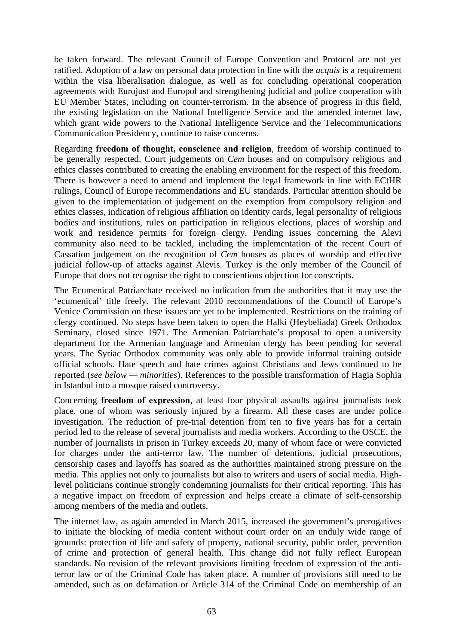be taken forward. The relevant Council of Europe Convention and Protocol are not yet ratified. Adoption of a law on personal data protection in line with the *acquis* is a requirement within the visa liberalisation dialogue, as well as for concluding operational cooperation agreements with Eurojust and Europol and strengthening judicial and police cooperation with EU Member States, including on counter-terrorism. In the absence of progress in this field, the existing legislation on the National Intelligence Service and the amended internet law, which grant wide powers to the National Intelligence Service and the Telecommunications Communication Presidency, continue to raise concerns.

Regarding **freedom of thought, conscience and religion**, freedom of worship continued to be generally respected. Court judgements on *Cem* houses and on compulsory religious and ethics classes contributed to creating the enabling environment for the respect of this freedom. There is however a need to amend and implement the legal framework in line with ECtHR rulings, Council of Europe recommendations and EU standards. Particular attention should be given to the implementation of judgement on the exemption from compulsory religion and ethics classes, indication of religious affiliation on identity cards, legal personality of religious bodies and institutions, rules on participation in religious elections, places of worship and work and residence permits for foreign clergy. Pending issues concerning the Alevi community also need to be tackled, including the implementation of the recent Court of Cassation judgement on the recognition of *Cem* houses as places of worship and effective judicial follow-up of attacks against Alevis. Turkey is the only member of the Council of Europe that does not recognise the right to conscientious objection for conscripts.

The Ecumenical Patriarchate received no indication from the authorities that it may use the 'ecumenical' title freely. The relevant 2010 recommendations of the Council of Europe's Venice Commission on these issues are yet to be implemented. Restrictions on the training of clergy continued. No steps have been taken to open the Halki (Heybeliada) Greek Orthodox Seminary, closed since 1971. The Armenian Patriarchate's proposal to open a university department for the Armenian language and Armenian clergy has been pending for several years. The Syriac Orthodox community was only able to provide informal training outside official schools. Hate speech and hate crimes against Christians and Jews continued to be reported (*see below — minorities*). References to the possible transformation of Hagia Sophia in Istanbul into a mosque raised controversy.

Concerning **freedom of expression**, at least four physical assaults against journalists took place, one of whom was seriously injured by a firearm. All these cases are under police investigation. The reduction of pre-trial detention from ten to five years has for a certain period led to the release of several journalists and media workers. According to the OSCE, the number of journalists in prison in Turkey exceeds 20, many of whom face or were convicted for charges under the anti-terror law. The number of detentions, judicial prosecutions, censorship cases and layoffs has soared as the authorities maintained strong pressure on the media. This applies not only to journalists but also to writers and users of social media. Highlevel politicians continue strongly condemning journalists for their critical reporting. This has a negative impact on freedom of expression and helps create a climate of self-censorship among members of the media and outlets.

The internet law, as again amended in March 2015, increased the government's prerogatives to initiate the blocking of media content without court order on an unduly wide range of grounds: protection of life and safety of property, national security, public order, prevention of crime and protection of general health. This change did not fully reflect European standards. No revision of the relevant provisions limiting freedom of expression of the antiterror law or of the Criminal Code has taken place. A number of provisions still need to be amended, such as on defamation or Article 314 of the Criminal Code on membership of an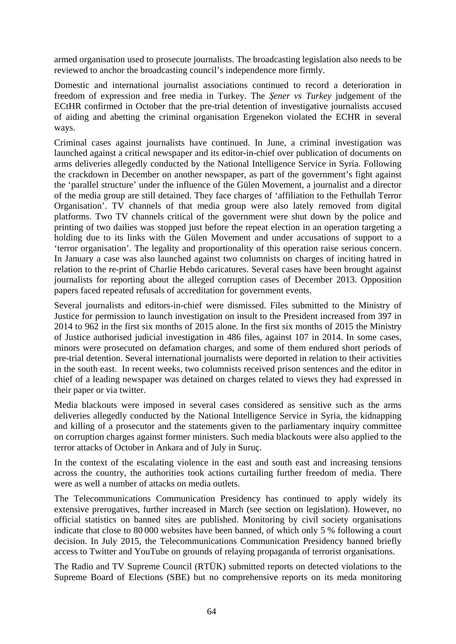armed organisation used to prosecute journalists. The broadcasting legislation also needs to be reviewed to anchor the broadcasting council's independence more firmly.

Domestic and international journalist associations continued to record a deterioration in freedom of expression and free media in Turkey. The *Şener vs Turkey* judgement of the ECtHR confirmed in October that the pre-trial detention of investigative journalists accused of aiding and abetting the criminal organisation Ergenekon violated the ECHR in several ways.

Criminal cases against journalists have continued. In June, a criminal investigation was launched against a critical newspaper and its editor-in-chief over publication of documents on arms deliveries allegedly conducted by the National Intelligence Service in Syria. Following the crackdown in December on another newspaper, as part of the government's fight against the 'parallel structure' under the influence of the Gülen Movement, a journalist and a director of the media group are still detained. They face charges of 'affiliation to the Fethullah Terror Organisation'. TV channels of that media group were also lately removed from digital platforms. Two TV channels critical of the government were shut down by the police and printing of two dailies was stopped just before the repeat election in an operation targeting a holding due to its links with the Gülen Movement and under accusations of support to a 'terror organisation'. The legality and proportionality of this operation raise serious concern. In January a case was also launched against two columnists on charges of inciting hatred in relation to the re-print of Charlie Hebdo caricatures. Several cases have been brought against journalists for reporting about the alleged corruption cases of December 2013. Opposition papers faced repeated refusals of accreditation for government events.

Several journalists and editors-in-chief were dismissed. Files submitted to the Ministry of Justice for permission to launch investigation on insult to the President increased from 397 in 2014 to 962 in the first six months of 2015 alone*.* In the first six months of 2015 the Ministry of Justice authorised judicial investigation in 486 files, against 107 in 2014. In some cases, minors were prosecuted on defamation charges, and some of them endured short periods of pre-trial detention. Several international journalists were deported in relation to their activities in the south east. In recent weeks, two columnists received prison sentences and the editor in chief of a leading newspaper was detained on charges related to views they had expressed in their paper or via twitter.

Media blackouts were imposed in several cases considered as sensitive such as the arms deliveries allegedly conducted by the National Intelligence Service in Syria, the kidnapping and killing of a prosecutor and the statements given to the parliamentary inquiry committee on corruption charges against former ministers. Such media blackouts were also applied to the terror attacks of October in Ankara and of July in Suruç.

In the context of the escalating violence in the east and south east and increasing tensions across the country, the authorities took actions curtailing further freedom of media. There were as well a number of attacks on media outlets.

The Telecommunications Communication Presidency has continued to apply widely its extensive prerogatives, further increased in March (see section on legislation). However, no official statistics on banned sites are published. Monitoring by civil society organisations indicate that close to 80 000 websites have been banned, of which only 5 % following a court decision. In July 2015, the Telecommunications Communication Presidency banned briefly access to Twitter and YouTube on grounds of relaying propaganda of terrorist organisations.

The Radio and TV Supreme Council (RTÜK) submitted reports on detected violations to the Supreme Board of Elections (SBE) but no comprehensive reports on its meda monitoring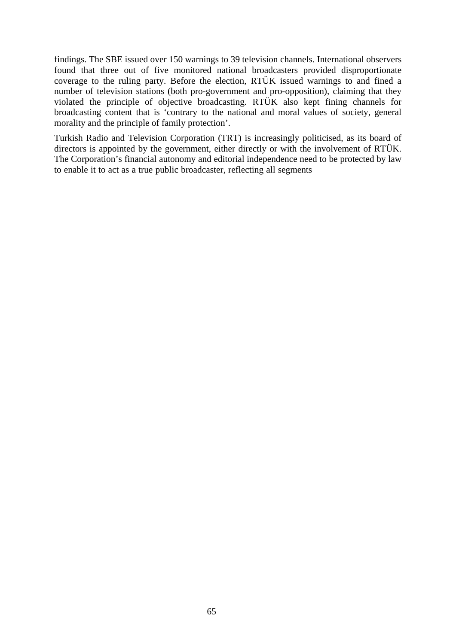findings. The SBE issued over 150 warnings to 39 television channels. International observers found that three out of five monitored national broadcasters provided disproportionate coverage to the ruling party. Before the election, RTÜK issued warnings to and fined a number of television stations (both pro-government and pro-opposition), claiming that they violated the principle of objective broadcasting. RTÜK also kept fining channels for broadcasting content that is 'contrary to the national and moral values of society, general morality and the principle of family protection'.

Turkish Radio and Television Corporation (TRT) is increasingly politicised, as its board of directors is appointed by the government, either directly or with the involvement of RTÜK. The Corporation's financial autonomy and editorial independence need to be protected by law to enable it to act as a true public broadcaster, reflecting all segments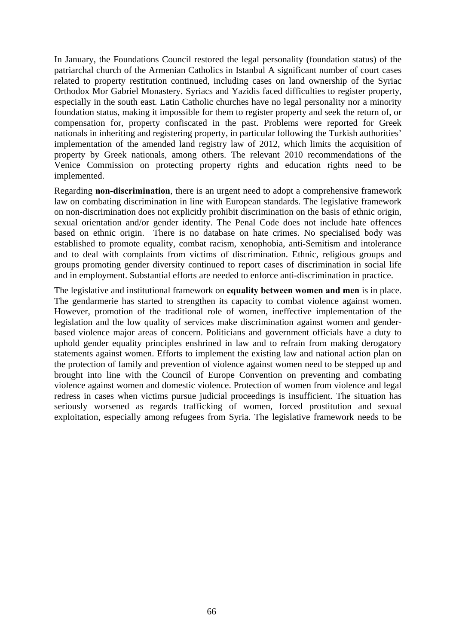In January, the Foundations Council restored the legal personality (foundation status) of the patriarchal church of the Armenian Catholics in Istanbul A significant number of court cases related to property restitution continued, including cases on land ownership of the Syriac Orthodox Mor Gabriel Monastery. Syriacs and Yazidis faced difficulties to register property, especially in the south east. Latin Catholic churches have no legal personality nor a minority foundation status, making it impossible for them to register property and seek the return of, or compensation for, property confiscated in the past. Problems were reported for Greek nationals in inheriting and registering property, in particular following the Turkish authorities' implementation of the amended land registry law of 2012, which limits the acquisition of property by Greek nationals, among others. The relevant 2010 recommendations of the Venice Commission on protecting property rights and education rights need to be implemented.

Regarding **non-discrimination**, there is an urgent need to adopt a comprehensive framework law on combating discrimination in line with European standards. The legislative framework on non-discrimination does not explicitly prohibit discrimination on the basis of ethnic origin, sexual orientation and/or gender identity. The Penal Code does not include hate offences based on ethnic origin. There is no database on hate crimes. No specialised body was established to promote equality, combat racism, xenophobia, anti-Semitism and intolerance and to deal with complaints from victims of discrimination. Ethnic, religious groups and groups promoting gender diversity continued to report cases of discrimination in social life and in employment. Substantial efforts are needed to enforce anti-discrimination in practice.

The legislative and institutional framework on **equality between women and men** is in place. The gendarmerie has started to strengthen its capacity to combat violence against women. However, promotion of the traditional role of women, ineffective implementation of the legislation and the low quality of services make discrimination against women and genderbased violence major areas of concern. Politicians and government officials have a duty to uphold gender equality principles enshrined in law and to refrain from making derogatory statements against women. Efforts to implement the existing law and national action plan on the protection of family and prevention of violence against women need to be stepped up and brought into line with the Council of Europe Convention on preventing and combating violence against women and domestic violence. Protection of women from violence and legal redress in cases when victims pursue judicial proceedings is insufficient. The situation has seriously worsened as regards trafficking of women, forced prostitution and sexual exploitation, especially among refugees from Syria. The legislative framework needs to be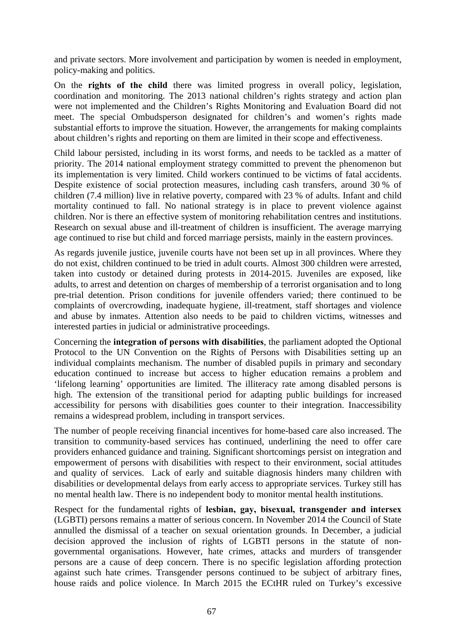and private sectors. More involvement and participation by women is needed in employment, policy-making and politics.

On the **rights of the child** there was limited progress in overall policy, legislation, coordination and monitoring. The 2013 national children's rights strategy and action plan were not implemented and the Children's Rights Monitoring and Evaluation Board did not meet. The special Ombudsperson designated for children's and women's rights made substantial efforts to improve the situation. However, the arrangements for making complaints about children's rights and reporting on them are limited in their scope and effectiveness.

Child labour persisted, including in its worst forms, and needs to be tackled as a matter of priority. The 2014 national employment strategy committed to prevent the phenomenon but its implementation is very limited. Child workers continued to be victims of fatal accidents. Despite existence of social protection measures, including cash transfers, around 30 % of children (7.4 million) live in relative poverty, compared with 23 % of adults. Infant and child mortality continued to fall. No national strategy is in place to prevent violence against children. Nor is there an effective system of monitoring rehabilitation centres and institutions. Research on sexual abuse and ill-treatment of children is insufficient. The average marrying age continued to rise but child and forced marriage persists, mainly in the eastern provinces.

As regards juvenile justice, juvenile courts have not been set up in all provinces. Where they do not exist, children continued to be tried in adult courts. Almost 300 children were arrested, taken into custody or detained during protests in 2014-2015. Juveniles are exposed, like adults, to arrest and detention on charges of membership of a terrorist organisation and to long pre-trial detention. Prison conditions for juvenile offenders varied; there continued to be complaints of overcrowding, inadequate hygiene, ill-treatment, staff shortages and violence and abuse by inmates. Attention also needs to be paid to children victims, witnesses and interested parties in judicial or administrative proceedings.

Concerning the **integration of persons with disabilities**, the parliament adopted the Optional Protocol to the UN Convention on the Rights of Persons with Disabilities setting up an individual complaints mechanism. The number of disabled pupils in primary and secondary education continued to increase but access to higher education remains a problem and 'lifelong learning' opportunities are limited. The illiteracy rate among disabled persons is high. The extension of the transitional period for adapting public buildings for increased accessibility for persons with disabilities goes counter to their integration. Inaccessibility remains a widespread problem, including in transport services.

The number of people receiving financial incentives for home-based care also increased. The transition to community-based services has continued, underlining the need to offer care providers enhanced guidance and training. Significant shortcomings persist on integration and empowerment of persons with disabilities with respect to their environment, social attitudes and quality of services. Lack of early and suitable diagnosis hinders many children with disabilities or developmental delays from early access to appropriate services. Turkey still has no mental health law. There is no independent body to monitor mental health institutions.

Respect for the fundamental rights of **lesbian, gay, bisexual, transgender and intersex**  (LGBTI) persons remains a matter of serious concern. In November 2014 the Council of State annulled the dismissal of a teacher on sexual orientation grounds. In December, a judicial decision approved the inclusion of rights of LGBTI persons in the statute of nongovernmental organisations. However, hate crimes, attacks and murders of transgender persons are a cause of deep concern. There is no specific legislation affording protection against such hate crimes. Transgender persons continued to be subject of arbitrary fines, house raids and police violence. In March 2015 the ECtHR ruled on Turkey's excessive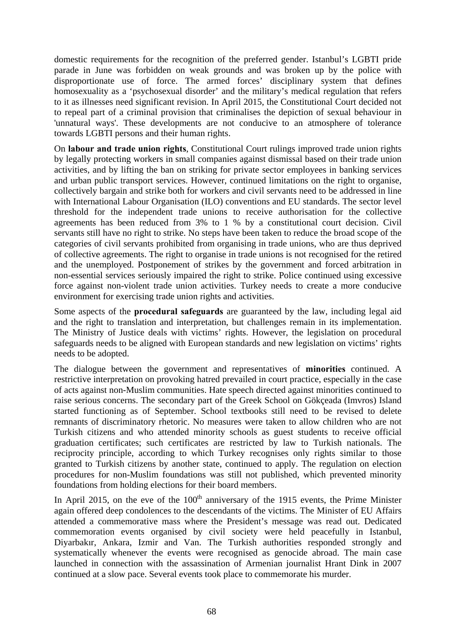domestic requirements for the recognition of the preferred gender. Istanbul's LGBTI pride parade in June was forbidden on weak grounds and was broken up by the police with disproportionate use of force. The armed forces' disciplinary system that defines homosexuality as a 'psychosexual disorder' and the military's medical regulation that refers to it as illnesses need significant revision. In April 2015, the Constitutional Court decided not to repeal part of a criminal provision that criminalises the depiction of sexual behaviour in 'unnatural ways'. These developments are not conducive to an atmosphere of tolerance towards LGBTI persons and their human rights.

On **labour and trade union rights**, Constitutional Court rulings improved trade union rights by legally protecting workers in small companies against dismissal based on their trade union activities, and by lifting the ban on striking for private sector employees in banking services and urban public transport services. However, continued limitations on the right to organise, collectively bargain and strike both for workers and civil servants need to be addressed in line with International Labour Organisation (ILO) conventions and EU standards. The sector level threshold for the independent trade unions to receive authorisation for the collective agreements has been reduced from 3% to 1 % by a constitutional court decision. Civil servants still have no right to strike. No steps have been taken to reduce the broad scope of the categories of civil servants prohibited from organising in trade unions, who are thus deprived of collective agreements. The right to organise in trade unions is not recognised for the retired and the unemployed. Postponement of strikes by the government and forced arbitration in non-essential services seriously impaired the right to strike. Police continued using excessive force against non-violent trade union activities. Turkey needs to create a more conducive environment for exercising trade union rights and activities.

Some aspects of the **procedural safeguards** are guaranteed by the law, including legal aid and the right to translation and interpretation, but challenges remain in its implementation. The Ministry of Justice deals with victims' rights. However, the legislation on procedural safeguards needs to be aligned with European standards and new legislation on victims' rights needs to be adopted.

The dialogue between the government and representatives of **minorities** continued. A restrictive interpretation on provoking hatred prevailed in court practice, especially in the case of acts against non-Muslim communities. Hate speech directed against minorities continued to raise serious concerns. The secondary part of the Greek School on Gökçeada (Imvros) Island started functioning as of September. School textbooks still need to be revised to delete remnants of discriminatory rhetoric. No measures were taken to allow children who are not Turkish citizens and who attended minority schools as guest students to receive official graduation certificates; such certificates are restricted by law to Turkish nationals. The reciprocity principle, according to which Turkey recognises only rights similar to those granted to Turkish citizens by another state, continued to apply. The regulation on election procedures for non-Muslim foundations was still not published, which prevented minority foundations from holding elections for their board members.

In April 2015, on the eve of the  $100<sup>th</sup>$  anniversary of the 1915 events, the Prime Minister again offered deep condolences to the descendants of the victims. The Minister of EU Affairs attended a commemorative mass where the President's message was read out. Dedicated commemoration events organised by civil society were held peacefully in Istanbul, Diyarbakır, Ankara, Izmir and Van. The Turkish authorities responded strongly and systematically whenever the events were recognised as genocide abroad. The main case launched in connection with the assassination of Armenian journalist Hrant Dink in 2007 continued at a slow pace. Several events took place to commemorate his murder.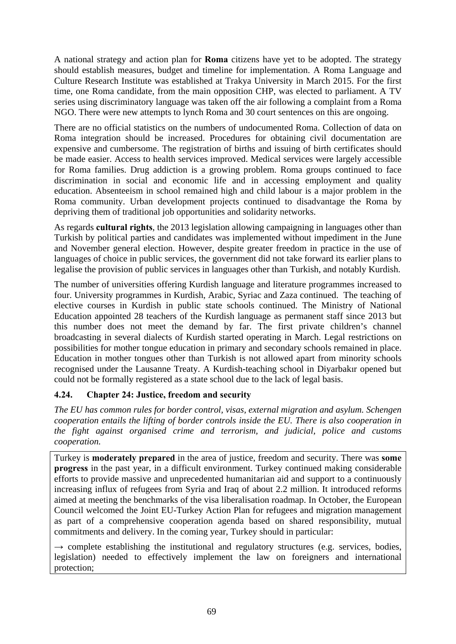A national strategy and action plan for **Roma** citizens have yet to be adopted. The strategy should establish measures, budget and timeline for implementation. A Roma Language and Culture Research Institute was established at Trakya University in March 2015. For the first time, one Roma candidate, from the main opposition CHP, was elected to parliament. A TV series using discriminatory language was taken off the air following a complaint from a Roma NGO. There were new attempts to lynch Roma and 30 court sentences on this are ongoing.

There are no official statistics on the numbers of undocumented Roma. Collection of data on Roma integration should be increased. Procedures for obtaining civil documentation are expensive and cumbersome. The registration of births and issuing of birth certificates should be made easier. Access to health services improved. Medical services were largely accessible for Roma families. Drug addiction is a growing problem. Roma groups continued to face discrimination in social and economic life and in accessing employment and quality education. Absenteeism in school remained high and child labour is a major problem in the Roma community. Urban development projects continued to disadvantage the Roma by depriving them of traditional job opportunities and solidarity networks.

As regards **cultural rights**, the 2013 legislation allowing campaigning in languages other than Turkish by political parties and candidates was implemented without impediment in the June and November general election. However, despite greater freedom in practice in the use of languages of choice in public services, the government did not take forward its earlier plans to legalise the provision of public services in languages other than Turkish, and notably Kurdish.

The number of universities offering Kurdish language and literature programmes increased to four. University programmes in Kurdish, Arabic, Syriac and Zaza continued. The teaching of elective courses in Kurdish in public state schools continued. The Ministry of National Education appointed 28 teachers of the Kurdish language as permanent staff since 2013 but this number does not meet the demand by far. The first private children's channel broadcasting in several dialects of Kurdish started operating in March. Legal restrictions on possibilities for mother tongue education in primary and secondary schools remained in place. Education in mother tongues other than Turkish is not allowed apart from minority schools recognised under the Lausanne Treaty. A Kurdish-teaching school in Diyarbakır opened but could not be formally registered as a state school due to the lack of legal basis.

# **4.24. Chapter 24: Justice, freedom and security**

*The EU has common rules for border control, visas, external migration and asylum. Schengen cooperation entails the lifting of border controls inside the EU. There is also cooperation in the fight against organised crime and terrorism, and judicial, police and customs cooperation.* 

Turkey is **moderately prepared** in the area of justice, freedom and security. There was **some progress** in the past year, in a difficult environment. Turkey continued making considerable efforts to provide massive and unprecedented humanitarian aid and support to a continuously increasing influx of refugees from Syria and Iraq of about 2.2 million. It introduced reforms aimed at meeting the benchmarks of the visa liberalisation roadmap. In October, the European Council welcomed the Joint EU-Turkey Action Plan for refugees and migration management as part of a comprehensive cooperation agenda based on shared responsibility, mutual commitments and delivery. In the coming year, Turkey should in particular:

 $\rightarrow$  complete establishing the institutional and regulatory structures (e.g. services, bodies, legislation) needed to effectively implement the law on foreigners and international protection;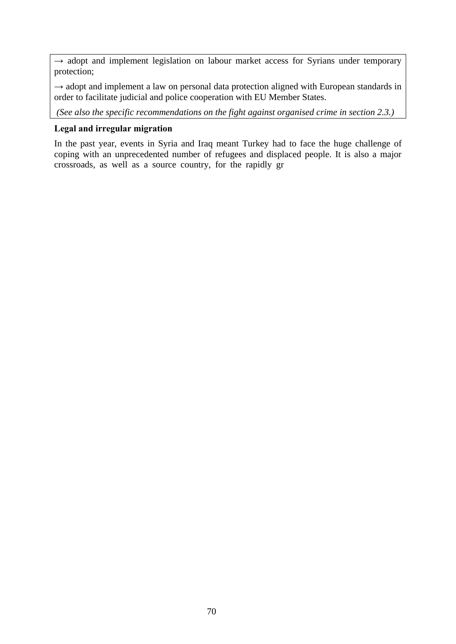$\rightarrow$  adopt and implement legislation on labour market access for Syrians under temporary protection;

 $\rightarrow$  adopt and implement a law on personal data protection aligned with European standards in order to facilitate judicial and police cooperation with EU Member States.

*(See also the specific recommendations on the fight against organised crime in section 2.3.)*

## **Legal and irregular migration**

In the past year, events in Syria and Iraq meant Turkey had to face the huge challenge of coping with an unprecedented number of refugees and displaced people. It is also a major crossroads, as well as a source country, for the rapidly gr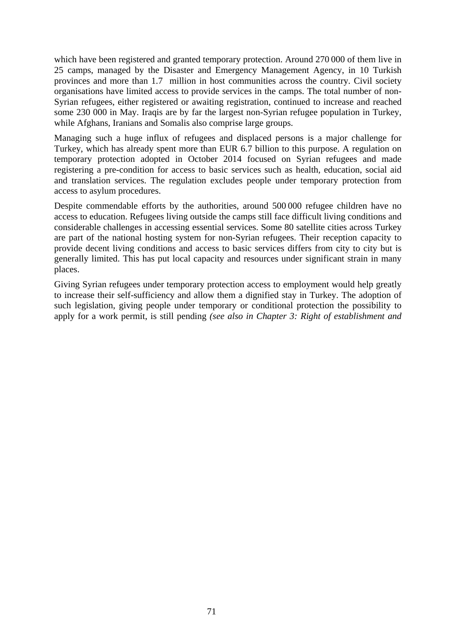which have been registered and granted temporary protection. Around 270 000 of them live in 25 camps, managed by the Disaster and Emergency Management Agency, in 10 Turkish provinces and more than 1.7 million in host communities across the country. Civil society organisations have limited access to provide services in the camps. The total number of non-Syrian refugees, either registered or awaiting registration, continued to increase and reached some 230 000 in May. Iraqis are by far the largest non-Syrian refugee population in Turkey, while Afghans, Iranians and Somalis also comprise large groups.

Managing such a huge influx of refugees and displaced persons is a major challenge for Turkey, which has already spent more than EUR 6.7 billion to this purpose. A regulation on temporary protection adopted in October 2014 focused on Syrian refugees and made registering a pre-condition for access to basic services such as health, education, social aid and translation services. The regulation excludes people under temporary protection from access to asylum procedures.

Despite commendable efforts by the authorities, around 500 000 refugee children have no access to education. Refugees living outside the camps still face difficult living conditions and considerable challenges in accessing essential services. Some 80 satellite cities across Turkey are part of the national hosting system for non-Syrian refugees. Their reception capacity to provide decent living conditions and access to basic services differs from city to city but is generally limited. This has put local capacity and resources under significant strain in many places.

Giving Syrian refugees under temporary protection access to employment would help greatly to increase their self-sufficiency and allow them a dignified stay in Turkey. The adoption of such legislation, giving people under temporary or conditional protection the possibility to apply for a work permit, is still pending *(see also in Chapter 3: Right of establishment and*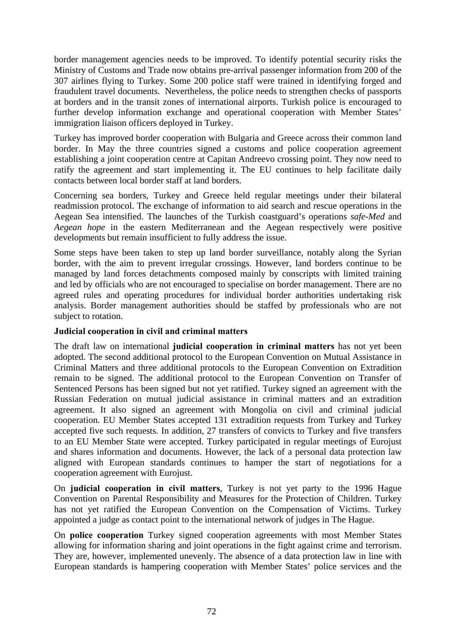border management agencies needs to be improved. To identify potential security risks the Ministry of Customs and Trade now obtains pre-arrival passenger information from 200 of the 307 airlines flying to Turkey. Some 200 police staff were trained in identifying forged and fraudulent travel documents. Nevertheless, the police needs to strengthen checks of passports at borders and in the transit zones of international airports. Turkish police is encouraged to further develop information exchange and operational cooperation with Member States' immigration liaison officers deployed in Turkey.

Turkey has improved border cooperation with Bulgaria and Greece across their common land border. In May the three countries signed a customs and police cooperation agreement establishing a joint cooperation centre at Capitan Andreevo crossing point. They now need to ratify the agreement and start implementing it. The EU continues to help facilitate daily contacts between local border staff at land borders.

Concerning sea borders, Turkey and Greece held regular meetings under their bilateral readmission protocol. The exchange of information to aid search and rescue operations in the Aegean Sea intensified. The launches of the Turkish coastguard's operations *safe-Med* and *Aegean hope* in the eastern Mediterranean and the Aegean respectively were positive developments but remain insufficient to fully address the issue.

Some steps have been taken to step up land border surveillance, notably along the Syrian border, with the aim to prevent irregular crossings. However, land borders continue to be managed by land forces detachments composed mainly by conscripts with limited training and led by officials who are not encouraged to specialise on border management. There are no agreed rules and operating procedures for individual border authorities undertaking risk analysis. Border management authorities should be staffed by professionals who are not subject to rotation.

## **Judicial cooperation in civil and criminal matters**

The draft law on international **judicial cooperation in criminal matters** has not yet been adopted. The second additional protocol to the European Convention on Mutual Assistance in Criminal Matters and three additional protocols to the European Convention on Extradition remain to be signed. The additional protocol to the European Convention on Transfer of Sentenced Persons has been signed but not yet ratified. Turkey signed an agreement with the Russian Federation on mutual judicial assistance in criminal matters and an extradition agreement. It also signed an agreement with Mongolia on civil and criminal judicial cooperation. EU Member States accepted 131 extradition requests from Turkey and Turkey accepted five such requests. In addition, 27 transfers of convicts to Turkey and five transfers to an EU Member State were accepted. Turkey participated in regular meetings of Eurojust and shares information and documents. However, the lack of a personal data protection law aligned with European standards continues to hamper the start of negotiations for a cooperation agreement with Eurojust.

On **judicial cooperation in civil matters**, Turkey is not yet party to the 1996 Hague Convention on Parental Responsibility and Measures for the Protection of Children. Turkey has not yet ratified the European Convention on the Compensation of Victims. Turkey appointed a judge as contact point to the international network of judges in The Hague.

On **police cooperation** Turkey signed cooperation agreements with most Member States allowing for information sharing and joint operations in the fight against crime and terrorism. They are, however, implemented unevenly. The absence of a data protection law in line with European standards is hampering cooperation with Member States' police services and the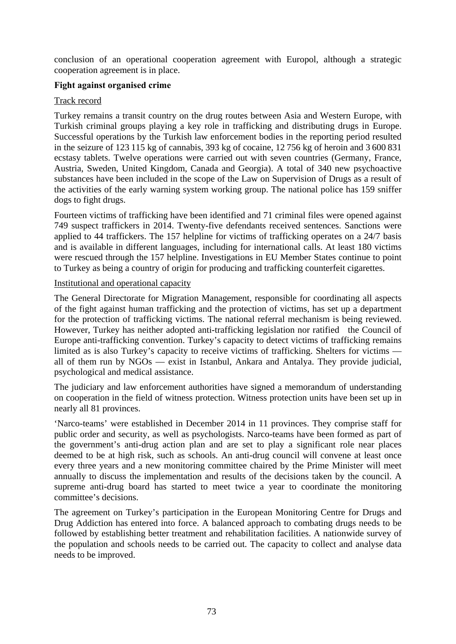conclusion of an operational cooperation agreement with Europol, although a strategic cooperation agreement is in place.

## **Fight against organised crime**

## Track record

Turkey remains a transit country on the drug routes between Asia and Western Europe, with Turkish criminal groups playing a key role in trafficking and distributing drugs in Europe. Successful operations by the Turkish law enforcement bodies in the reporting period resulted in the seizure of 123 115 kg of cannabis, 393 kg of cocaine, 12 756 kg of heroin and 3 600 831 ecstasy tablets. Twelve operations were carried out with seven countries (Germany, France, Austria, Sweden, United Kingdom, Canada and Georgia). A total of 340 new psychoactive substances have been included in the scope of the Law on Supervision of Drugs as a result of the activities of the early warning system working group. The national police has 159 sniffer dogs to fight drugs.

Fourteen victims of trafficking have been identified and 71 criminal files were opened against 749 suspect traffickers in 2014. Twenty-five defendants received sentences. Sanctions were applied to 44 traffickers. The 157 helpline for victims of trafficking operates on a 24/7 basis and is available in different languages, including for international calls. At least 180 victims were rescued through the 157 helpline. Investigations in EU Member States continue to point to Turkey as being a country of origin for producing and trafficking counterfeit cigarettes.

### Institutional and operational capacity

The General Directorate for Migration Management, responsible for coordinating all aspects of the fight against human trafficking and the protection of victims, has set up a department for the protection of trafficking victims. The national referral mechanism is being reviewed. However, Turkey has neither adopted anti-trafficking legislation nor ratified the Council of Europe anti-trafficking convention. Turkey's capacity to detect victims of trafficking remains limited as is also Turkey's capacity to receive victims of trafficking. Shelters for victims all of them run by NGOs — exist in Istanbul, Ankara and Antalya. They provide judicial, psychological and medical assistance.

The judiciary and law enforcement authorities have signed a memorandum of understanding on cooperation in the field of witness protection. Witness protection units have been set up in nearly all 81 provinces.

'Narco-teams' were established in December 2014 in 11 provinces. They comprise staff for public order and security, as well as psychologists. Narco-teams have been formed as part of the government's anti-drug action plan and are set to play a significant role near places deemed to be at high risk, such as schools. An anti-drug council will convene at least once every three years and a new monitoring committee chaired by the Prime Minister will meet annually to discuss the implementation and results of the decisions taken by the council. A supreme anti-drug board has started to meet twice a year to coordinate the monitoring committee's decisions.

The agreement on Turkey's participation in the European Monitoring Centre for Drugs and Drug Addiction has entered into force. A balanced approach to combating drugs needs to be followed by establishing better treatment and rehabilitation facilities. A nationwide survey of the population and schools needs to be carried out. The capacity to collect and analyse data needs to be improved.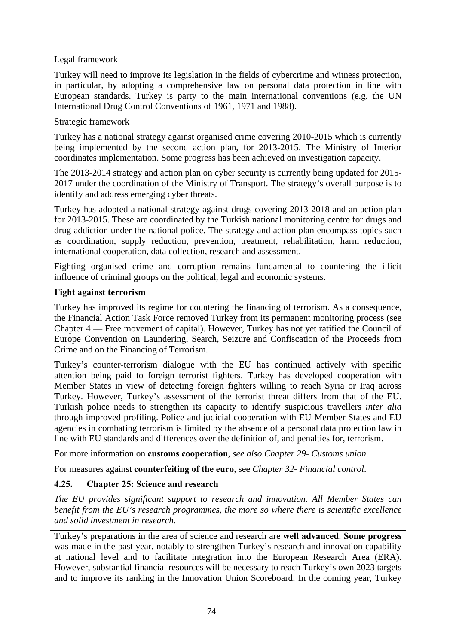#### Legal framework

Turkey will need to improve its legislation in the fields of cybercrime and witness protection, in particular, by adopting a comprehensive law on personal data protection in line with European standards. Turkey is party to the main international conventions (e.g. the UN International Drug Control Conventions of 1961, 1971 and 1988).

#### Strategic framework

Turkey has a national strategy against organised crime covering 2010-2015 which is currently being implemented by the second action plan, for 2013-2015. The Ministry of Interior coordinates implementation. Some progress has been achieved on investigation capacity.

The 2013-2014 strategy and action plan on cyber security is currently being updated for 2015- 2017 under the coordination of the Ministry of Transport. The strategy's overall purpose is to identify and address emerging cyber threats.

Turkey has adopted a national strategy against drugs covering 2013-2018 and an action plan for 2013-2015. These are coordinated by the Turkish national monitoring centre for drugs and drug addiction under the national police. The strategy and action plan encompass topics such as coordination, supply reduction, prevention, treatment, rehabilitation, harm reduction, international cooperation, data collection, research and assessment.

Fighting organised crime and corruption remains fundamental to countering the illicit influence of criminal groups on the political, legal and economic systems.

#### **Fight against terrorism**

Turkey has improved its regime for countering the financing of terrorism. As a consequence, the Financial Action Task Force removed Turkey from its permanent monitoring process (see Chapter 4 — Free movement of capital). However, Turkey has not yet ratified the Council of Europe Convention on Laundering, Search, Seizure and Confiscation of the Proceeds from Crime and on the Financing of Terrorism.

Turkey's counter-terrorism dialogue with the EU has continued actively with specific attention being paid to foreign terrorist fighters. Turkey has developed cooperation with Member States in view of detecting foreign fighters willing to reach Syria or Iraq across Turkey. However, Turkey's assessment of the terrorist threat differs from that of the EU. Turkish police needs to strengthen its capacity to identify suspicious travellers *inter alia* through improved profiling. Police and judicial cooperation with EU Member States and EU agencies in combating terrorism is limited by the absence of a personal data protection law in line with EU standards and differences over the definition of, and penalties for, terrorism.

For more information on **customs cooperation**, *see also Chapter 29- Customs union*.

For measures against **counterfeiting of the euro**, see *Chapter 32- Financial control*.

### **4.25. Chapter 25: Science and research**

*The EU provides significant support to research and innovation. All Member States can benefit from the EU's research programmes, the more so where there is scientific excellence and solid investment in research.* 

Turkey's preparations in the area of science and research are **well advanced**. **Some progress** was made in the past year, notably to strengthen Turkey's research and innovation capability at national level and to facilitate integration into the European Research Area (ERA). However, substantial financial resources will be necessary to reach Turkey's own 2023 targets and to improve its ranking in the Innovation Union Scoreboard. In the coming year, Turkey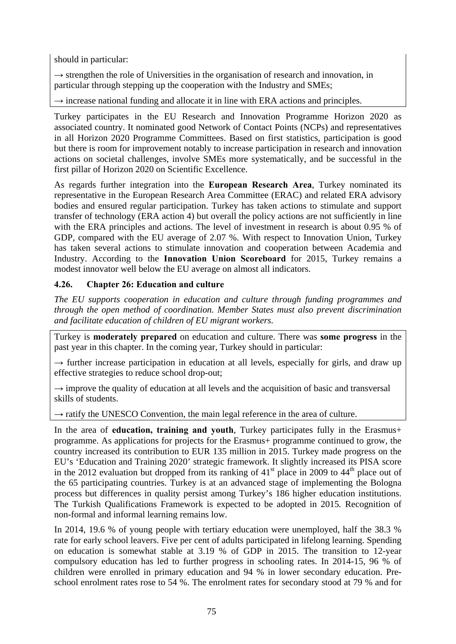should in particular:

 $\rightarrow$  strengthen the role of Universities in the organisation of research and innovation, in particular through stepping up the cooperation with the Industry and SMEs;

 $\rightarrow$  increase national funding and allocate it in line with ERA actions and principles.

Turkey participates in the EU Research and Innovation Programme Horizon 2020 as associated country. It nominated good Network of Contact Points (NCPs) and representatives in all Horizon 2020 Programme Committees. Based on first statistics, participation is good but there is room for improvement notably to increase participation in research and innovation actions on societal challenges, involve SMEs more systematically, and be successful in the first pillar of Horizon 2020 on Scientific Excellence.

As regards further integration into the **European Research Area**, Turkey nominated its representative in the European Research Area Committee (ERAC) and related ERA advisory bodies and ensured regular participation. Turkey has taken actions to stimulate and support transfer of technology (ERA action 4) but overall the policy actions are not sufficiently in line with the ERA principles and actions. The level of investment in research is about 0.95 % of GDP, compared with the EU average of 2.07 %. With respect to Innovation Union, Turkey has taken several actions to stimulate innovation and cooperation between Academia and Industry. According to the **Innovation Union Scoreboard** for 2015, Turkey remains a modest innovator well below the EU average on almost all indicators.

# **4.26. Chapter 26: Education and culture**

*The EU supports cooperation in education and culture through funding programmes and through the open method of coordination. Member States must also prevent discrimination and facilitate education of children of EU migrant workers.* 

Turkey is **moderately prepared** on education and culture. There was **some progress** in the past year in this chapter. In the coming year, Turkey should in particular:

 $\rightarrow$  further increase participation in education at all levels, especially for girls, and draw up effective strategies to reduce school drop-out;

 $\rightarrow$  improve the quality of education at all levels and the acquisition of basic and transversal skills of students.

 $\rightarrow$  ratify the UNESCO Convention, the main legal reference in the area of culture.

In the area of **education, training and youth**, Turkey participates fully in the Erasmus+ programme. As applications for projects for the Erasmus+ programme continued to grow, the country increased its contribution to EUR 135 million in 2015. Turkey made progress on the EU's 'Education and Training 2020' strategic framework. It slightly increased its PISA score in the 2012 evaluation but dropped from its ranking of  $41<sup>st</sup>$  place in 2009 to  $44<sup>th</sup>$  place out of the 65 participating countries. Turkey is at an advanced stage of implementing the Bologna process but differences in quality persist among Turkey's 186 higher education institutions. The Turkish Qualifications Framework is expected to be adopted in 2015*.* Recognition of non-formal and informal learning remains low.

In 2014, 19.6 % of young people with tertiary education were unemployed, half the 38.3 % rate for early school leavers. Five per cent of adults participated in lifelong learning. Spending on education is somewhat stable at 3.19 % of GDP in 2015. The transition to 12-year compulsory education has led to further progress in schooling rates. In 2014-15, 96 % of children were enrolled in primary education and 94 % in lower secondary education. Preschool enrolment rates rose to 54 %. The enrolment rates for secondary stood at 79 % and for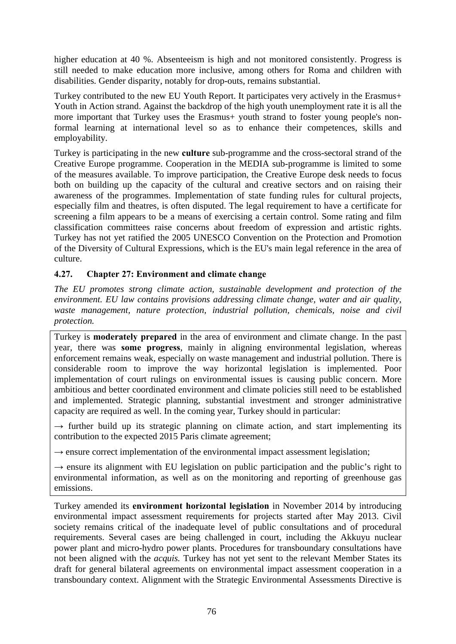higher education at 40 %. Absenteeism is high and not monitored consistently. Progress is still needed to make education more inclusive, among others for Roma and children with disabilities*.* Gender disparity, notably for drop-outs, remains substantial.

Turkey contributed to the new EU Youth Report. It participates very actively in the Erasmus+ Youth in Action strand. Against the backdrop of the high youth unemployment rate it is all the more important that Turkey uses the Erasmus+ youth strand to foster young people's nonformal learning at international level so as to enhance their competences, skills and employability.

Turkey is participating in the new **culture** sub-programme and the cross-sectoral strand of the Creative Europe programme. Cooperation in the MEDIA sub-programme is limited to some of the measures available. To improve participation, the Creative Europe desk needs to focus both on building up the capacity of the cultural and creative sectors and on raising their awareness of the programmes. Implementation of state funding rules for cultural projects, especially film and theatres, is often disputed. The legal requirement to have a certificate for screening a film appears to be a means of exercising a certain control. Some rating and film classification committees raise concerns about freedom of expression and artistic rights. Turkey has not yet ratified the 2005 UNESCO Convention on the Protection and Promotion of the Diversity of Cultural Expressions, which is the EU's main legal reference in the area of culture.

# **4.27. Chapter 27: Environment and climate change**

*The EU promotes strong climate action, sustainable development and protection of the environment. EU law contains provisions addressing climate change, water and air quality, waste management, nature protection, industrial pollution, chemicals, noise and civil protection.* 

Turkey is **moderately prepared** in the area of environment and climate change. In the past year, there was **some progress**, mainly in aligning environmental legislation, whereas enforcement remains weak, especially on waste management and industrial pollution. There is considerable room to improve the way horizontal legislation is implemented. Poor implementation of court rulings on environmental issues is causing public concern. More ambitious and better coordinated environment and climate policies still need to be established and implemented. Strategic planning, substantial investment and stronger administrative capacity are required as well. In the coming year, Turkey should in particular:

 $\rightarrow$  further build up its strategic planning on climate action, and start implementing its contribution to the expected 2015 Paris climate agreement;

 $\rightarrow$  ensure correct implementation of the environmental impact assessment legislation;

 $\rightarrow$  ensure its alignment with EU legislation on public participation and the public's right to environmental information, as well as on the monitoring and reporting of greenhouse gas emissions.

Turkey amended its **environment horizontal legislation** in November 2014 by introducing environmental impact assessment requirements for projects started after May 2013. Civil society remains critical of the inadequate level of public consultations and of procedural requirements. Several cases are being challenged in court, including the Akkuyu nuclear power plant and micro-hydro power plants. Procedures for transboundary consultations have not been aligned with the *acquis.* Turkey has not yet sent to the relevant Member States its draft for general bilateral agreements on environmental impact assessment cooperation in a transboundary context. Alignment with the Strategic Environmental Assessments Directive is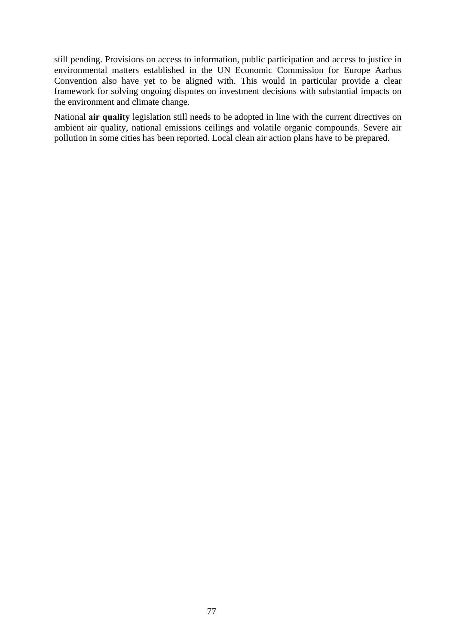still pending. Provisions on access to information, public participation and access to justice in environmental matters established in the UN Economic Commission for Europe Aarhus Convention also have yet to be aligned with. This would in particular provide a clear framework for solving ongoing disputes on investment decisions with substantial impacts on the environment and climate change.

National **air quality** legislation still needs to be adopted in line with the current directives on ambient air quality, national emissions ceilings and volatile organic compounds. Severe air pollution in some cities has been reported. Local clean air action plans have to be prepared.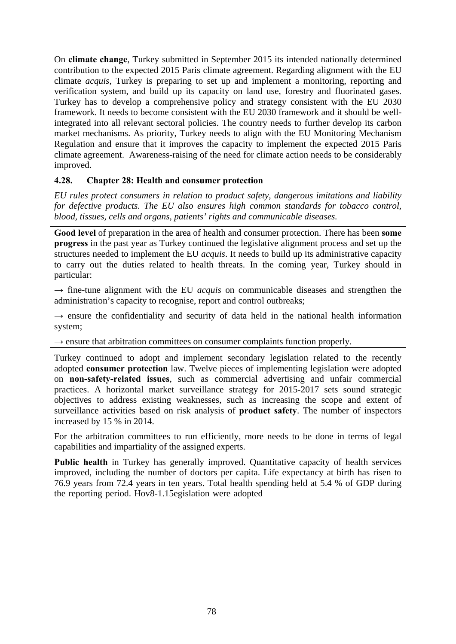On **climate change**, Turkey submitted in September 2015 its intended nationally determined contribution to the expected 2015 Paris climate agreement. Regarding alignment with the EU climate *acquis,* Turkey is preparing to set up and implement a monitoring, reporting and verification system, and build up its capacity on land use, forestry and fluorinated gases. Turkey has to develop a comprehensive policy and strategy consistent with the EU 2030 framework. It needs to become consistent with the EU 2030 framework and it should be wellintegrated into all relevant sectoral policies. The country needs to further develop its carbon market mechanisms. As priority, Turkey needs to align with the EU Monitoring Mechanism Regulation and ensure that it improves the capacity to implement the expected 2015 Paris climate agreement. Awareness-raising of the need for climate action needs to be considerably improved.

# **4.28. Chapter 28: Health and consumer protection**

*EU rules protect consumers in relation to product safety, dangerous imitations and liability for defective products. The EU also ensures high common standards for tobacco control, blood, tissues, cells and organs, patients' rights and communicable diseases.* 

**Good level** of preparation in the area of health and consumer protection. There has been **some progress** in the past year as Turkey continued the legislative alignment process and set up the structures needed to implement the EU *acquis*. It needs to build up its administrative capacity to carry out the duties related to health threats. In the coming year, Turkey should in particular:

 $\rightarrow$  fine-tune alignment with the EU *acquis* on communicable diseases and strengthen the administration's capacity to recognise, report and control outbreaks;

 $\rightarrow$  ensure the confidentiality and security of data held in the national health information system;

 $\rightarrow$  ensure that arbitration committees on consumer complaints function properly.

Turkey continued to adopt and implement secondary legislation related to the recently adopted **consumer protection** law. Twelve pieces of implementing legislation were adopted on **non-safety-related issues**, such as commercial advertising and unfair commercial practices. A horizontal market surveillance strategy for 2015-2017 sets sound strategic objectives to address existing weaknesses, such as increasing the scope and extent of surveillance activities based on risk analysis of **product safety**. The number of inspectors increased by 15 % in 2014.

For the arbitration committees to run efficiently, more needs to be done in terms of legal capabilities and impartiality of the assigned experts.

**Public health** in Turkey has generally improved. Quantitative capacity of health services improved, including the number of doctors per capita. Life expectancy at birth has risen to 76.9 years from 72.4 years in ten years. Total health spending held at 5.4 % of GDP during the felagroing (periodatell) drs8-Foot elges abiom were alan abolitate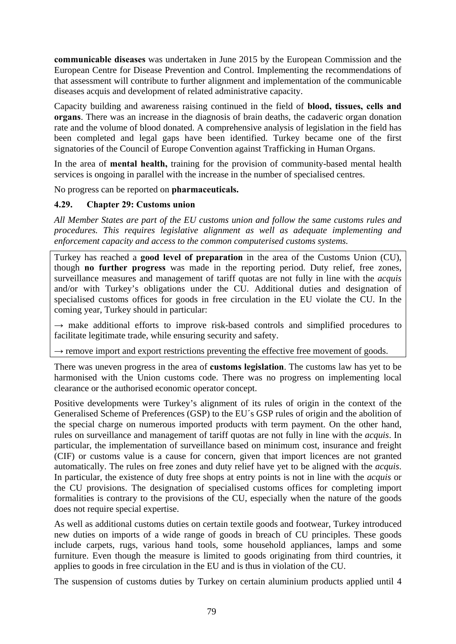**communicable diseases** was undertaken in June 2015 by the European Commission and the European Centre for Disease Prevention and Control. Implementing the recommendations of that assessment will contribute to further alignment and implementation of the communicable diseases acquis and development of related administrative capacity.

Capacity building and awareness raising continued in the field of **blood, tissues, cells and organs**. There was an increase in the diagnosis of brain deaths, the cadaveric organ donation rate and the volume of blood donated. A comprehensive analysis of legislation in the field has been completed and legal gaps have been identified. Turkey became one of the first signatories of the Council of Europe Convention against Trafficking in Human Organs.

In the area of **mental health,** training for the provision of community-based mental health services is ongoing in parallel with the increase in the number of specialised centres.

No progress can be reported on **pharmaceuticals.** 

### **4.29. Chapter 29: Customs union**

*All Member States are part of the EU customs union and follow the same customs rules and procedures. This requires legislative alignment as well as adequate implementing and enforcement capacity and access to the common computerised customs systems.* 

Turkey has reached a **good level of preparation** in the area of the Customs Union (CU), though **no further progress** was made in the reporting period. Duty relief, free zones, surveillance measures and management of tariff quotas are not fully in line with the *acquis* and/or with Turkey's obligations under the CU. Additional duties and designation of specialised customs offices for goods in free circulation in the EU violate the CU. In the coming year, Turkey should in particular:

 $\rightarrow$  make additional efforts to improve risk-based controls and simplified procedures to facilitate legitimate trade, while ensuring security and safety.

 $\rightarrow$  remove import and export restrictions preventing the effective free movement of goods.

There was uneven progress in the area of **customs legislation**. The customs law has yet to be harmonised with the Union customs code. There was no progress on implementing local clearance or the authorised economic operator concept.

Positive developments were Turkey's alignment of its rules of origin in the context of the Generalised Scheme of Preferences (GSP) to the EU´s GSP rules of origin and the abolition of the special charge on numerous imported products with term payment. On the other hand, rules on surveillance and management of tariff quotas are not fully in line with the *acquis*. In particular, the implementation of surveillance based on minimum cost, insurance and freight (CIF) or customs value is a cause for concern, given that import licences are not granted automatically. The rules on free zones and duty relief have yet to be aligned with the *acquis*. In particular, the existence of duty free shops at entry points is not in line with the *acquis* or the CU provisions. The designation of specialised customs offices for completing import formalities is contrary to the provisions of the CU, especially when the nature of the goods does not require special expertise.

As well as additional customs duties on certain textile goods and footwear, Turkey introduced new duties on imports of a wide range of goods in breach of CU principles. These goods include carpets, rugs, various hand tools, some household appliances, lamps and some furniture. Even though the measure is limited to goods originating from third countries, it applies to goods in free circulation in the EU and is thus in violation of the CU.

The suspension of customs duties by Turkey on certain aluminium products applied until 4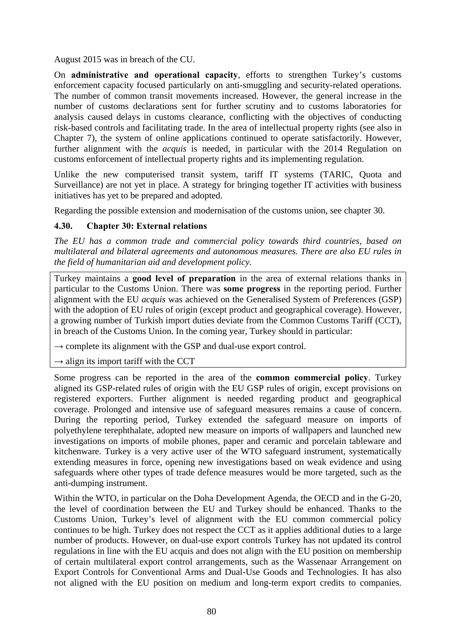August 2015 was in breach of the CU.

On **administrative and operational capacity**, efforts to strengthen Turkey's customs enforcement capacity focused particularly on anti-smuggling and security-related operations. The number of common transit movements increased. However, the general increase in the number of customs declarations sent for further scrutiny and to customs laboratories for analysis caused delays in customs clearance, conflicting with the objectives of conducting risk-based controls and facilitating trade. In the area of intellectual property rights (see also in Chapter 7), the system of online applications continued to operate satisfactorily. However, further alignment with the *acquis* is needed, in particular with the 2014 Regulation on customs enforcement of intellectual property rights and its implementing regulation.

Unlike the new computerised transit system, tariff IT systems (TARIC, Quota and Surveillance) are not yet in place. A strategy for bringing together IT activities with business initiatives has yet to be prepared and adopted.

Regarding the possible extension and modernisation of the customs union, see chapter 30.

### **4.30. Chapter 30: External relations**

*The EU has a common trade and commercial policy towards third countries, based on multilateral and bilateral agreements and autonomous measures. There are also EU rules in the field of humanitarian aid and development policy.* 

Turkey maintains a **good level of preparation** in the area of external relations thanks in particular to the Customs Union. There was **some progress** in the reporting period. Further alignment with the EU *acquis* was achieved on the Generalised System of Preferences (GSP) with the adoption of EU rules of origin (except product and geographical coverage). However, a growing number of Turkish import duties deviate from the Common Customs Tariff (CCT), in breach of the Customs Union. In the coming year, Turkey should in particular:

 $\rightarrow$  complete its alignment with the GSP and dual-use export control.

 $\rightarrow$  align its import tariff with the CCT

Some progress can be reported in the area of the **common commercial policy**. Turkey aligned its GSP-related rules of origin with the EU GSP rules of origin, except provisions on registered exporters. Further alignment is needed regarding product and geographical coverage. Prolonged and intensive use of safeguard measures remains a cause of concern. During the reporting period, Turkey extended the safeguard measure on imports of polyethylene terephthalate, adopted new measure on imports of wallpapers and launched new investigations on imports of mobile phones, paper and ceramic and porcelain tableware and kitchenware. Turkey is a very active user of the WTO safeguard instrument, systematically extending measures in force, opening new investigations based on weak evidence and using safeguards where other types of trade defence measures would be more targeted, such as the anti-dumping instrument.

Within the WTO, in particular on the Doha Development Agenda, the OECD and in the G-20, the level of coordination between the EU and Turkey should be enhanced. Thanks to the Customs Union, Turkey's level of alignment with the EU common commercial policy continues to be high. Turkey does not respect the CCT as it applies additional duties to a large number of products. However, on dual-use export controls Turkey has not updated its control regulations in line with the EU acquis and does not align with the EU position on membership of certain multilateral export control arrangements, such as the Wassenaar Arrangement on Export Controls for Conventional Arms and Dual-Use Goods and Technologies. It has also not aligned with the EU position on medium and long-term export credits to companies.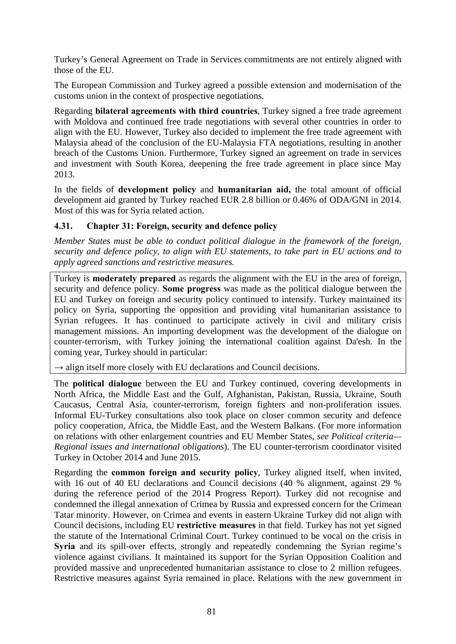Turkey's General Agreement on Trade in Services commitments are not entirely aligned with those of the EU.

The European Commission and Turkey agreed a possible extension and modernisation of the customs union in the context of prospective negotiations.

Regarding **bilateral agreements with third countries**, Turkey signed a free trade agreement with Moldova and continued free trade negotiations with several other countries in order to align with the EU. However, Turkey also decided to implement the free trade agreement with Malaysia ahead of the conclusion of the EU-Malaysia FTA negotiations, resulting in another breach of the Customs Union. Furthermore, Turkey signed an agreement on trade in services and investment with South Korea, deepening the free trade agreement in place since May 2013.

In the fields of **development policy** and **humanitarian aid,** the total amount of official development aid granted by Turkey reached EUR 2.8 billion or 0.46% of ODA/GNI in 2014. Most of this was for Syria related action.

### **4.31. Chapter 31: Foreign, security and defence policy**

*Member States must be able to conduct political dialogue in the framework of the foreign, security and defence policy, to align with EU statements, to take part in EU actions and to apply agreed sanctions and restrictive measures.* 

Turkey is **moderately prepared** as regards the alignment with the EU in the area of foreign, security and defence policy. **Some progress** was made as the political dialogue between the EU and Turkey on foreign and security policy continued to intensify. Turkey maintained its policy on Syria, supporting the opposition and providing vital humanitarian assistance to Syrian refugees. It has continued to participate actively in civil and military crisis management missions. An importing development was the development of the dialogue on counter-terrorism, with Turkey joining the international coalition against Da'esh. In the coming year, Turkey should in particular:

 $\rightarrow$  align itself more closely with EU declarations and Council decisions.

The **political dialogue** between the EU and Turkey continued, covering developments in North Africa, the Middle East and the Gulf, Afghanistan, Pakistan, Russia, Ukraine, South Caucasus, Central Asia, counter-terrorism, foreign fighters and non-proliferation issues. Informal EU-Turkey consultations also took place on closer common security and defence policy cooperation, Africa, the Middle East, and the Western Balkans. (For more information on relations with other enlargement countries and EU Member States, *see Political criteria— Regional issues and international obligations*). The EU counter-terrorism coordinator visited Turkey in October 2014 and June 2015.

Regarding the **common foreign and security policy**, Turkey aligned itself, when invited, with 16 out of 40 EU declarations and Council decisions (40 % alignment, against 29 % during the reference period of the 2014 Progress Report). Turkey did not recognise and condemned the illegal annexation of Crimea by Russia and expressed concern for the Crimean Tatar minority. However, on Crimea and events in eastern Ukraine Turkey did not align with Council decisions, including EU **restrictive measures** in that field. Turkey has not yet signed the statute of the International Criminal Court. Turkey continued to be vocal on the crisis in Syria and its spill-over effects, strongly and repeatedly condemning the Syrian regime's violence against civilians. It maintained its support for the Syrian Opposition Coalition and provided massive and unprecedented humanitarian assistance to close to 2 million refugees. Restrictive measures against Syria remained in place. Relations with the new government in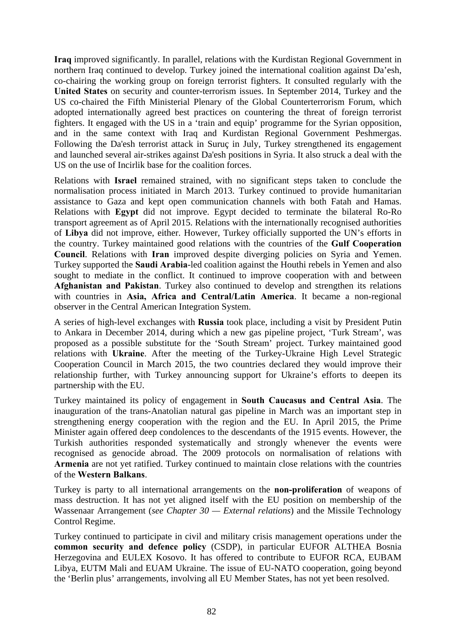**Iraq** improved significantly. In parallel, relations with the Kurdistan Regional Government in northern Iraq continued to develop. Turkey joined the international coalition against Da'esh, co-chairing the working group on foreign terrorist fighters. It consulted regularly with the **United States** on security and counter-terrorism issues. In September 2014, Turkey and the US co-chaired the Fifth Ministerial Plenary of the Global Counterterrorism Forum, which adopted internationally agreed best practices on countering the threat of foreign terrorist fighters. It engaged with the US in a 'train and equip' programme for the Syrian opposition, and in the same context with Iraq and Kurdistan Regional Government Peshmergas. Following the Da'esh terrorist attack in Suruç in July, Turkey strengthened its engagement and launched several air-strikes against Da'esh positions in Syria. It also struck a deal with the US on the use of Incirlik base for the coalition forces.

Relations with **Israel** remained strained, with no significant steps taken to conclude the normalisation process initiated in March 2013. Turkey continued to provide humanitarian assistance to Gaza and kept open communication channels with both Fatah and Hamas. Relations with **Egypt** did not improve. Egypt decided to terminate the bilateral Ro-Ro transport agreement as of April 2015. Relations with the internationally recognised authorities of **Libya** did not improve, either. However, Turkey officially supported the UN's efforts in the country. Turkey maintained good relations with the countries of the **Gulf Cooperation Council**. Relations with **Iran** improved despite diverging policies on Syria and Yemen. Turkey supported the **Saudi Arabia**-led coalition against the Houthi rebels in Yemen and also sought to mediate in the conflict. It continued to improve cooperation with and between **Afghanistan and Pakistan**. Turkey also continued to develop and strengthen its relations with countries in **Asia, Africa and Central/Latin America**. It became a non-regional observer in the Central American Integration System.

A series of high-level exchanges with **Russia** took place, including a visit by President Putin to Ankara in December 2014, during which a new gas pipeline project, 'Turk Stream', was proposed as a possible substitute for the 'South Stream' project. Turkey maintained good relations with **Ukraine**. After the meeting of the Turkey-Ukraine High Level Strategic Cooperation Council in March 2015, the two countries declared they would improve their relationship further, with Turkey announcing support for Ukraine's efforts to deepen its partnership with the EU.

Turkey maintained its policy of engagement in **South Caucasus and Central Asia**. The inauguration of the trans-Anatolian natural gas pipeline in March was an important step in strengthening energy cooperation with the region and the EU. In April 2015, the Prime Minister again offered deep condolences to the descendants of the 1915 events. However, the Turkish authorities responded systematically and strongly whenever the events were recognised as genocide abroad. The 2009 protocols on normalisation of relations with **Armenia** are not yet ratified. Turkey continued to maintain close relations with the countries of the **Western Balkans**.

Turkey is party to all international arrangements on the **non-proliferation** of weapons of mass destruction. It has not yet aligned itself with the EU position on membership of the Wassenaar Arrangement (*see Chapter 30 — External relations*) and the Missile Technology Control Regime.

Turkey continued to participate in civil and military crisis management operations under the **common security and defence policy** (CSDP), in particular EUFOR ALTHEA Bosnia Herzegovina and EULEX Kosovo. It has offered to contribute to EUFOR RCA, EUBAM Libya, EUTM Mali and EUAM Ukraine. The issue of EU-NATO cooperation, going beyond the 'Berlin plus' arrangements, involving all EU Member States, has not yet been resolved.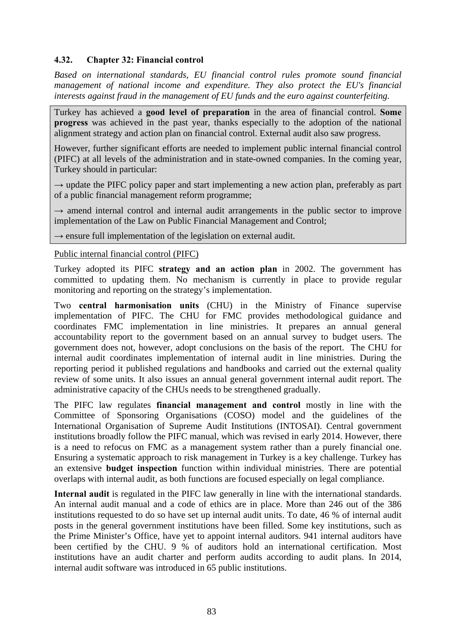## **4.32. Chapter 32: Financial control**

*Based on international standards, EU financial control rules promote sound financial management of national income and expenditure. They also protect the EU's financial interests against fraud in the management of EU funds and the euro against counterfeiting.* 

Turkey has achieved a **good level of preparation** in the area of financial control. **Some progress** was achieved in the past year, thanks especially to the adoption of the national alignment strategy and action plan on financial control. External audit also saw progress.

However, further significant efforts are needed to implement public internal financial control (PIFC) at all levels of the administration and in state-owned companies. In the coming year, Turkey should in particular:

 $\rightarrow$  update the PIFC policy paper and start implementing a new action plan, preferably as part of a public financial management reform programme;

**→** amend internal control and internal audit arrangements in the public sector to improve implementation of the Law on Public Financial Management and Control;

→ ensure full implementation of the legislation on external audit.

#### Public internal financial control (PIFC)

Turkey adopted its PIFC **strategy and an action plan** in 2002. The government has committed to updating them. No mechanism is currently in place to provide regular monitoring and reporting on the strategy's implementation.

Two **central harmonisation units** (CHU) in the Ministry of Finance supervise implementation of PIFC. The CHU for FMC provides methodological guidance and coordinates FMC implementation in line ministries. It prepares an annual general accountability report to the government based on an annual survey to budget users. The government does not, however, adopt conclusions on the basis of the report. The CHU for internal audit coordinates implementation of internal audit in line ministries. During the reporting period it published regulations and handbooks and carried out the external quality review of some units. It also issues an annual general government internal audit report. The administrative capacity of the CHUs needs to be strengthened gradually.

The PIFC law regulates **financial management and control** mostly in line with the Committee of Sponsoring Organisations (COSO) model and the guidelines of the International Organisation of Supreme Audit Institutions (INTOSAI). Central government institutions broadly follow the PIFC manual, which was revised in early 2014. However, there is a need to refocus on FMC as a management system rather than a purely financial one. Ensuring a systematic approach to risk management in Turkey is a key challenge. Turkey has an extensive **budget inspection** function within individual ministries. There are potential overlaps with internal audit, as both functions are focused especially on legal compliance.

**Internal audit** is regulated in the PIFC law generally in line with the international standards. An internal audit manual and a code of ethics are in place. More than 246 out of the 386 institutions requested to do so have set up internal audit units. To date, 46 % of internal audit posts in the general government institutions have been filled. Some key institutions, such as the Prime Minister's Office, have yet to appoint internal auditors. 941 internal auditors have been certified by the CHU. 9 % of auditors hold an international certification. Most institutions have an audit charter and perform audits according to audit plans. In 2014, internal audit software was introduced in 65 public institutions.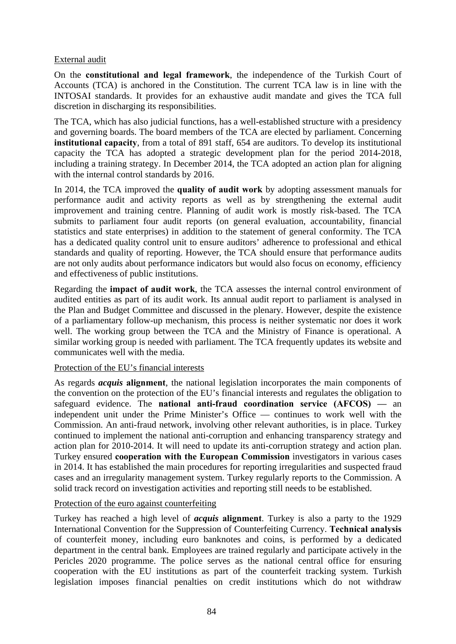#### External audit

On the **constitutional and legal framework**, the independence of the Turkish Court of Accounts (TCA) is anchored in the Constitution. The current TCA law is in line with the INTOSAI standards. It provides for an exhaustive audit mandate and gives the TCA full discretion in discharging its responsibilities.

The TCA, which has also judicial functions, has a well-established structure with a presidency and governing boards. The board members of the TCA are elected by parliament. Concerning **institutional capacity**, from a total of 891 staff, 654 are auditors. To develop its institutional capacity the TCA has adopted a strategic development plan for the period 2014-2018, including a training strategy. In December 2014, the TCA adopted an action plan for aligning with the internal control standards by 2016.

In 2014, the TCA improved the **quality of audit work** by adopting assessment manuals for performance audit and activity reports as well as by strengthening the external audit improvement and training centre. Planning of audit work is mostly risk-based. The TCA submits to parliament four audit reports (on general evaluation, accountability, financial statistics and state enterprises) in addition to the statement of general conformity. The TCA has a dedicated quality control unit to ensure auditors' adherence to professional and ethical standards and quality of reporting. However, the TCA should ensure that performance audits are not only audits about performance indicators but would also focus on economy, efficiency and effectiveness of public institutions.

Regarding the **impact of audit work**, the TCA assesses the internal control environment of audited entities as part of its audit work. Its annual audit report to parliament is analysed in the Plan and Budget Committee and discussed in the plenary. However, despite the existence of a parliamentary follow-up mechanism, this process is neither systematic nor does it work well. The working group between the TCA and the Ministry of Finance is operational. A similar working group is needed with parliament. The TCA frequently updates its website and communicates well with the media.

#### Protection of the EU's financial interests

As regards *acquis* **alignment**, the national legislation incorporates the main components of the convention on the protection of the EU's financial interests and regulates the obligation to safeguard evidence. The **national anti-fraud coordination service (AFCOS) —** an independent unit under the Prime Minister's Office — continues to work well with the Commission. An anti-fraud network, involving other relevant authorities, is in place. Turkey continued to implement the national anti-corruption and enhancing transparency strategy and action plan for 2010-2014. It will need to update its anti-corruption strategy and action plan. Turkey ensured **cooperation with the European Commission** investigators in various cases in 2014. It has established the main procedures for reporting irregularities and suspected fraud cases and an irregularity management system. Turkey regularly reports to the Commission. A solid track record on investigation activities and reporting still needs to be established.

### Protection of the euro against counterfeiting

Turkey has reached a high level of *acquis* **alignment**. Turkey is also a party to the 1929 International Convention for the Suppression of Counterfeiting Currency. **Technical analysis**  of counterfeit money, including euro banknotes and coins, is performed by a dedicated department in the central bank. Employees are trained regularly and participate actively in the Pericles 2020 programme. The police serves as the national central office for ensuring cooperation with the EU institutions as part of the counterfeit tracking system. Turkish legislation imposes financial penalties on credit institutions which do not withdraw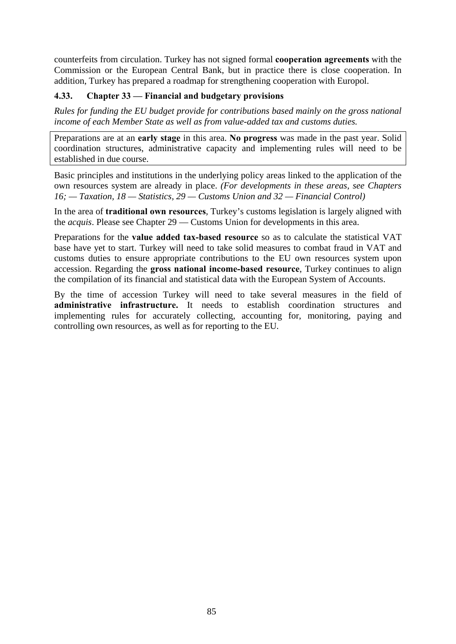counterfeits from circulation. Turkey has not signed formal **cooperation agreements** with the Commission or the European Central Bank, but in practice there is close cooperation. In addition, Turkey has prepared a roadmap for strengthening cooperation with Europol.

# **4.33. Chapter 33 — Financial and budgetary provisions**

*Rules for funding the EU budget provide for contributions based mainly on the gross national income of each Member State as well as from value-added tax and customs duties.* 

Preparations are at an **early stage** in this area. **No progress** was made in the past year. Solid coordination structures, administrative capacity and implementing rules will need to be established in due course.

Basic principles and institutions in the underlying policy areas linked to the application of the own resources system are already in place. *(For developments in these areas, see Chapters 16; — Taxation, 18 — Statistics, 29 — Customs Union and 32 — Financial Control)* 

In the area of **traditional own resources**, Turkey's customs legislation is largely aligned with the *acquis*. Please see Chapter 29 — Customs Union for developments in this area.

Preparations for the **value added tax-based resource** so as to calculate the statistical VAT base have yet to start. Turkey will need to take solid measures to combat fraud in VAT and customs duties to ensure appropriate contributions to the EU own resources system upon accession. Regarding the **gross national income-based resource**, Turkey continues to align the compilation of its financial and statistical data with the European System of Accounts.

By the time of accession Turkey will need to take several measures in the field of **administrative infrastructure.** It needs to establish coordination structures and implementing rules for accurately collecting, accounting for, monitoring, paying and controlling own resources, as well as for reporting to the EU.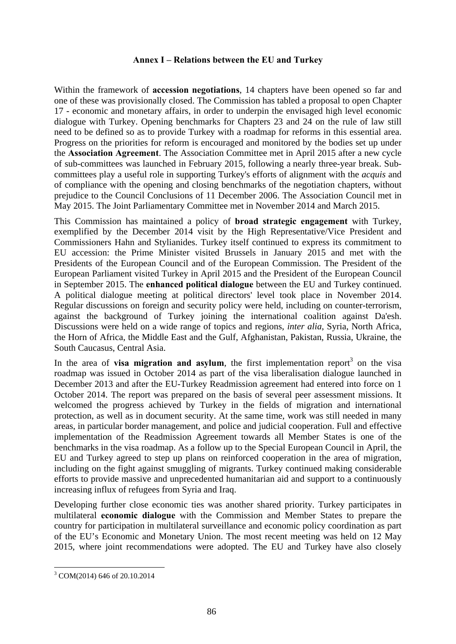#### **Annex I – Relations between the EU and Turkey**

Within the framework of **accession negotiations**, 14 chapters have been opened so far and one of these was provisionally closed. The Commission has tabled a proposal to open Chapter 17 - economic and monetary affairs, in order to underpin the envisaged high level economic dialogue with Turkey. Opening benchmarks for Chapters 23 and 24 on the rule of law still need to be defined so as to provide Turkey with a roadmap for reforms in this essential area. Progress on the priorities for reform is encouraged and monitored by the bodies set up under the **Association Agreement**. The Association Committee met in April 2015 after a new cycle of sub-committees was launched in February 2015, following a nearly three-year break. Subcommittees play a useful role in supporting Turkey's efforts of alignment with the *acquis* and of compliance with the opening and closing benchmarks of the negotiation chapters, without prejudice to the Council Conclusions of 11 December 2006. The Association Council met in May 2015. The Joint Parliamentary Committee met in November 2014 and March 2015.

This Commission has maintained a policy of **broad strategic engagement** with Turkey, exemplified by the December 2014 visit by the High Representative/Vice President and Commissioners Hahn and Stylianides. Turkey itself continued to express its commitment to EU accession: the Prime Minister visited Brussels in January 2015 and met with the Presidents of the European Council and of the European Commission. The President of the European Parliament visited Turkey in April 2015 and the President of the European Council in September 2015. The **enhanced political dialogue** between the EU and Turkey continued. A political dialogue meeting at political directors' level took place in November 2014. Regular discussions on foreign and security policy were held, including on counter-terrorism, against the background of Turkey joining the international coalition against Da'esh. Discussions were held on a wide range of topics and regions, *inter alia*, Syria, North Africa, the Horn of Africa, the Middle East and the Gulf, Afghanistan, Pakistan, Russia, Ukraine, the South Caucasus, Central Asia.

In the area of **visa migration and asylum**, the first implementation report<sup>3</sup> on the visa roadmap was issued in October 2014 as part of the visa liberalisation dialogue launched in December 2013 and after the EU-Turkey Readmission agreement had entered into force on 1 October 2014. The report was prepared on the basis of several peer assessment missions. It welcomed the progress achieved by Turkey in the fields of migration and international protection, as well as in document security. At the same time, work was still needed in many areas, in particular border management, and police and judicial cooperation. Full and effective implementation of the Readmission Agreement towards all Member States is one of the benchmarks in the visa roadmap. As a follow up to the Special European Council in April, the EU and Turkey agreed to step up plans on reinforced cooperation in the area of migration, including on the fight against smuggling of migrants. Turkey continued making considerable efforts to provide massive and unprecedented humanitarian aid and support to a continuously increasing influx of refugees from Syria and Iraq.

Developing further close economic ties was another shared priority. Turkey participates in multilateral **economic dialogue** with the Commission and Member States to prepare the country for participation in multilateral surveillance and economic policy coordination as part of the EU's Economic and Monetary Union. The most recent meeting was held on 12 May 2015, where joint recommendations were adopted. The EU and Turkey have also closely

**.** 

<sup>3</sup> COM(2014) 646 of 20.10.2014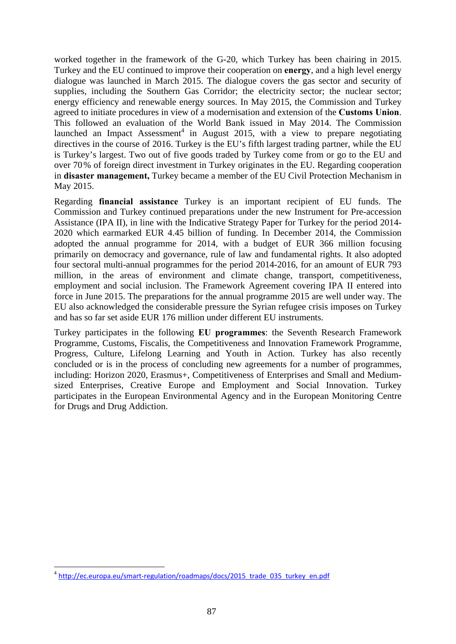worked together in the framework of the G-20, which Turkey has been chairing in 2015. Turkey and the EU continued to improve their cooperation on **energy**, and a high level energy dialogue was launched in March 2015. The dialogue covers the gas sector and security of supplies, including the Southern Gas Corridor; the electricity sector; the nuclear sector; energy efficiency and renewable energy sources. In May 2015, the Commission and Turkey agreed to initiate procedures in view of a modernisation and extension of the **Customs Union**. This followed an evaluation of the World Bank issued in May 2014. The Commission launched an Impact Assessment<sup>4</sup> in August 2015, with a view to prepare negotiating directives in the course of 2016. Turkey is the EU's fifth largest trading partner, while the EU is Turkey's largest. Two out of five goods traded by Turkey come from or go to the EU and over 70% of foreign direct investment in Turkey originates in the EU. Regarding cooperation in **disaster management,** Turkey became a member of the EU Civil Protection Mechanism in May 2015.

Regarding **financial assistance** Turkey is an important recipient of EU funds. The Commission and Turkey continued preparations under the new Instrument for Pre-accession Assistance (IPA II), in line with the Indicative Strategy Paper for Turkey for the period 2014- 2020 which earmarked EUR 4.45 billion of funding. In December 2014, the Commission adopted the annual programme for 2014, with a budget of EUR 366 million focusing primarily on democracy and governance, rule of law and fundamental rights. It also adopted four sectoral multi-annual programmes for the period 2014-2016, for an amount of EUR 793 million, in the areas of environment and climate change, transport, competitiveness, employment and social inclusion. The Framework Agreement covering IPA II entered into force in June 2015. The preparations for the annual programme 2015 are well under way. The EU also acknowledged the considerable pressure the Syrian refugee crisis imposes on Turkey and has so far set aside EUR 176 million under different EU instruments.

Turkey participates in the following **EU programmes**: the Seventh Research Framework Programme, Customs, Fiscalis, the Competitiveness and Innovation Framework Programme, Progress, Culture, Lifelong Learning and Youth in Action. Turkey has also recently concluded or is in the process of concluding new agreements for a number of programmes, including: Horizon 2020, Erasmus+, Competitiveness of Enterprises and Small and Mediumsized Enterprises, Creative Europe and Employment and Social Innovation. Turkey participates in the European Environmental Agency and in the European Monitoring Centre for Drugs and Drug Addiction.

**<sup>.</sup>** <sup>4</sup> [http://ec.europa.eu/smart-regulation/ro](http://ec.europa.eu/smart-regulation/roadmaps/docs/2015_trade_035_turkey_en.pdf)admaps/docs/2015\_trade\_035\_turkey\_en.pdf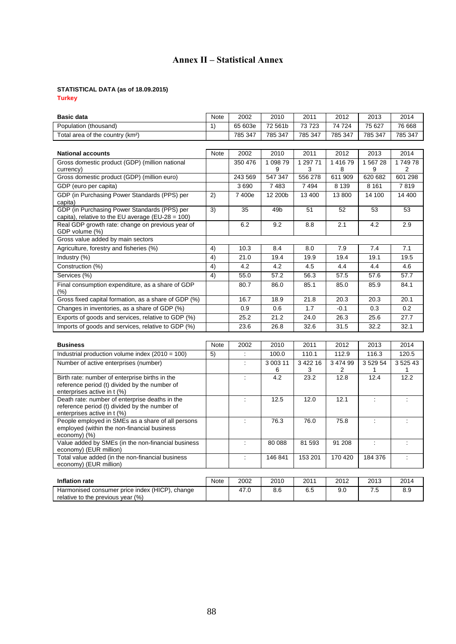# **Annex II – Statistical Annex**

# **STATISTICAL DATA (as of 18.09.2015)**

**Turkey** 

| <b>Basic data</b>                                                                                                              | Note        | 2002                     | 2010          | 2011          | 2012          | 2013           | 2014             |
|--------------------------------------------------------------------------------------------------------------------------------|-------------|--------------------------|---------------|---------------|---------------|----------------|------------------|
| Population (thousand)                                                                                                          | 1)          | 65 603e                  | 72 561b       | 73723         | 74 724        | 75 627         | 76 668           |
| Total area of the country (km <sup>2</sup> )                                                                                   |             | 785 347                  | 785 347       | 785 347       | 785 347       | 785 347        | 785 347          |
|                                                                                                                                |             |                          |               |               |               |                |                  |
| <b>National accounts</b>                                                                                                       | Note        | 2002                     | 2010          | 2011          | 2012          | 2013           | 2014             |
| Gross domestic product (GDP) (million national                                                                                 |             | 350 476                  | 1 0 9 8 7 9   | 1 297 71      | 141679        | 1 567 28       | 174978           |
| currency)                                                                                                                      |             |                          | 9             | 3             | 8             | 9              | 2                |
| Gross domestic product (GDP) (million euro)                                                                                    |             | 243 569                  | 547 347       | 556 278       | 611 909       | 620 682        | 601 298          |
| GDP (euro per capita)                                                                                                          |             | 3690                     | 7483          | 7494          | 8 1 3 9       | 8 1 6 1        | 7819             |
| GDP (in Purchasing Power Standards (PPS) per<br>capita)                                                                        | 2)          | 7400e                    | 12 200b       | 13 400        | 13800         | 14 100         | 14 400           |
| GDP (in Purchasing Power Standards (PPS) per<br>capita), relative to the EU average (EU-28 = 100)                              | 3)          | 35                       | 49b           | 51            | 52            | 53             | 53               |
| Real GDP growth rate: change on previous year of<br>GDP volume (%)                                                             |             | 6.2                      | 9.2           | 8.8           | 2.1           | 4.2            | 2.9              |
| Gross value added by main sectors                                                                                              |             |                          |               |               |               |                |                  |
| Agriculture, forestry and fisheries (%)                                                                                        | 4)          | 10.3                     | 8.4           | 8.0           | 7.9           | 7.4            | 7.1              |
| Industry (%)                                                                                                                   | 4)          | 21.0                     | 19.4          | 19.9          | 19.4          | 19.1           | 19.5             |
| Construction (%)                                                                                                               | 4)          | 4.2                      | 4.2           | 4.5           | 4.4           | 4.4            | 4.6              |
| Services (%)                                                                                                                   | 4)          | 55.0                     | 57.2          | 56.3          | 57.5          | 57.6           | 57.7             |
| Final consumption expenditure, as a share of GDP<br>$(\% )$                                                                    |             | 80.7                     | 86.0          | 85.1          | 85.0          | 85.9           | 84.1             |
| Gross fixed capital formation, as a share of GDP (%)                                                                           |             | 16.7                     | 18.9          | 21.8          | 20.3          | 20.3           | 20.1             |
| Changes in inventories, as a share of GDP (%)                                                                                  |             | 0.9                      | 0.6           | 1.7           | $-0.1$        | 0.3            | 0.2              |
| Exports of goods and services, relative to GDP (%)                                                                             |             | 25.2                     | 21.2          | 24.0          | 26.3          | 25.6           | 27.7             |
| Imports of goods and services, relative to GDP (%)                                                                             |             | 23.6                     | 26.8          | 32.6          | 31.5          | 32.2           | 32.1             |
|                                                                                                                                |             |                          |               |               |               |                |                  |
| <b>Business</b>                                                                                                                | <b>Note</b> | 2002                     | 2010          | 2011          | 2012          | 2013           | 2014             |
| Industrial production volume index $(2010 = 100)$                                                                              | 5)          | ÷                        | 100.0         | 110.1         | 112.9         | 116.3          | 120.5            |
| Number of active enterprises (number)                                                                                          |             | $\ddot{\phantom{a}}$     | 3 003 11<br>6 | 3 422 16<br>3 | 3 474 99<br>2 | 3 529 54<br>1  | 3 5 2 5 4 3<br>1 |
| Birth rate: number of enterprise births in the<br>reference period (t) divided by the number of<br>enterprises active in t (%) |             | $\ddot{\cdot}$           | 4.2           | 23.2          | 12.8          | 12.4           | 12.2             |
| Death rate: number of enterprise deaths in the<br>reference period (t) divided by the number of<br>enterprises active in t (%) |             | ÷                        | 12.5          | 12.0          | 12.1          | $\ddot{\cdot}$ | ÷                |
| People employed in SMEs as a share of all persons<br>employed (within the non-financial business<br>economy) (%)               |             | $\overline{\phantom{a}}$ | 76.3          | 76.0          | 75.8          | ÷              | ÷                |
| Value added by SMEs (in the non-financial business<br>economy) (EUR million)                                                   |             | ÷                        | 80 088        | 81 593        | 91 208        | ÷              | ÷                |
| Total value added (in the non-financial business<br>economy) (EUR million)                                                     |             | $\ddot{\phantom{a}}$     | 146 841       | 153 201       | 170 420       | 184 376        | ÷                |
|                                                                                                                                |             |                          |               |               |               |                |                  |
| <b>Inflation rate</b>                                                                                                          | Note        | 2002                     | 2010          | 2011          | 2012          | 2013           | 2014             |
| Harmonised consumer price index (HICP), change<br>relative to the previous year (%)                                            |             | 47.0                     | 8.6           | 6.5           | 9.0           | 7.5            | 8.9              |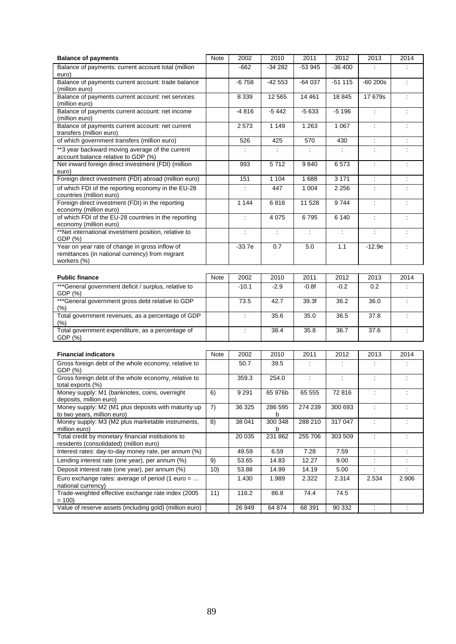| <b>Balance of payments</b>                                                                                       | Note        | 2002                 | 2010         | 2011     | 2012     | 2013                 | 2014                 |
|------------------------------------------------------------------------------------------------------------------|-------------|----------------------|--------------|----------|----------|----------------------|----------------------|
| Balance of payments: current account total (million<br>euro)                                                     |             | $-662$               | $-34282$     | $-53945$ | $-36400$ |                      |                      |
| Balance of payments current account: trade balance<br>(million euro)                                             |             | $-6758$              | $-42553$     | $-64037$ | $-51115$ | $-60200s$            | $\ddot{\cdot}$       |
| Balance of payments current account: net services<br>(million euro)                                              |             | 8 3 3 9              | 12 5 65      | 14 4 61  | 18 8 45  | 17 679s              | $\ddot{\phantom{a}}$ |
| Balance of payments current account: net income<br>(million euro)                                                |             | $-4816$              | $-5442$      | $-5633$  | $-5196$  | ÷                    | ÷                    |
| Balance of payments current account: net current<br>transfers (million euro)                                     |             | 2573                 | 1 1 4 9      | 1 2 6 3  | 1 0 6 7  | $\ddot{\cdot}$       | $\ddot{\phantom{a}}$ |
| of which government transfers (million euro)                                                                     |             | 526                  | 425          | 570      | 430      | Ì.                   | Ì.                   |
| **3 year backward moving average of the current<br>account balance relative to GDP (%)                           |             |                      |              |          |          |                      |                      |
| Net inward foreign direct investment (FDI) (million<br>euro)                                                     |             | 993                  | 5712         | 9840     | 6573     | ÷                    | ÷                    |
| Foreign direct investment (FDI) abroad (million euro)                                                            |             | 151                  | 1 1 0 4      | 1688     | 3 1 7 1  | $\ddot{\phantom{a}}$ | $\ddot{\phantom{a}}$ |
| of which FDI of the reporting economy in the EU-28<br>countries (million euro)                                   |             | ÷                    | 447          | 1 0 0 4  | 2 2 5 6  | ÷                    |                      |
| Foreign direct investment (FDI) in the reporting<br>economy (million euro)                                       |             | 1 1 4 4              | 6816         | 11 528   | 9744     | $\ddot{\cdot}$       | ÷                    |
| of which FDI of the EU-28 countries in the reporting<br>economy (million euro)                                   |             | ÷                    | 4 0 7 5      | 6795     | 6 1 4 0  | ÷                    | ÷                    |
| **Net international investment position, relative to<br>GDP (%)                                                  |             | $\ddot{\cdot}$       | ÷            | ÷        | ÷        | ÷                    | ÷                    |
| Year on year rate of change in gross inflow of<br>remittances (in national currency) from migrant<br>workers (%) |             | $-33.7e$             | 0.7          | 5.0      | 1.1      | $-12.9e$             | ÷                    |
| <b>Public finance</b>                                                                                            | Note        | 2002                 | 2010         | 2011     | 2012     | 2013                 | 2014                 |
| ***General government deficit / surplus, relative to<br>GDP (%)                                                  |             | $-10.1$              | $-2.9$       | $-0.8f$  | $-0.2$   | 0.2                  |                      |
| *** General government gross debt relative to GDP<br>$(\%)$                                                      |             | 73.5                 | 42.7         | 39.3f    | 36.2     | 36.0                 | $\ddot{\cdot}$       |
| Total government revenues, as a percentage of GDP<br>$(\% )$                                                     |             | $\ddot{\phantom{a}}$ | 35.6         | 35.0     | 36.5     | 37.8                 | ÷                    |
| Total government expenditure, as a percentage of<br>GDP (%)                                                      |             | ÷                    | 38.4         | 35.8     | 36.7     | 37.6                 | $\ddot{\phantom{a}}$ |
|                                                                                                                  |             |                      |              |          |          |                      |                      |
| <b>Financial indicators</b>                                                                                      | <b>Note</b> | 2002                 | 2010         | 2011     | 2012     | 2013                 | 2014                 |
| Gross foreign debt of the whole economy, relative to<br>GDP (%)                                                  |             | 50.7                 | 39.5         | ÷        | ÷        | ÷                    | ÷                    |
| Gross foreign debt of the whole economy, relative to<br>total exports (%)                                        |             | 359.3                | 254.0        | ÷        | Ì.       | ÷                    | ÷                    |
| Money supply: M1 (banknotes, coins, overnight<br>deposits, million euro)                                         | 6)          | 9 2 9 1              | 65 976b      | 65 555   | 72816    | $\ddot{\cdot}$       | $\ddot{\cdot}$       |
| Money supply: M2 (M1 plus deposits with maturity up<br>to two years, million euro)                               | 7)          | 36 325               | 286 595<br>b | 274 239  | 300 693  | ÷                    | ÷                    |
| Money supply: M3 (M2 plus marketable instruments,<br>million euro)                                               | 8)          | 38 041               | 300 348<br>b | 288 210  | 317 047  | ÷                    | ÷                    |
| Total credit by monetary financial institutions to<br>residents (consolidated) (million euro)                    |             | 20 035               | 231 862      | 255 706  | 303 509  | ÷                    | $\ddot{\cdot}$       |
| Interest rates: day-to-day money rate, per annum (%)                                                             |             | 49.59                | 6.59         | 7.28     | 7.59     | ÷                    |                      |
| Lending interest rate (one year), per annum (%)                                                                  | 9)          | 53.65                | 14.83        | 12.27    | 9.00     | ÷                    |                      |
| Deposit interest rate (one year), per annum (%)                                                                  | 10)         | 53.88                | 14.99        | 14.19    | 5.00     |                      |                      |
| Euro exchange rates: average of period (1 euro =<br>national currency)                                           |             | 1.430                | 1.989        | 2.322    | 2.314    | 2.534                | 2.906                |
| Trade-weighted effective exchange rate index (2005<br>$= 100$                                                    | 11)         | 116.2                | 86.8         | 74.4     | 74.5     |                      |                      |
| Value of reserve assets (including gold) (million euro)                                                          |             | 26 949               | 64 874       | 68 391   | 90 332   |                      |                      |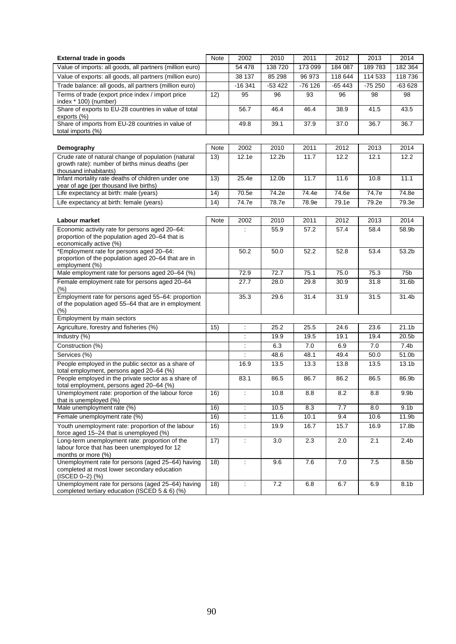| <b>External trade in goods</b>                                                                                      | Note | 2002                 | 2010              | 2011     | 2012     | 2013     | 2014              |
|---------------------------------------------------------------------------------------------------------------------|------|----------------------|-------------------|----------|----------|----------|-------------------|
| Value of imports: all goods, all partners (million euro)                                                            |      | 54 478               | 138 720           | 173 099  | 184 087  | 189783   | 182 364           |
| Value of exports: all goods, all partners (million euro)                                                            |      | 38 137               | 85 298            | 96 973   | 118 644  | 114 533  | 118 736           |
| Trade balance: all goods, all partners (million euro)                                                               |      | $-16341$             | $-53422$          | $-76126$ | $-65443$ | $-75250$ | $-63628$          |
| Terms of trade (export price index / import price                                                                   | 12)  | 95                   | 96                | 93       | 96       | 98       | 98                |
| index * 100) (number)<br>Share of exports to EU-28 countries in value of total                                      |      | 56.7                 | 46.4              | 46.4     | 38.9     | 41.5     | 43.5              |
| exports (%)                                                                                                         |      |                      |                   |          |          |          |                   |
| Share of imports from EU-28 countries in value of<br>total imports (%)                                              |      | 49.8                 | 39.1              | 37.9     | 37.0     | 36.7     | 36.7              |
| Demography                                                                                                          | Note | 2002                 | 2010              | 2011     | 2012     | 2013     | 2014              |
| Crude rate of natural change of population (natural                                                                 | 13)  | 12.1e                | 12.2 <sub>b</sub> | 11.7     | 12.2     | 12.1     | 12.2              |
| growth rate): number of births minus deaths (per<br>thousand inhabitants)                                           |      |                      |                   |          |          |          |                   |
| Infant mortality rate deaths of children under one<br>year of age (per thousand live births)                        | 13)  | 25.4e                | 12.0b             | 11.7     | 11.6     | 10.8     | 11.1              |
| Life expectancy at birth: male (years)                                                                              | 14)  | 70.5e                | 74.2e             | 74.4e    | 74.6e    | 74.7e    | 74.8e             |
| Life expectancy at birth: female (years)                                                                            | (14) | 74.7e                | 78.7e             | 78.9e    | 79.1e    | 79.2e    | 79.3e             |
|                                                                                                                     |      |                      |                   |          |          |          |                   |
| Labour market                                                                                                       | Note | 2002                 | 2010              | 2011     | 2012     | 2013     | 2014              |
| Economic activity rate for persons aged 20-64:                                                                      |      | ÷                    | 55.9              | 57.2     | 57.4     | 58.4     | 58.9b             |
| proportion of the population aged 20–64 that is<br>economically active (%)                                          |      |                      |                   |          |          |          |                   |
| *Employment rate for persons aged 20-64:<br>proportion of the population aged 20-64 that are in<br>employment (%)   |      | 50.2                 | 50.0              | 52.2     | 52.8     | 53.4     | 53.2b             |
| Male employment rate for persons aged 20-64 (%)                                                                     |      | 72.9                 | 72.7              | 75.1     | 75.0     | 75.3     | 75b               |
| Female employment rate for persons aged 20-64<br>(% )                                                               |      | 27.7                 | 28.0              | 29.8     | 30.9     | 31.8     | 31.6b             |
| Employment rate for persons aged 55-64: proportion<br>of the population aged 55-64 that are in employment<br>(% )   |      | 35.3                 | 29.6              | 31.4     | 31.9     | 31.5     | 31.4b             |
| Employment by main sectors                                                                                          |      |                      |                   |          |          |          |                   |
| Agriculture, forestry and fisheries (%)                                                                             | 15)  | $\ddot{\cdot}$       | 25.2              | 25.5     | 24.6     | 23.6     | 21.1b             |
| Industry (%)                                                                                                        |      | $\ddot{\phantom{a}}$ | 19.9              | 19.5     | 19.1     | 19.4     | 20.5b             |
| Construction (%)                                                                                                    |      | $\ddot{\cdot}$       | 6.3               | 7.0      | 6.9      | 7.0      | 7.4 <sub>b</sub>  |
| Services (%)                                                                                                        |      |                      | 48.6              | 48.1     | 49.4     | 50.0     | 51.0b             |
| People employed in the public sector as a share of                                                                  |      | 16.9                 | 13.5              | 13.3     | 13.8     | 13.5     | 13.1 <sub>b</sub> |
| total employment, persons aged 20-64 (%)                                                                            |      |                      |                   |          |          |          |                   |
| People employed in the private sector as a share of<br>total employment, persons aged 20-64 (%)                     |      | 83.1                 | 86.5              | 86.7     | 86.2     | 86.5     | 86.9b             |
| Unemployment rate: proportion of the labour force<br>that is unemployed (%)                                         | 16)  |                      | 10.8              | 8.8      | 8.2      | 8.8      | 9.9 <sub>b</sub>  |
| Male unemployment rate (%)                                                                                          | 16)  | $\dot{\gamma}$       | 10.5              | 8.3      | 7.7      | 8.0      | 9.1 <sub>b</sub>  |
| Female unemployment rate (%)                                                                                        | 16)  | ÷                    | 11.6              | 10.1     | 9.4      | 10.6     | 11.9b             |
| Youth unemployment rate: proportion of the labour                                                                   | 16)  | $\dot{\gamma}$       | 19.9              | 16.7     | 15.7     | 16.9     | 17.8b             |
| force aged 15-24 that is unemployed (%)<br>Long-term unemployment rate: proportion of the                           |      |                      |                   |          |          |          |                   |
| labour force that has been unemployed for 12<br>months or more (%)                                                  | 17)  | ÷                    | 3.0               | 2.3      | 2.0      | 2.1      | 2.4 <sub>b</sub>  |
| Unemployment rate for persons (aged 25-64) having<br>completed at most lower secondary education<br>(ISCED 0-2) (%) | 18)  | $\ddot{\phantom{a}}$ | 9.6               | 7.6      | $7.0$    | 7.5      | 8.5 <sub>b</sub>  |
| Unemployment rate for persons (aged 25-64) having<br>completed tertiary education (ISCED 5 & 6) (%)                 | 18)  | $\ddot{\phantom{a}}$ | 7.2               | 6.8      | 6.7      | 6.9      | 8.1b              |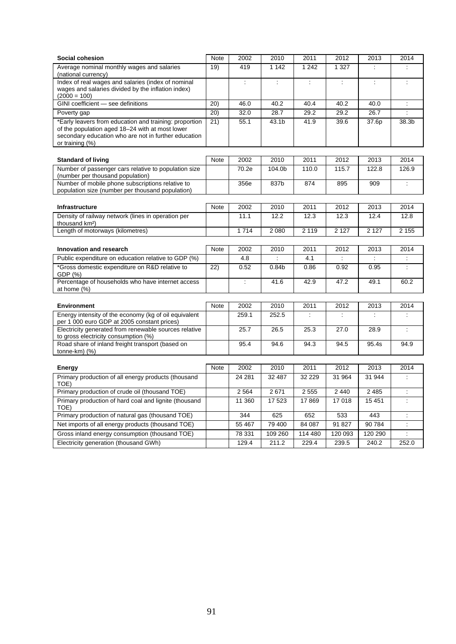| Social cohesion                                                                                           | Note        | 2002    | 2010              | 2011     | 2012           | 2013           | 2014                     |  |  |
|-----------------------------------------------------------------------------------------------------------|-------------|---------|-------------------|----------|----------------|----------------|--------------------------|--|--|
| Average nominal monthly wages and salaries                                                                | 19)         | 419     | 1 1 4 2           | 1 2 4 2  | 1 3 2 7        | ÷              |                          |  |  |
| (national currency)<br>Index of real wages and salaries (index of nominal                                 |             | ÷       | ÷                 | ÷        | ÷              | ÷              | ÷                        |  |  |
| wages and salaries divided by the inflation index)                                                        |             |         |                   |          |                |                |                          |  |  |
| $(2000 = 100)$                                                                                            |             |         |                   |          |                |                |                          |  |  |
| GINI coefficient - see definitions                                                                        | 20)         | 46.0    | 40.2              | 40.4     | 40.2           | 40.0           | $\ddot{\phantom{a}}$     |  |  |
| Poverty gap                                                                                               | (20)        | 32.0    | 28.7              | 29.2     | 29.2           | 26.7           | $\ddot{\cdot}$           |  |  |
| *Early leavers from education and training: proportion<br>of the population aged 18-24 with at most lower | 21)         | 55.1    | 43.1b             | 41.9     | 39.6           | 37.6p          | 38.3b                    |  |  |
| secondary education who are not in further education                                                      |             |         |                   |          |                |                |                          |  |  |
| or training $(\%)$                                                                                        |             |         |                   |          |                |                |                          |  |  |
|                                                                                                           |             |         |                   |          |                |                |                          |  |  |
| <b>Standard of living</b>                                                                                 | Note        | 2002    | 2010              | 2011     | 2012           | 2013           | 2014                     |  |  |
| Number of passenger cars relative to population size<br>(number per thousand population)                  |             | 70.2e   | 104.0b            | 110.0    | 115.7          | 122.8          | 126.9                    |  |  |
| Number of mobile phone subscriptions relative to                                                          |             | 356e    | 837b              | 874      | 895            | 909            | $\ddot{\cdot}$           |  |  |
| population size (number per thousand population)                                                          |             |         |                   |          |                |                |                          |  |  |
|                                                                                                           |             |         |                   |          |                |                |                          |  |  |
| <b>Infrastructure</b>                                                                                     | Note        | 2002    | 2010              | 2011     | 2012           | 2013           | 2014                     |  |  |
| Density of railway network (lines in operation per<br>thousand km <sup>2</sup> )                          |             | 11.1    | 12.2              | 12.3     | 12.3           | 12.4           | 12.8                     |  |  |
| Length of motorways (kilometres)                                                                          |             | 1714    | 2 0 8 0           | 2 1 1 9  | 2 1 2 7        | 2 1 2 7        | 2 1 5 5                  |  |  |
|                                                                                                           |             |         |                   |          |                |                |                          |  |  |
| Innovation and research                                                                                   | <b>Note</b> | 2002    | 2010              | 2011     | 2012           | 2013           | 2014                     |  |  |
| Public expenditure on education relative to GDP (%)                                                       |             | 4.8     |                   | 4.1      |                | ÷              |                          |  |  |
| *Gross domestic expenditure on R&D relative to<br>GDP (%)                                                 | 22)         | 0.52    | 0.84 <sub>b</sub> | 0.86     | 0.92           | 0.95           | $\ddot{\cdot}$           |  |  |
| Percentage of households who have internet access                                                         |             | ÷       | 41.6              | 42.9     | 47.2           | 49.1           | 60.2                     |  |  |
| at home $(\%)$                                                                                            |             |         |                   |          |                |                |                          |  |  |
| <b>Environment</b>                                                                                        | Note        | 2002    | 2010              | 2011     | 2012           | 2013           | 2014                     |  |  |
| Energy intensity of the economy (kg of oil equivalent                                                     |             | 259.1   | 252.5             | ÷        | ÷              | $\ddot{\cdot}$ | $\ddot{\cdot}$           |  |  |
| per 1 000 euro GDP at 2005 constant prices)                                                               |             |         |                   |          |                |                |                          |  |  |
| Electricity generated from renewable sources relative<br>to gross electricity consumption (%)             |             | 25.7    | 26.5              | 25.3     | 27.0           | 28.9           | ÷                        |  |  |
| Road share of inland freight transport (based on                                                          |             | 95.4    | 94.6              | 94.3     | 94.5           | 95.4s          | 94.9                     |  |  |
| tonne-km) (%)                                                                                             |             |         |                   |          |                |                |                          |  |  |
|                                                                                                           |             |         |                   |          |                |                |                          |  |  |
| Energy                                                                                                    | Note        | 2002    | 2010<br>32 487    | 2011     | 2012<br>31 964 | 2013<br>31 944 | 2014                     |  |  |
| Primary production of all energy products (thousand<br>TOE)                                               |             | 24 281  |                   | 32 2 2 9 |                |                | $\ddot{\phantom{a}}$     |  |  |
| Primary production of crude oil (thousand TOE)                                                            |             | 2 5 6 4 | 2671              | 2 5 5 5  | 2 4 4 0        | 2 4 8 5        | $\ddot{\phantom{a}}$     |  |  |
| Primary production of hard coal and lignite (thousand<br>TOE)                                             |             | 11 360  | 17 523            | 17869    | 17018          | 15 4 51        | $\overline{\phantom{a}}$ |  |  |
| Primary production of natural gas (thousand TOE)                                                          |             | 344     | 625               | 652      | 533            | 443            | ÷                        |  |  |
| Net imports of all energy products (thousand TOE)                                                         |             | 55 467  | 79 400            | 84 087   | 91 827         | 90 784         | $\ddot{\phantom{a}}$     |  |  |
| Gross inland energy consumption (thousand TOE)                                                            |             | 78 331  | 109 260           | 114 480  | 120 093        | 120 290        | $\ddot{\phantom{a}}$     |  |  |
| Electricity generation (thousand GWh)                                                                     |             | 129.4   | 211.2             | 229.4    | 239.5          | 240.2          | 252.0                    |  |  |